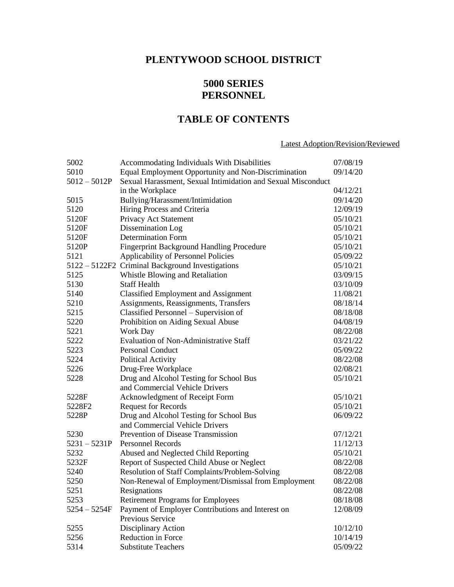# **PLENTYWOOD SCHOOL DISTRICT**

# **5000 SERIES PERSONNEL**

# **TABLE OF CONTENTS**

Latest Adoption/Revision/Reviewed

| 5002           | Accommodating Individuals With Disabilities                  | 07/08/19 |
|----------------|--------------------------------------------------------------|----------|
| 5010           | Equal Employment Opportunity and Non-Discrimination          | 09/14/20 |
| $5012 - 5012P$ | Sexual Harassment, Sexual Intimidation and Sexual Misconduct |          |
|                | in the Workplace                                             | 04/12/21 |
| 5015           | Bullying/Harassment/Intimidation                             | 09/14/20 |
| 5120           | Hiring Process and Criteria                                  | 12/09/19 |
| 5120F          | Privacy Act Statement                                        | 05/10/21 |
| 5120F          | Dissemination Log                                            | 05/10/21 |
| 5120F          | <b>Determination Form</b>                                    | 05/10/21 |
| 5120P          | <b>Fingerprint Background Handling Procedure</b>             | 05/10/21 |
| 5121           | Applicability of Personnel Policies                          | 05/09/22 |
|                | 5122 - 5122F2 Criminal Background Investigations             | 05/10/21 |
| 5125           | Whistle Blowing and Retaliation                              | 03/09/15 |
| 5130           | <b>Staff Health</b>                                          | 03/10/09 |
| 5140           | <b>Classified Employment and Assignment</b>                  | 11/08/21 |
| 5210           | Assignments, Reassignments, Transfers                        | 08/18/14 |
| 5215           | Classified Personnel – Supervision of                        | 08/18/08 |
| 5220           | Prohibition on Aiding Sexual Abuse                           | 04/08/19 |
| 5221           | Work Day                                                     | 08/22/08 |
| 5222           | <b>Evaluation of Non-Administrative Staff</b>                | 03/21/22 |
| 5223           | <b>Personal Conduct</b>                                      | 05/09/22 |
| 5224           | <b>Political Activity</b>                                    | 08/22/08 |
| 5226           | Drug-Free Workplace                                          | 02/08/21 |
| 5228           | Drug and Alcohol Testing for School Bus                      | 05/10/21 |
|                | and Commercial Vehicle Drivers                               |          |
| 5228F          | Acknowledgment of Receipt Form                               | 05/10/21 |
| 5228F2         | <b>Request for Records</b>                                   | 05/10/21 |
| 5228P          | Drug and Alcohol Testing for School Bus                      | 06/09/22 |
|                | and Commercial Vehicle Drivers                               |          |
| 5230           | Prevention of Disease Transmission                           | 07/12/21 |
| $5231 - 5231P$ | <b>Personnel Records</b>                                     | 11/12/13 |
| 5232           | Abused and Neglected Child Reporting                         | 05/10/21 |
| 5232F          | Report of Suspected Child Abuse or Neglect                   | 08/22/08 |
| 5240           | Resolution of Staff Complaints/Problem-Solving               | 08/22/08 |
| 5250           | Non-Renewal of Employment/Dismissal from Employment          | 08/22/08 |
| 5251           | Resignations                                                 | 08/22/08 |
| 5253           | <b>Retirement Programs for Employees</b>                     | 08/18/08 |
| $5254 - 5254F$ | Payment of Employer Contributions and Interest on            | 12/08/09 |
|                | Previous Service                                             |          |
| 5255           | Disciplinary Action                                          | 10/12/10 |
| 5256           | Reduction in Force                                           | 10/14/19 |
| 5314           | <b>Substitute Teachers</b>                                   | 05/09/22 |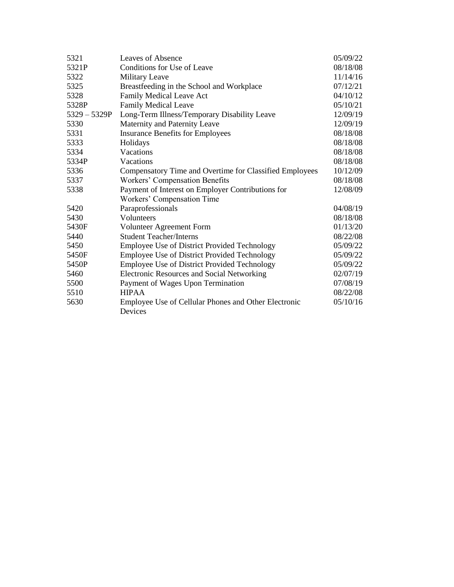| 5321           | <b>Leaves of Absence</b>                                        | 05/09/22 |
|----------------|-----------------------------------------------------------------|----------|
| 5321P          | Conditions for Use of Leave                                     | 08/18/08 |
| 5322           | <b>Military Leave</b>                                           | 11/14/16 |
| 5325           | Breastfeeding in the School and Workplace                       | 07/12/21 |
| 5328           | Family Medical Leave Act                                        | 04/10/12 |
| 5328P          | <b>Family Medical Leave</b>                                     | 05/10/21 |
| $5329 - 5329P$ | Long-Term Illness/Temporary Disability Leave                    | 12/09/19 |
| 5330           | Maternity and Paternity Leave                                   | 12/09/19 |
| 5331           | <b>Insurance Benefits for Employees</b>                         | 08/18/08 |
| 5333           | Holidays                                                        | 08/18/08 |
| 5334           | Vacations                                                       | 08/18/08 |
| 5334P          | Vacations                                                       | 08/18/08 |
| 5336           | Compensatory Time and Overtime for Classified Employees         | 10/12/09 |
| 5337           | Workers' Compensation Benefits                                  | 08/18/08 |
| 5338           | Payment of Interest on Employer Contributions for               | 12/08/09 |
|                | Workers' Compensation Time                                      |          |
| 5420           | Paraprofessionals                                               | 04/08/19 |
| 5430           | Volunteers                                                      | 08/18/08 |
| 5430F          | Volunteer Agreement Form                                        | 01/13/20 |
| 5440           | <b>Student Teacher/Interns</b>                                  | 08/22/08 |
| 5450           | Employee Use of District Provided Technology                    | 05/09/22 |
| 5450F          | Employee Use of District Provided Technology                    | 05/09/22 |
| 5450P          | Employee Use of District Provided Technology                    | 05/09/22 |
| 5460           | Electronic Resources and Social Networking                      | 02/07/19 |
| 5500           | Payment of Wages Upon Termination                               | 07/08/19 |
| 5510           | <b>HIPAA</b>                                                    | 08/22/08 |
| 5630           | Employee Use of Cellular Phones and Other Electronic<br>Devices | 05/10/16 |
|                |                                                                 |          |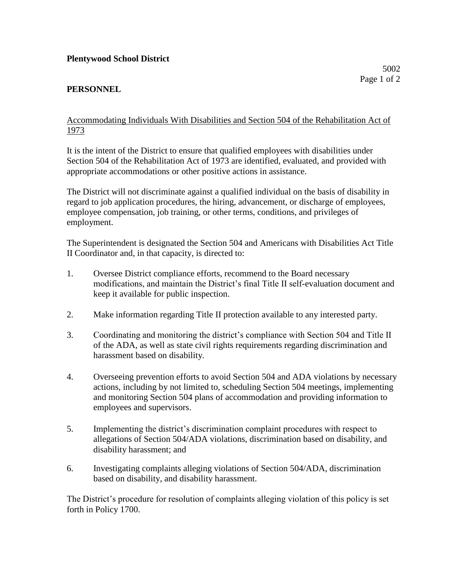# **PERSONNEL**

# Accommodating Individuals With Disabilities and Section 504 of the Rehabilitation Act of 1973

It is the intent of the District to ensure that qualified employees with disabilities under Section 504 of the Rehabilitation Act of 1973 are identified, evaluated, and provided with appropriate accommodations or other positive actions in assistance.

The District will not discriminate against a qualified individual on the basis of disability in regard to job application procedures, the hiring, advancement, or discharge of employees, employee compensation, job training, or other terms, conditions, and privileges of employment.

The Superintendent is designated the Section 504 and Americans with Disabilities Act Title II Coordinator and, in that capacity, is directed to:

- 1. Oversee District compliance efforts, recommend to the Board necessary modifications, and maintain the District's final Title II self-evaluation document and keep it available for public inspection.
- 2. Make information regarding Title II protection available to any interested party.
- 3. Coordinating and monitoring the district's compliance with Section 504 and Title II of the ADA, as well as state civil rights requirements regarding discrimination and harassment based on disability.
- 4. Overseeing prevention efforts to avoid Section 504 and ADA violations by necessary actions, including by not limited to, scheduling Section 504 meetings, implementing and monitoring Section 504 plans of accommodation and providing information to employees and supervisors.
- 5. Implementing the district's discrimination complaint procedures with respect to allegations of Section 504/ADA violations, discrimination based on disability, and disability harassment; and
- 6. Investigating complaints alleging violations of Section 504/ADA, discrimination based on disability, and disability harassment.

The District's procedure for resolution of complaints alleging violation of this policy is set forth in Policy 1700.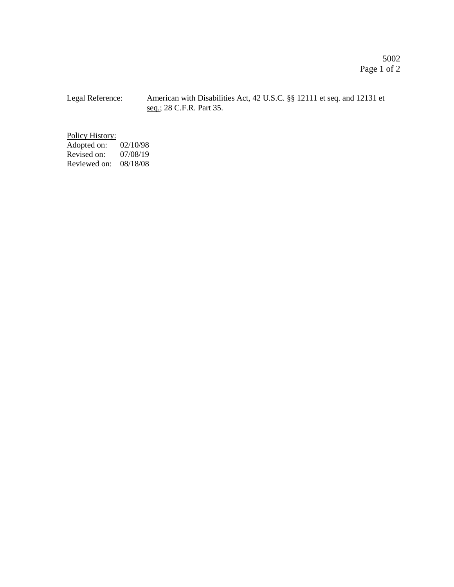5002 Page 1 of 2

Legal Reference: American with Disabilities Act, 42 U.S.C. §§ 12111 et seq. and 12131 et seq.; 28 C.F.R. Part 35.

Policy History: Adopted on: 02/10/98 Revised on: 07/08/19 Reviewed on: 08/18/08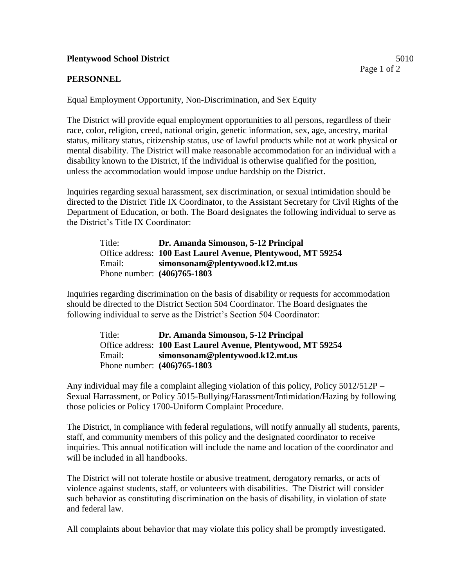# **PERSONNEL**

# Equal Employment Opportunity, Non-Discrimination, and Sex Equity

The District will provide equal employment opportunities to all persons, regardless of their race, color, religion, creed, national origin, genetic information, sex, age, ancestry, marital status, military status, citizenship status, use of lawful products while not at work physical or mental disability. The District will make reasonable accommodation for an individual with a disability known to the District, if the individual is otherwise qualified for the position, unless the accommodation would impose undue hardship on the District.

Inquiries regarding sexual harassment, sex discrimination, or sexual intimidation should be directed to the District Title IX Coordinator, to the Assistant Secretary for Civil Rights of the Department of Education, or both. The Board designates the following individual to serve as the District's Title IX Coordinator:

Title: **Dr. Amanda Simonson, 5-12 Principal** Office address: **100 East Laurel Avenue, Plentywood, MT 59254** Email: **simonsonam@plentywood.k12.mt.us** Phone number: **(406)765-1803**

Inquiries regarding discrimination on the basis of disability or requests for accommodation should be directed to the District Section 504 Coordinator. The Board designates the following individual to serve as the District's Section 504 Coordinator:

Title: **Dr. Amanda Simonson, 5-12 Principal** Office address: **100 East Laurel Avenue, Plentywood, MT 59254** Email: **simonsonam@plentywood.k12.mt.us** Phone number: **(406)765-1803**

Any individual may file a complaint alleging violation of this policy, Policy 5012/512P – Sexual Harrassment, or Policy 5015-Bullying/Harassment/Intimidation/Hazing by following those policies or Policy 1700-Uniform Complaint Procedure.

The District, in compliance with federal regulations, will notify annually all students, parents, staff, and community members of this policy and the designated coordinator to receive inquiries. This annual notification will include the name and location of the coordinator and will be included in all handbooks.

The District will not tolerate hostile or abusive treatment, derogatory remarks, or acts of violence against students, staff, or volunteers with disabilities. The District will consider such behavior as constituting discrimination on the basis of disability, in violation of state and federal law.

All complaints about behavior that may violate this policy shall be promptly investigated.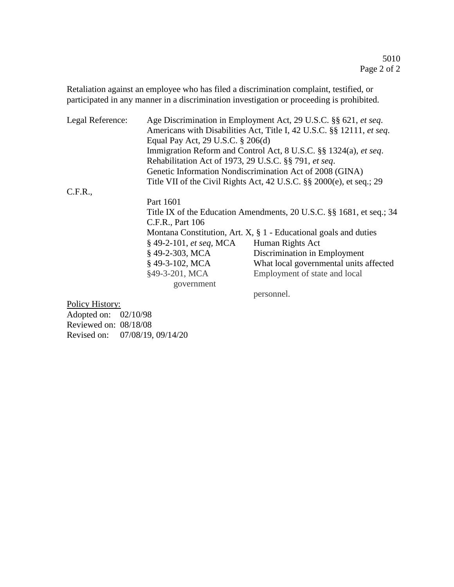Retaliation against an employee who has filed a discrimination complaint, testified, or participated in any manner in a discrimination investigation or proceeding is prohibited.

| Legal Reference: | Age Discrimination in Employment Act, 29 U.S.C. §§ 621, et seq.       |                                                                        |  |  |
|------------------|-----------------------------------------------------------------------|------------------------------------------------------------------------|--|--|
|                  | Americans with Disabilities Act, Title I, 42 U.S.C. §§ 12111, et seq. |                                                                        |  |  |
|                  | Equal Pay Act, 29 U.S.C. § 206(d)                                     |                                                                        |  |  |
|                  |                                                                       | Immigration Reform and Control Act, 8 U.S.C. §§ 1324(a), et seq.       |  |  |
|                  | Rehabilitation Act of 1973, 29 U.S.C. §§ 791, et seq.                 |                                                                        |  |  |
|                  |                                                                       | Genetic Information Nondiscrimination Act of 2008 (GINA)               |  |  |
|                  | Title VII of the Civil Rights Act, 42 U.S.C. §§ 2000(e), et seq.; 29  |                                                                        |  |  |
| C.F.R.,          |                                                                       |                                                                        |  |  |
|                  | Part 1601                                                             |                                                                        |  |  |
|                  | Title IX of the Education Amendments, 20 U.S.C. §§ 1681, et seq.; 34  |                                                                        |  |  |
|                  | C.F.R., Part 106                                                      |                                                                        |  |  |
|                  |                                                                       | Montana Constitution, Art. $X$ , $\S$ 1 - Educational goals and duties |  |  |
|                  | $§$ 49-2-101, <i>et seq</i> , MCA                                     | Human Rights Act                                                       |  |  |
|                  | §49-2-303, MCA                                                        | Discrimination in Employment                                           |  |  |
|                  | § 49-3-102, MCA                                                       | What local governmental units affected                                 |  |  |
|                  | §49-3-201, MCA                                                        | Employment of state and local                                          |  |  |
|                  | government                                                            |                                                                        |  |  |
|                  |                                                                       | personnel.                                                             |  |  |

Policy History: Adopted on: 02/10/98 Reviewed on: 08/18/08 Revised on: 07/08/19, 09/14/20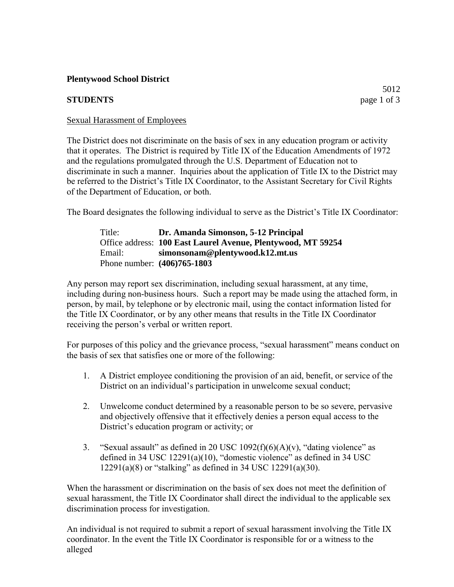# **Plentywood School District**

# **STUDENTS** page 1 of 3

# Sexual Harassment of Employees

The District does not discriminate on the basis of sex in any education program or activity that it operates. The District is required by Title IX of the Education Amendments of 1972 and the regulations promulgated through the U.S. Department of Education not to discriminate in such a manner. Inquiries about the application of Title IX to the District may be referred to the District's Title IX Coordinator, to the Assistant Secretary for Civil Rights of the Department of Education, or both.

The Board designates the following individual to serve as the District's Title IX Coordinator:

| Title:                      | Dr. Amanda Simonson, 5-12 Principal                          |
|-----------------------------|--------------------------------------------------------------|
|                             | Office address: 100 East Laurel Avenue, Plentywood, MT 59254 |
| Email:                      | simonsonam@plentywood.k12.mt.us                              |
| Phone number: (406)765-1803 |                                                              |

Any person may report sex discrimination, including sexual harassment, at any time, including during non-business hours. Such a report may be made using the attached form, in person, by mail, by telephone or by electronic mail, using the contact information listed for the Title IX Coordinator, or by any other means that results in the Title IX Coordinator receiving the person's verbal or written report.

For purposes of this policy and the grievance process, "sexual harassment" means conduct on the basis of sex that satisfies one or more of the following:

- 1. A District employee conditioning the provision of an aid, benefit, or service of the District on an individual's participation in unwelcome sexual conduct;
- 2. Unwelcome conduct determined by a reasonable person to be so severe, pervasive and objectively offensive that it effectively denies a person equal access to the District's education program or activity; or
- 3. "Sexual assault" as defined in 20 USC  $1092(f)(6)(A)(v)$ , "dating violence" as defined in 34 USC 12291(a)(10), "domestic violence" as defined in 34 USC 12291(a)(8) or "stalking" as defined in 34 USC 12291(a)(30).

When the harassment or discrimination on the basis of sex does not meet the definition of sexual harassment, the Title IX Coordinator shall direct the individual to the applicable sex discrimination process for investigation.

An individual is not required to submit a report of sexual harassment involving the Title IX coordinator. In the event the Title IX Coordinator is responsible for or a witness to the alleged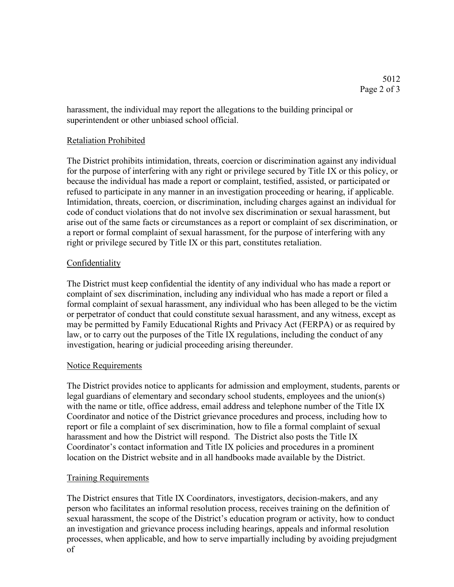harassment, the individual may report the allegations to the building principal or superintendent or other unbiased school official.

# Retaliation Prohibited

The District prohibits intimidation, threats, coercion or discrimination against any individual for the purpose of interfering with any right or privilege secured by Title IX or this policy, or because the individual has made a report or complaint, testified, assisted, or participated or refused to participate in any manner in an investigation proceeding or hearing, if applicable. Intimidation, threats, coercion, or discrimination, including charges against an individual for code of conduct violations that do not involve sex discrimination or sexual harassment, but arise out of the same facts or circumstances as a report or complaint of sex discrimination, or a report or formal complaint of sexual harassment, for the purpose of interfering with any right or privilege secured by Title IX or this part, constitutes retaliation.

# Confidentiality

The District must keep confidential the identity of any individual who has made a report or complaint of sex discrimination, including any individual who has made a report or filed a formal complaint of sexual harassment, any individual who has been alleged to be the victim or perpetrator of conduct that could constitute sexual harassment, and any witness, except as may be permitted by Family Educational Rights and Privacy Act (FERPA) or as required by law, or to carry out the purposes of the Title IX regulations, including the conduct of any investigation, hearing or judicial proceeding arising thereunder.

# Notice Requirements

The District provides notice to applicants for admission and employment, students, parents or legal guardians of elementary and secondary school students, employees and the union(s) with the name or title, office address, email address and telephone number of the Title IX Coordinator and notice of the District grievance procedures and process, including how to report or file a complaint of sex discrimination, how to file a formal complaint of sexual harassment and how the District will respond. The District also posts the Title IX Coordinator's contact information and Title IX policies and procedures in a prominent location on the District website and in all handbooks made available by the District.

# Training Requirements

The District ensures that Title IX Coordinators, investigators, decision-makers, and any person who facilitates an informal resolution process, receives training on the definition of sexual harassment, the scope of the District's education program or activity, how to conduct an investigation and grievance process including hearings, appeals and informal resolution processes, when applicable, and how to serve impartially including by avoiding prejudgment of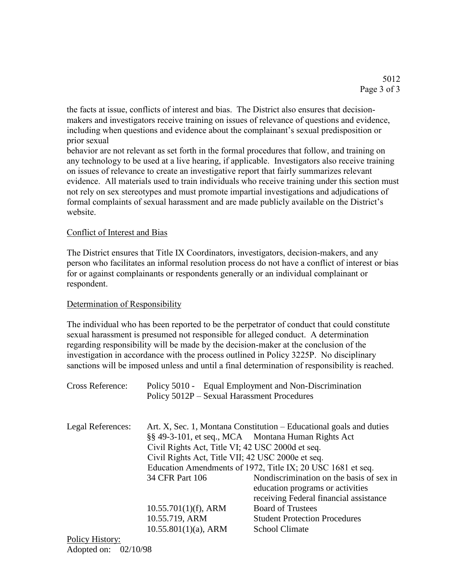the facts at issue, conflicts of interest and bias. The District also ensures that decisionmakers and investigators receive training on issues of relevance of questions and evidence, including when questions and evidence about the complainant's sexual predisposition or prior sexual

behavior are not relevant as set forth in the formal procedures that follow, and training on any technology to be used at a live hearing, if applicable. Investigators also receive training on issues of relevance to create an investigative report that fairly summarizes relevant evidence. All materials used to train individuals who receive training under this section must not rely on sex stereotypes and must promote impartial investigations and adjudications of formal complaints of sexual harassment and are made publicly available on the District's website.

# Conflict of Interest and Bias

The District ensures that Title IX Coordinators, investigators, decision-makers, and any person who facilitates an informal resolution process do not have a conflict of interest or bias for or against complainants or respondents generally or an individual complainant or respondent.

# Determination of Responsibility

The individual who has been reported to be the perpetrator of conduct that could constitute sexual harassment is presumed not responsible for alleged conduct. A determination regarding responsibility will be made by the decision-maker at the conclusion of the investigation in accordance with the process outlined in Policy 3225P. No disciplinary sanctions will be imposed unless and until a final determination of responsibility is reached.

| <b>Cross Reference:</b> | Policy 5012P - Sexual Harassment Procedures                                                                                                                                                      | Policy 5010 - Equal Employment and Non-Discrimination                                                                                                                                                                                                                                                                                                                                                           |
|-------------------------|--------------------------------------------------------------------------------------------------------------------------------------------------------------------------------------------------|-----------------------------------------------------------------------------------------------------------------------------------------------------------------------------------------------------------------------------------------------------------------------------------------------------------------------------------------------------------------------------------------------------------------|
| Legal References:       | Civil Rights Act, Title VI; 42 USC 2000d et seq.<br>Civil Rights Act, Title VII; 42 USC 2000e et seq.<br>34 CFR Part 106<br>$10.55.701(1)(f)$ , ARM<br>10.55.719, ARM<br>$10.55.801(1)(a)$ , ARM | Art. X, Sec. 1, Montana Constitution – Educational goals and duties<br>§§ 49-3-101, et seq., MCA Montana Human Rights Act<br>Education Amendments of 1972, Title IX; 20 USC 1681 et seq.<br>Nondiscrimination on the basis of sex in<br>education programs or activities<br>receiving Federal financial assistance<br><b>Board of Trustees</b><br><b>Student Protection Procedures</b><br><b>School Climate</b> |
| Policy History:         |                                                                                                                                                                                                  |                                                                                                                                                                                                                                                                                                                                                                                                                 |

Adopted on: 02/10/98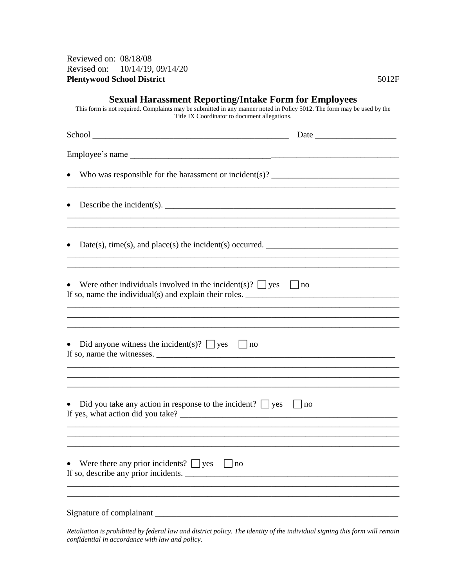Reviewed on: 08/18/08 Revised on: 10/14/19, 09/14/20 <sup>1</sup> **Plentywood School District** 5012F

| Employee's name                                                                                                                                 |                                                                                   |
|-------------------------------------------------------------------------------------------------------------------------------------------------|-----------------------------------------------------------------------------------|
| Who was responsible for the harassment or incident(s)? $\frac{1}{\sqrt{1-\frac{1}{n}}}\left\{ x,y,z\right\}$                                    | ,我们也不能在这里的人,我们也不能在这里的人,我们也不能在这里的人,我们也不能在这里的人,我们也不能在这里的人,我们也不能在这里的人,我们也不能在这里的人,我们也 |
| Describe the incident(s). $\qquad \qquad$                                                                                                       |                                                                                   |
| $Date(s)$ , time(s), and place(s) the incident(s) occurred.                                                                                     |                                                                                   |
| Were other individuals involved in the incident(s)? $\Box$ yes $\Box$ no<br>$\bullet$<br>If so, name the individual(s) and explain their roles. | ,我们也不能在这里的,我们也不能在这里的时候,我们也不能在这里的时候,我们也不能在这里的时候,我们也不能在这里的时候,我们也不能在这里的时候,我们也不能在这里的  |
| Did anyone witness the incident(s)? $\Box$ yes $\Box$ no<br>$\bullet$                                                                           |                                                                                   |
|                                                                                                                                                 |                                                                                   |
| Did you take any action in response to the incident? $\Box$ yes $\Box$ no                                                                       |                                                                                   |
|                                                                                                                                                 |                                                                                   |

Retaliation is prohibited by federal law and district policy. The identity of the individual signing this form will remain 48 *confidential in accordance with law and policy.*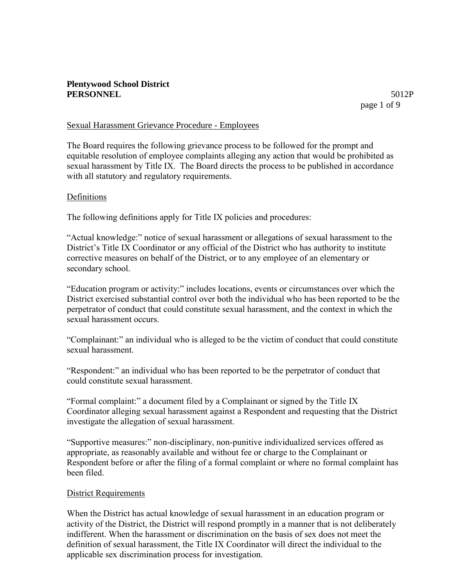# **Plentywood School District PERSONNEL** 5012P

# Sexual Harassment Grievance Procedure - Employees

The Board requires the following grievance process to be followed for the prompt and equitable resolution of employee complaints alleging any action that would be prohibited as sexual harassment by Title IX. The Board directs the process to be published in accordance with all statutory and regulatory requirements.

# Definitions

The following definitions apply for Title IX policies and procedures:

"Actual knowledge:" notice of sexual harassment or allegations of sexual harassment to the District's Title IX Coordinator or any official of the District who has authority to institute corrective measures on behalf of the District, or to any employee of an elementary or secondary school.

"Education program or activity:" includes locations, events or circumstances over which the District exercised substantial control over both the individual who has been reported to be the perpetrator of conduct that could constitute sexual harassment, and the context in which the sexual harassment occurs.

"Complainant:" an individual who is alleged to be the victim of conduct that could constitute sexual harassment.

"Respondent:" an individual who has been reported to be the perpetrator of conduct that could constitute sexual harassment.

"Formal complaint:" a document filed by a Complainant or signed by the Title IX Coordinator alleging sexual harassment against a Respondent and requesting that the District investigate the allegation of sexual harassment.

"Supportive measures:" non-disciplinary, non-punitive individualized services offered as appropriate, as reasonably available and without fee or charge to the Complainant or Respondent before or after the filing of a formal complaint or where no formal complaint has been filed.

# District Requirements

When the District has actual knowledge of sexual harassment in an education program or activity of the District, the District will respond promptly in a manner that is not deliberately indifferent. When the harassment or discrimination on the basis of sex does not meet the definition of sexual harassment, the Title IX Coordinator will direct the individual to the applicable sex discrimination process for investigation.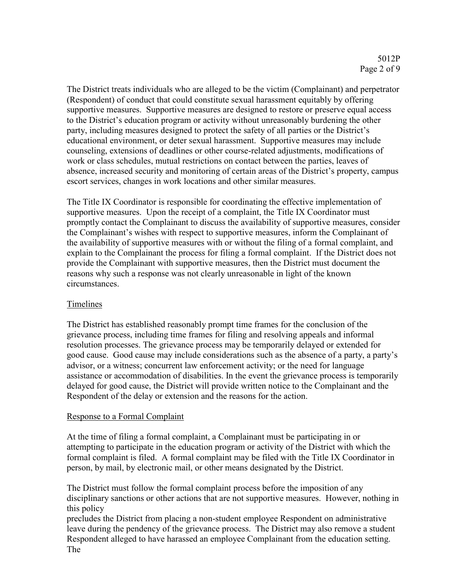The District treats individuals who are alleged to be the victim (Complainant) and perpetrator (Respondent) of conduct that could constitute sexual harassment equitably by offering supportive measures. Supportive measures are designed to restore or preserve equal access to the District's education program or activity without unreasonably burdening the other party, including measures designed to protect the safety of all parties or the District's educational environment, or deter sexual harassment. Supportive measures may include counseling, extensions of deadlines or other course-related adjustments, modifications of work or class schedules, mutual restrictions on contact between the parties, leaves of absence, increased security and monitoring of certain areas of the District's property, campus escort services, changes in work locations and other similar measures.

The Title IX Coordinator is responsible for coordinating the effective implementation of supportive measures. Upon the receipt of a complaint, the Title IX Coordinator must promptly contact the Complainant to discuss the availability of supportive measures, consider the Complainant's wishes with respect to supportive measures, inform the Complainant of the availability of supportive measures with or without the filing of a formal complaint, and explain to the Complainant the process for filing a formal complaint. If the District does not provide the Complainant with supportive measures, then the District must document the reasons why such a response was not clearly unreasonable in light of the known circumstances.

# Timelines

The District has established reasonably prompt time frames for the conclusion of the grievance process, including time frames for filing and resolving appeals and informal resolution processes. The grievance process may be temporarily delayed or extended for good cause. Good cause may include considerations such as the absence of a party, a party's advisor, or a witness; concurrent law enforcement activity; or the need for language assistance or accommodation of disabilities. In the event the grievance process is temporarily delayed for good cause, the District will provide written notice to the Complainant and the Respondent of the delay or extension and the reasons for the action.

# Response to a Formal Complaint

At the time of filing a formal complaint, a Complainant must be participating in or attempting to participate in the education program or activity of the District with which the formal complaint is filed. A formal complaint may be filed with the Title IX Coordinator in person, by mail, by electronic mail, or other means designated by the District.

The District must follow the formal complaint process before the imposition of any disciplinary sanctions or other actions that are not supportive measures. However, nothing in this policy

precludes the District from placing a non-student employee Respondent on administrative leave during the pendency of the grievance process. The District may also remove a student Respondent alleged to have harassed an employee Complainant from the education setting. The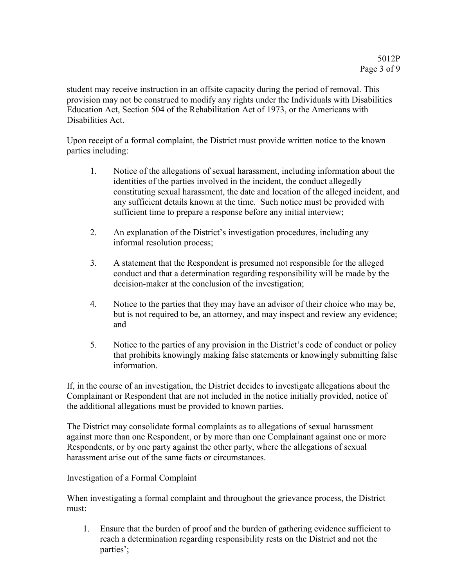student may receive instruction in an offsite capacity during the period of removal. This provision may not be construed to modify any rights under the Individuals with Disabilities Education Act, Section 504 of the Rehabilitation Act of 1973, or the Americans with Disabilities Act.

Upon receipt of a formal complaint, the District must provide written notice to the known parties including:

- 1. Notice of the allegations of sexual harassment, including information about the identities of the parties involved in the incident, the conduct allegedly constituting sexual harassment, the date and location of the alleged incident, and any sufficient details known at the time. Such notice must be provided with sufficient time to prepare a response before any initial interview;
- 2. An explanation of the District's investigation procedures, including any informal resolution process;
- 3. A statement that the Respondent is presumed not responsible for the alleged conduct and that a determination regarding responsibility will be made by the decision-maker at the conclusion of the investigation;
- 4. Notice to the parties that they may have an advisor of their choice who may be, but is not required to be, an attorney, and may inspect and review any evidence; and
- 5. Notice to the parties of any provision in the District's code of conduct or policy that prohibits knowingly making false statements or knowingly submitting false information.

If, in the course of an investigation, the District decides to investigate allegations about the Complainant or Respondent that are not included in the notice initially provided, notice of the additional allegations must be provided to known parties.

The District may consolidate formal complaints as to allegations of sexual harassment against more than one Respondent, or by more than one Complainant against one or more Respondents, or by one party against the other party, where the allegations of sexual harassment arise out of the same facts or circumstances.

# Investigation of a Formal Complaint

When investigating a formal complaint and throughout the grievance process, the District must:

1. Ensure that the burden of proof and the burden of gathering evidence sufficient to reach a determination regarding responsibility rests on the District and not the parties';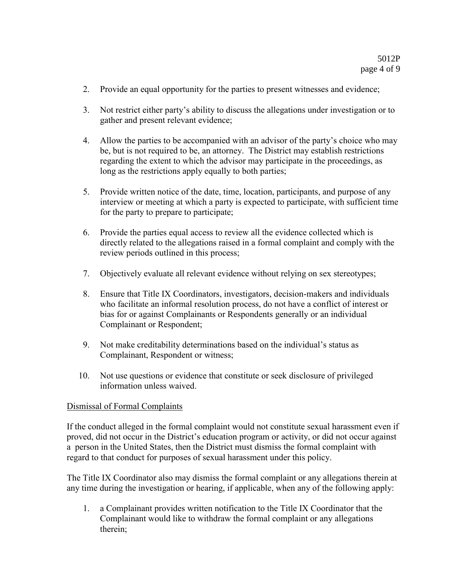- 2. Provide an equal opportunity for the parties to present witnesses and evidence;
- 3. Not restrict either party's ability to discuss the allegations under investigation or to gather and present relevant evidence;
- 4. Allow the parties to be accompanied with an advisor of the party's choice who may be, but is not required to be, an attorney. The District may establish restrictions regarding the extent to which the advisor may participate in the proceedings, as long as the restrictions apply equally to both parties;
- 5. Provide written notice of the date, time, location, participants, and purpose of any interview or meeting at which a party is expected to participate, with sufficient time for the party to prepare to participate;
- 6. Provide the parties equal access to review all the evidence collected which is directly related to the allegations raised in a formal complaint and comply with the review periods outlined in this process;
- 7. Objectively evaluate all relevant evidence without relying on sex stereotypes;
- 8. Ensure that Title IX Coordinators, investigators, decision-makers and individuals who facilitate an informal resolution process, do not have a conflict of interest or bias for or against Complainants or Respondents generally or an individual Complainant or Respondent;
- 9. Not make creditability determinations based on the individual's status as Complainant, Respondent or witness;
- 10. Not use questions or evidence that constitute or seek disclosure of privileged information unless waived.

# Dismissal of Formal Complaints

If the conduct alleged in the formal complaint would not constitute sexual harassment even if proved, did not occur in the District's education program or activity, or did not occur against a person in the United States, then the District must dismiss the formal complaint with regard to that conduct for purposes of sexual harassment under this policy.

The Title IX Coordinator also may dismiss the formal complaint or any allegations therein at any time during the investigation or hearing, if applicable, when any of the following apply:

1. a Complainant provides written notification to the Title IX Coordinator that the Complainant would like to withdraw the formal complaint or any allegations therein;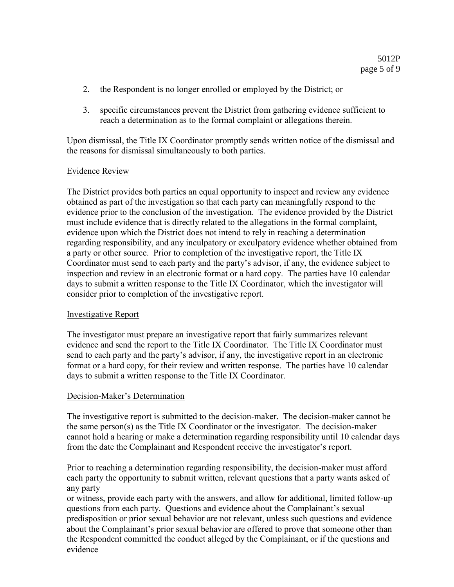- 2. the Respondent is no longer enrolled or employed by the District; or
- 3. specific circumstances prevent the District from gathering evidence sufficient to reach a determination as to the formal complaint or allegations therein.

Upon dismissal, the Title IX Coordinator promptly sends written notice of the dismissal and the reasons for dismissal simultaneously to both parties.

# Evidence Review

The District provides both parties an equal opportunity to inspect and review any evidence obtained as part of the investigation so that each party can meaningfully respond to the evidence prior to the conclusion of the investigation. The evidence provided by the District must include evidence that is directly related to the allegations in the formal complaint, evidence upon which the District does not intend to rely in reaching a determination regarding responsibility, and any inculpatory or exculpatory evidence whether obtained from a party or other source. Prior to completion of the investigative report, the Title IX Coordinator must send to each party and the party's advisor, if any, the evidence subject to inspection and review in an electronic format or a hard copy. The parties have 10 calendar days to submit a written response to the Title IX Coordinator, which the investigator will consider prior to completion of the investigative report.

# Investigative Report

The investigator must prepare an investigative report that fairly summarizes relevant evidence and send the report to the Title IX Coordinator. The Title IX Coordinator must send to each party and the party's advisor, if any, the investigative report in an electronic format or a hard copy, for their review and written response. The parties have 10 calendar days to submit a written response to the Title IX Coordinator.

# Decision-Maker's Determination

The investigative report is submitted to the decision-maker. The decision-maker cannot be the same person(s) as the Title IX Coordinator or the investigator. The decision-maker cannot hold a hearing or make a determination regarding responsibility until 10 calendar days from the date the Complainant and Respondent receive the investigator's report.

Prior to reaching a determination regarding responsibility, the decision-maker must afford each party the opportunity to submit written, relevant questions that a party wants asked of any party

or witness, provide each party with the answers, and allow for additional, limited follow-up questions from each party. Questions and evidence about the Complainant's sexual predisposition or prior sexual behavior are not relevant, unless such questions and evidence about the Complainant's prior sexual behavior are offered to prove that someone other than the Respondent committed the conduct alleged by the Complainant, or if the questions and evidence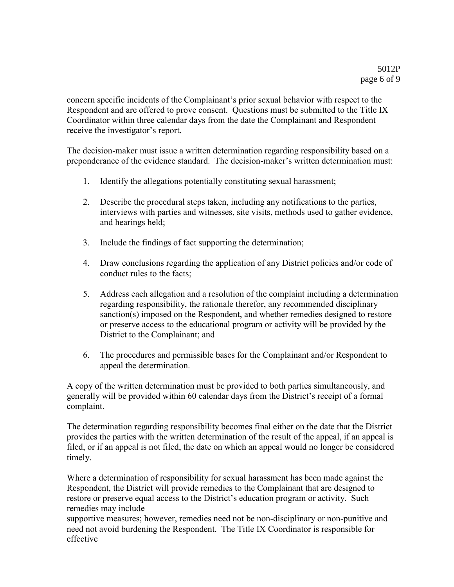concern specific incidents of the Complainant's prior sexual behavior with respect to the Respondent and are offered to prove consent. Questions must be submitted to the Title IX Coordinator within three calendar days from the date the Complainant and Respondent receive the investigator's report.

The decision-maker must issue a written determination regarding responsibility based on a preponderance of the evidence standard. The decision-maker's written determination must:

- 1. Identify the allegations potentially constituting sexual harassment;
- 2. Describe the procedural steps taken, including any notifications to the parties, interviews with parties and witnesses, site visits, methods used to gather evidence, and hearings held;
- 3. Include the findings of fact supporting the determination;
- 4. Draw conclusions regarding the application of any District policies and/or code of conduct rules to the facts;
- 5. Address each allegation and a resolution of the complaint including a determination regarding responsibility, the rationale therefor, any recommended disciplinary sanction(s) imposed on the Respondent, and whether remedies designed to restore or preserve access to the educational program or activity will be provided by the District to the Complainant; and
- 6. The procedures and permissible bases for the Complainant and/or Respondent to appeal the determination.

A copy of the written determination must be provided to both parties simultaneously, and generally will be provided within 60 calendar days from the District's receipt of a formal complaint.

The determination regarding responsibility becomes final either on the date that the District provides the parties with the written determination of the result of the appeal, if an appeal is filed, or if an appeal is not filed, the date on which an appeal would no longer be considered timely.

Where a determination of responsibility for sexual harassment has been made against the Respondent, the District will provide remedies to the Complainant that are designed to restore or preserve equal access to the District's education program or activity. Such remedies may include

supportive measures; however, remedies need not be non-disciplinary or non-punitive and need not avoid burdening the Respondent. The Title IX Coordinator is responsible for effective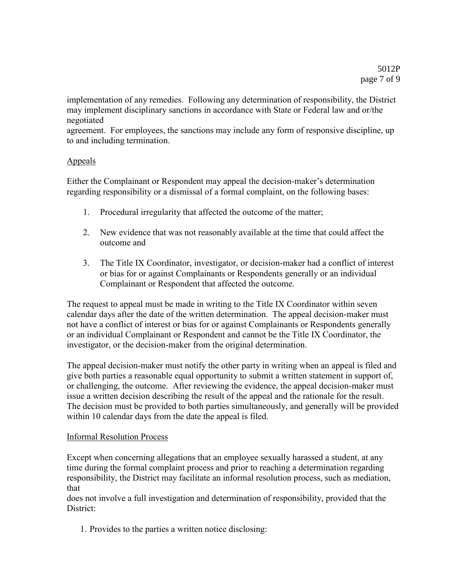implementation of any remedies. Following any determination of responsibility, the District may implement disciplinary sanctions in accordance with State or Federal law and or/the negotiated

agreement. For employees, the sanctions may include any form of responsive discipline, up to and including termination.

# Appeals

Either the Complainant or Respondent may appeal the decision-maker's determination regarding responsibility or a dismissal of a formal complaint, on the following bases:

- 1. Procedural irregularity that affected the outcome of the matter;
- 2. New evidence that was not reasonably available at the time that could affect the outcome and
- 3. The Title IX Coordinator, investigator, or decision-maker had a conflict of interest or bias for or against Complainants or Respondents generally or an individual Complainant or Respondent that affected the outcome.

The request to appeal must be made in writing to the Title IX Coordinator within seven calendar days after the date of the written determination. The appeal decision-maker must not have a conflict of interest or bias for or against Complainants or Respondents generally or an individual Complainant or Respondent and cannot be the Title IX Coordinator, the investigator, or the decision-maker from the original determination.

The appeal decision-maker must notify the other party in writing when an appeal is filed and give both parties a reasonable equal opportunity to submit a written statement in support of, or challenging, the outcome. After reviewing the evidence, the appeal decision-maker must issue a written decision describing the result of the appeal and the rationale for the result. The decision must be provided to both parties simultaneously, and generally will be provided within 10 calendar days from the date the appeal is filed.

# Informal Resolution Process

Except when concerning allegations that an employee sexually harassed a student, at any time during the formal complaint process and prior to reaching a determination regarding responsibility, the District may facilitate an informal resolution process, such as mediation, that

does not involve a full investigation and determination of responsibility, provided that the District:

1. Provides to the parties a written notice disclosing: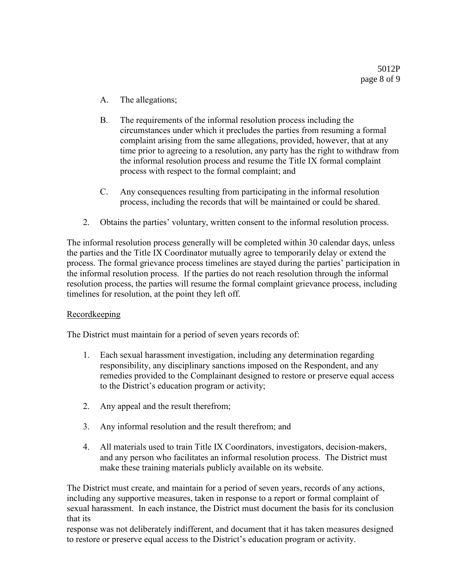- A. The allegations;
- B. The requirements of the informal resolution process including the circumstances under which it precludes the parties from resuming a formal complaint arising from the same allegations, provided, however, that at any time prior to agreeing to a resolution, any party has the right to withdraw from the informal resolution process and resume the Title IX formal complaint process with respect to the formal complaint; and
- C. Any consequences resulting from participating in the informal resolution process, including the records that will be maintained or could be shared.
- 2. Obtains the parties' voluntary, written consent to the informal resolution process.

The informal resolution process generally will be completed within 30 calendar days, unless the parties and the Title IX Coordinator mutually agree to temporarily delay or extend the process. The formal grievance process timelines are stayed during the parties' participation in the informal resolution process. If the parties do not reach resolution through the informal resolution process, the parties will resume the formal complaint grievance process, including timelines for resolution, at the point they left off.

# Recordkeeping

The District must maintain for a period of seven years records of:

- 1. Each sexual harassment investigation, including any determination regarding responsibility, any disciplinary sanctions imposed on the Respondent, and any remedies provided to the Complainant designed to restore or preserve equal access to the District's education program or activity;
- 2. Any appeal and the result therefrom;
- 3. Any informal resolution and the result therefrom; and
- 4. All materials used to train Title IX Coordinators, investigators, decision-makers, and any person who facilitates an informal resolution process. The District must make these training materials publicly available on its website.

The District must create, and maintain for a period of seven years, records of any actions, including any supportive measures, taken in response to a report or formal complaint of sexual harassment. In each instance, the District must document the basis for its conclusion that its

response was not deliberately indifferent, and document that it has taken measures designed to restore or preserve equal access to the District's education program or activity.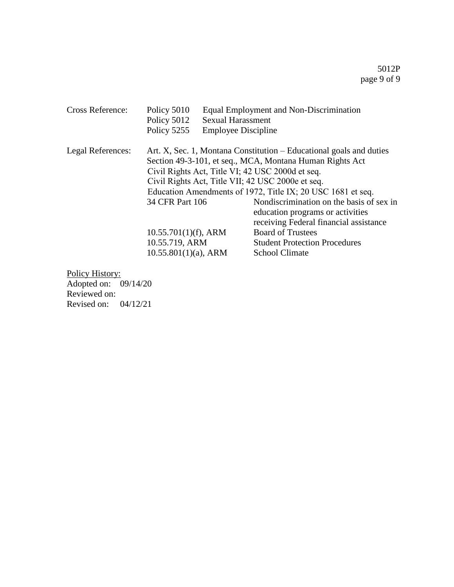| <b>Cross Reference:</b> | Policy 5010             |                            | Equal Employment and Non-Discrimination                             |
|-------------------------|-------------------------|----------------------------|---------------------------------------------------------------------|
|                         | Policy 5012             | <b>Sexual Harassment</b>   |                                                                     |
|                         | Policy 5255             | <b>Employee Discipline</b> |                                                                     |
| Legal References:       |                         |                            | Art. X, Sec. 1, Montana Constitution – Educational goals and duties |
|                         |                         |                            | Section 49-3-101, et seq., MCA, Montana Human Rights Act            |
|                         |                         |                            | Civil Rights Act, Title VI; 42 USC 2000d et seq.                    |
|                         |                         |                            | Civil Rights Act, Title VII; 42 USC 2000e et seq.                   |
|                         |                         |                            | Education Amendments of 1972, Title IX; 20 USC 1681 et seq.         |
|                         | 34 CFR Part 106         |                            | Nondiscrimination on the basis of sex in                            |
|                         |                         |                            | education programs or activities                                    |
|                         |                         |                            | receiving Federal financial assistance                              |
|                         | $10.55.701(1)(f)$ , ARM |                            | <b>Board of Trustees</b>                                            |
|                         | 10.55.719, ARM          |                            | <b>Student Protection Procedures</b>                                |
|                         | $10.55.801(1)(a)$ , ARM |                            | <b>School Climate</b>                                               |
|                         |                         |                            |                                                                     |

Policy History: Adopted on: 09/14/20 Reviewed on: Revised on: 04/12/21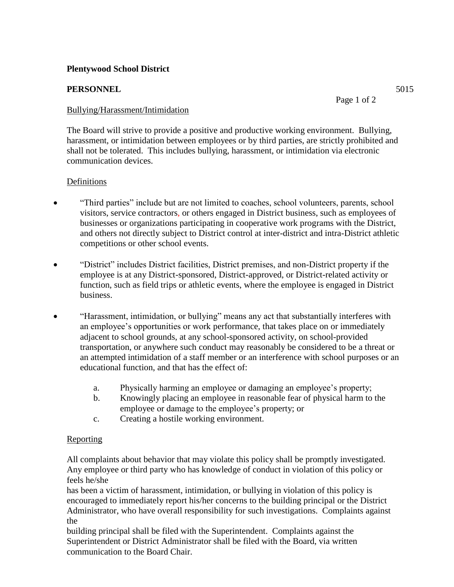# **Plentywood School District**

# **PERSONNEL** 5015

# Bullying/Harassment/Intimidation

The Board will strive to provide a positive and productive working environment. Bullying, harassment, or intimidation between employees or by third parties, are strictly prohibited and shall not be tolerated. This includes bullying, harassment, or intimidation via electronic communication devices.

# Definitions

- "Third parties" include but are not limited to coaches, school volunteers, parents, school visitors, service contractors, or others engaged in District business, such as employees of businesses or organizations participating in cooperative work programs with the District, and others not directly subject to District control at inter-district and intra-District athletic competitions or other school events.
- "District" includes District facilities, District premises, and non-District property if the employee is at any District-sponsored, District-approved, or District-related activity or function, such as field trips or athletic events, where the employee is engaged in District business.
- "Harassment, intimidation, or bullying" means any act that substantially interferes with an employee's opportunities or work performance, that takes place on or immediately adjacent to school grounds, at any school-sponsored activity, on school-provided transportation, or anywhere such conduct may reasonably be considered to be a threat or an attempted intimidation of a staff member or an interference with school purposes or an educational function, and that has the effect of:
	- a. Physically harming an employee or damaging an employee's property;
	- b. Knowingly placing an employee in reasonable fear of physical harm to the employee or damage to the employee's property; or
	- c. Creating a hostile working environment.

# Reporting

All complaints about behavior that may violate this policy shall be promptly investigated. Any employee or third party who has knowledge of conduct in violation of this policy or feels he/she

has been a victim of harassment, intimidation, or bullying in violation of this policy is encouraged to immediately report his/her concerns to the building principal or the District Administrator, who have overall responsibility for such investigations. Complaints against the

building principal shall be filed with the Superintendent. Complaints against the Superintendent or District Administrator shall be filed with the Board, via written communication to the Board Chair.

Page 1 of 2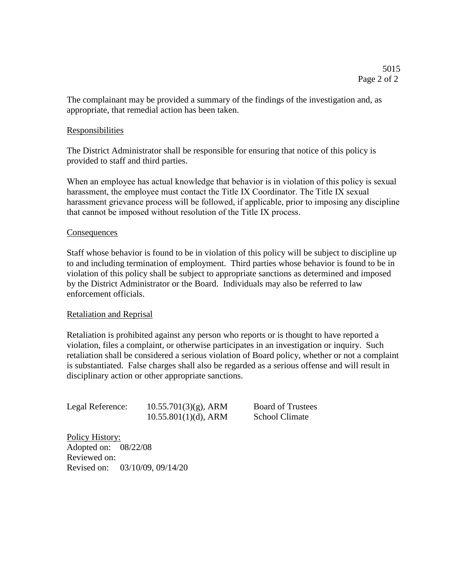The complainant may be provided a summary of the findings of the investigation and, as appropriate, that remedial action has been taken.

# **Responsibilities**

The District Administrator shall be responsible for ensuring that notice of this policy is provided to staff and third parties.

When an employee has actual knowledge that behavior is in violation of this policy is sexual harassment, the employee must contact the Title IX Coordinator. The Title IX sexual harassment grievance process will be followed, if applicable, prior to imposing any discipline that cannot be imposed without resolution of the Title IX process.

# Consequences

Staff whose behavior is found to be in violation of this policy will be subject to discipline up to and including termination of employment. Third parties whose behavior is found to be in violation of this policy shall be subject to appropriate sanctions as determined and imposed by the District Administrator or the Board. Individuals may also be referred to law enforcement officials.

# Retaliation and Reprisal

Retaliation is prohibited against any person who reports or is thought to have reported a violation, files a complaint, or otherwise participates in an investigation or inquiry. Such retaliation shall be considered a serious violation of Board policy, whether or not a complaint is substantiated. False charges shall also be regarded as a serious offense and will result in disciplinary action or other appropriate sanctions.

| Legal Reference: | $10.55.701(3)(g)$ , ARM |
|------------------|-------------------------|
|                  | $10.55.801(1)(d)$ , ARM |

Board of Trustees **School Climate** 

Policy History: Adopted on: 08/22/08 Reviewed on: Revised on: 03/10/09, 09/14/20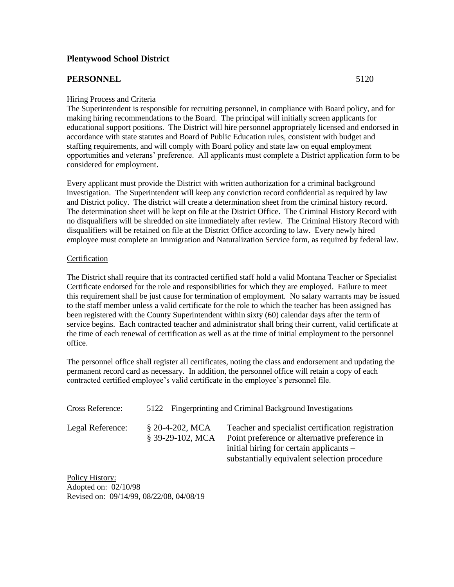# **Plentywood School District**

## **PERSONNEL** 5120

#### Hiring Process and Criteria

The Superintendent is responsible for recruiting personnel, in compliance with Board policy, and for making hiring recommendations to the Board. The principal will initially screen applicants for educational support positions. The District will hire personnel appropriately licensed and endorsed in accordance with state statutes and Board of Public Education rules, consistent with budget and staffing requirements, and will comply with Board policy and state law on equal employment opportunities and veterans' preference. All applicants must complete a District application form to be considered for employment.

Every applicant must provide the District with written authorization for a criminal background investigation. The Superintendent will keep any conviction record confidential as required by law and District policy. The district will create a determination sheet from the criminal history record. The determination sheet will be kept on file at the District Office. The Criminal History Record with no disqualifiers will be shredded on site immediately after review. The Criminal History Record with disqualifiers will be retained on file at the District Office according to law. Every newly hired employee must complete an Immigration and Naturalization Service form, as required by federal law.

#### Certification

The District shall require that its contracted certified staff hold a valid Montana Teacher or Specialist Certificate endorsed for the role and responsibilities for which they are employed. Failure to meet this requirement shall be just cause for termination of employment. No salary warrants may be issued to the staff member unless a valid certificate for the role to which the teacher has been assigned has been registered with the County Superintendent within sixty (60) calendar days after the term of service begins. Each contracted teacher and administrator shall bring their current, valid certificate at the time of each renewal of certification as well as at the time of initial employment to the personnel office.

The personnel office shall register all certificates, noting the class and endorsement and updating the permanent record card as necessary. In addition, the personnel office will retain a copy of each contracted certified employee's valid certificate in the employee's personnel file.

| Cross Reference: | 5122                                  | Fingerprinting and Criminal Background Investigations                                                                                                                                           |
|------------------|---------------------------------------|-------------------------------------------------------------------------------------------------------------------------------------------------------------------------------------------------|
| Legal Reference: | $$20-4-202$ , MCA<br>§ 39-29-102, MCA | Teacher and specialist certification registration<br>Point preference or alternative preference in<br>initial hiring for certain applicants $-$<br>substantially equivalent selection procedure |

Policy History: Adopted on: 02/10/98 Revised on: 09/14/99, 08/22/08, 04/08/19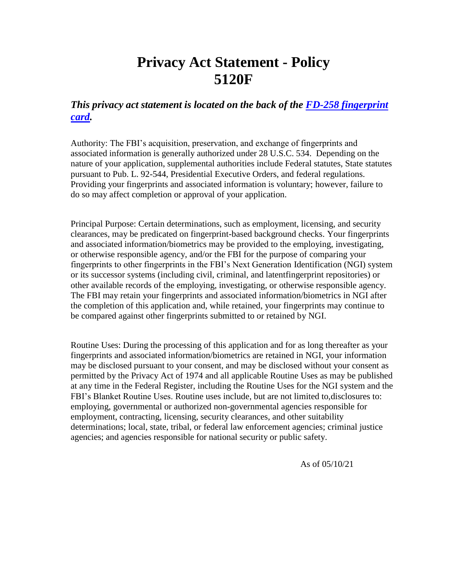# **Privacy Act Statement - Policy 5120F**

# *This privacy act statement is located on the back of the FD-258 [fingerprint](https://www.fbi.gov/file-repository/standard-fingerprint-form-fd-258-1.pdf/view) [card.](https://www.fbi.gov/file-repository/standard-fingerprint-form-fd-258-1.pdf/view)*

Authority: The FBI's acquisition, preservation, and exchange of fingerprints and associated information is generally authorized under 28 U.S.C. 534. Depending on the nature of your application, supplemental authorities include Federal statutes, State statutes pursuant to Pub. L. 92-544, Presidential Executive Orders, and federal regulations. Providing your fingerprints and associated information is voluntary; however, failure to do so may affect completion or approval of your application.

Principal Purpose: Certain determinations, such as employment, licensing, and security clearances, may be predicated on fingerprint-based background checks. Your fingerprints and associated information/biometrics may be provided to the employing, investigating, or otherwise responsible agency, and/or the FBI for the purpose of comparing your fingerprints to other fingerprints in the FBI's Next Generation Identification (NGI) system or its successor systems (including civil, criminal, and latentfingerprint repositories) or other available records of the employing, investigating, or otherwise responsible agency. The FBI may retain your fingerprints and associated information/biometrics in NGI after the completion of this application and, while retained, your fingerprints may continue to be compared against other fingerprints submitted to or retained by NGI.

Routine Uses: During the processing of this application and for as long thereafter as your fingerprints and associated information/biometrics are retained in NGI, your information may be disclosed pursuant to your consent, and may be disclosed without your consent as permitted by the Privacy Act of 1974 and all applicable Routine Uses as may be published at any time in the Federal Register, including the Routine Uses for the NGI system and the FBI's Blanket Routine Uses. Routine uses include, but are not limited to,disclosures to: employing, governmental or authorized non-governmental agencies responsible for employment, contracting, licensing, security clearances, and other suitability determinations; local, state, tribal, or federal law enforcement agencies; criminal justice agencies; and agencies responsible for national security or public safety.

As of 05/10/21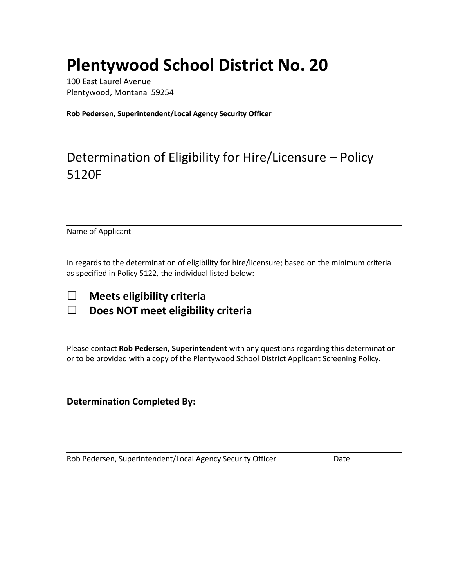# **Plentywood School District No. 20**

100 East Laurel Avenue Plentywood, Montana 59254

**Rob Pedersen, Superintendent/Local Agency Security Officer**

# Determination of Eligibility for Hire/Licensure – Policy 5120F

Name of Applicant

In regards to the determination of eligibility for hire/licensure; based on the minimum criteria as specified in Policy 5122*,* the individual listed below:

| $\Box$ Meets eligibility criteria |  |  |
|-----------------------------------|--|--|
|-----------------------------------|--|--|

# **Does NOT meet eligibility criteria**

Please contact **Rob Pedersen, Superintendent** with any questions regarding this determination or to be provided with a copy of the Plentywood School District Applicant Screening Policy.

**Determination Completed By:** 

Rob Pedersen, Superintendent/Local Agency Security Officer Date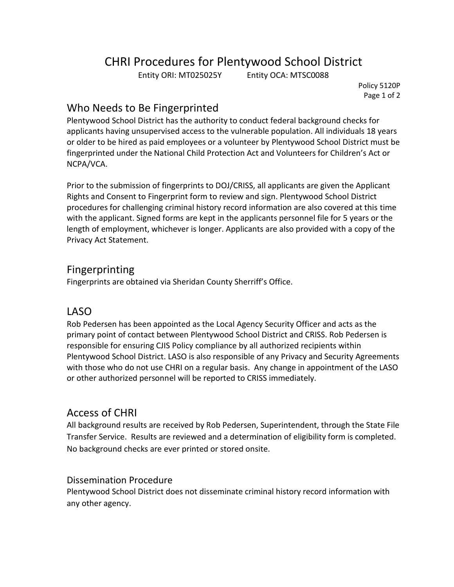# CHRI Procedures for Plentywood School District

Entity ORI: MT025025Y Entity OCA: MTSC0088

 Policy 5120P Page 1 of 2

# Who Needs to Be Fingerprinted

Plentywood School District has the authority to conduct federal background checks for applicants having unsupervised access to the vulnerable population. All individuals 18 years or older to be hired as paid employees or a volunteer by Plentywood School District must be fingerprinted under the National Child Protection Act and Volunteers for Children's Act or NCPA/VCA.

Prior to the submission of fingerprints to DOJ/CRISS, all applicants are given the Applicant Rights and Consent to Fingerprint form to review and sign. Plentywood School District procedures for challenging criminal history record information are also covered at this time with the applicant. Signed forms are kept in the applicants personnel file for 5 years or the length of employment, whichever is longer. Applicants are also provided with a copy of the Privacy Act Statement.

# Fingerprinting

Fingerprints are obtained via Sheridan County Sherriff's Office.

# LASO

Rob Pedersen has been appointed as the Local Agency Security Officer and acts as the primary point of contact between Plentywood School District and CRISS. Rob Pedersen is responsible for ensuring CJIS Policy compliance by all authorized recipients within Plentywood School District. LASO is also responsible of any Privacy and Security Agreements with those who do not use CHRI on a regular basis. Any change in appointment of the LASO or other authorized personnel will be reported to CRISS immediately.

# Access of CHRI

All background results are received by Rob Pedersen, Superintendent, through the State File Transfer Service. Results are reviewed and a determination of eligibility form is completed. No background checks are ever printed or stored onsite.

# Dissemination Procedure

Plentywood School District does not disseminate criminal history record information with any other agency.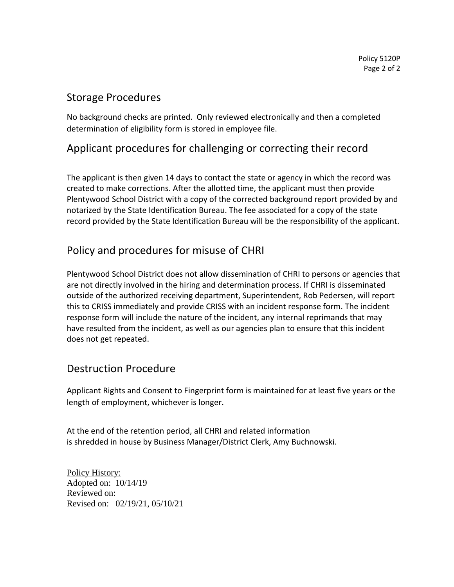# Storage Procedures

No background checks are printed. Only reviewed electronically and then a completed determination of eligibility form is stored in employee file.

# Applicant procedures for challenging or correcting their record

The applicant is then given 14 days to contact the state or agency in which the record was created to make corrections. After the allotted time, the applicant must then provide Plentywood School District with a copy of the corrected background report provided by and notarized by the State Identification Bureau. The fee associated for a copy of the state record provided by the State Identification Bureau will be the responsibility of the applicant.

# Policy and procedures for misuse of CHRI

Plentywood School District does not allow dissemination of CHRI to persons or agencies that are not directly involved in the hiring and determination process. If CHRI is disseminated outside of the authorized receiving department, Superintendent, Rob Pedersen, will report this to CRISS immediately and provide CRISS with an incident response form. The incident response form will include the nature of the incident, any internal reprimands that may have resulted from the incident, as well as our agencies plan to ensure that this incident does not get repeated.

# Destruction Procedure

Applicant Rights and Consent to Fingerprint form is maintained for at least five years or the length of employment, whichever is longer.

At the end of the retention period, all CHRI and related information is shredded in house by Business Manager/District Clerk, Amy Buchnowski.

Policy History: Adopted on: 10/14/19 Reviewed on: Revised on: 02/19/21, 05/10/21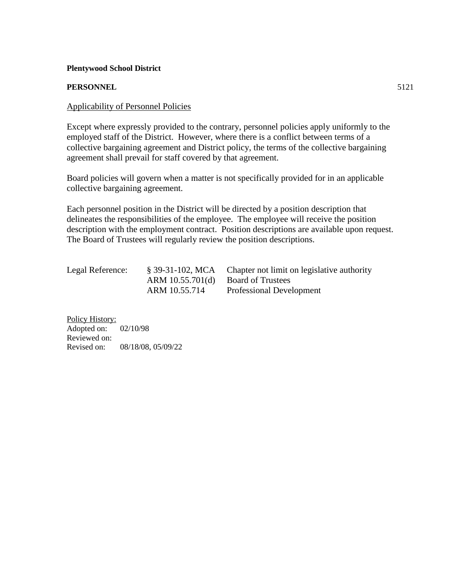## **Plentywood School District**

## **PERSONNEL** 5121

## Applicability of Personnel Policies

Except where expressly provided to the contrary, personnel policies apply uniformly to the employed staff of the District. However, where there is a conflict between terms of a collective bargaining agreement and District policy, the terms of the collective bargaining agreement shall prevail for staff covered by that agreement.

Board policies will govern when a matter is not specifically provided for in an applicable collective bargaining agreement.

Each personnel position in the District will be directed by a position description that delineates the responsibilities of the employee. The employee will receive the position description with the employment contract. Position descriptions are available upon request. The Board of Trustees will regularly review the position descriptions.

Legal Reference: § 39-31-102, MCA Chapter not limit on legislative authority ARM 10.55.701(d) Board of Trustees ARM 10.55.714 Professional Development

Policy History: Adopted on: 02/10/98 Reviewed on: Revised on: 08/18/08, 05/09/22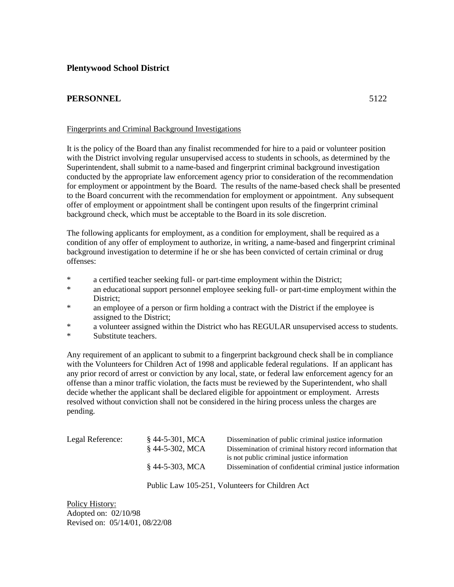# **PERSONNEL** 5122

## Fingerprints and Criminal Background Investigations

It is the policy of the Board than any finalist recommended for hire to a paid or volunteer position with the District involving regular unsupervised access to students in schools, as determined by the Superintendent, shall submit to a name-based and fingerprint criminal background investigation conducted by the appropriate law enforcement agency prior to consideration of the recommendation for employment or appointment by the Board. The results of the name-based check shall be presented to the Board concurrent with the recommendation for employment or appointment. Any subsequent offer of employment or appointment shall be contingent upon results of the fingerprint criminal background check, which must be acceptable to the Board in its sole discretion.

The following applicants for employment, as a condition for employment, shall be required as a condition of any offer of employment to authorize, in writing, a name-based and fingerprint criminal background investigation to determine if he or she has been convicted of certain criminal or drug offenses:

- \* a certified teacher seeking full- or part-time employment within the District;
- \* an educational support personnel employee seeking full- or part-time employment within the District;
- \* an employee of a person or firm holding a contract with the District if the employee is assigned to the District;
- \* a volunteer assigned within the District who has REGULAR unsupervised access to students.
- \* Substitute teachers.

Any requirement of an applicant to submit to a fingerprint background check shall be in compliance with the Volunteers for Children Act of 1998 and applicable federal regulations. If an applicant has any prior record of arrest or conviction by any local, state, or federal law enforcement agency for an offense than a minor traffic violation, the facts must be reviewed by the Superintendent, who shall decide whether the applicant shall be declared eligible for appointment or employment. Arrests resolved without conviction shall not be considered in the hiring process unless the charges are pending.

| Legal Reference: | $§$ 44-5-301, MCA | Dissemination of public criminal justice information       |
|------------------|-------------------|------------------------------------------------------------|
|                  | $$44-5-302$ , MCA | Dissemination of criminal history record information that  |
|                  |                   | is not public criminal justice information                 |
|                  | $$44-5-303$ , MCA | Dissemination of confidential criminal justice information |
|                  |                   |                                                            |

Public Law 105-251, Volunteers for Children Act

Policy History: Adopted on: 02/10/98 Revised on: 05/14/01, 08/22/08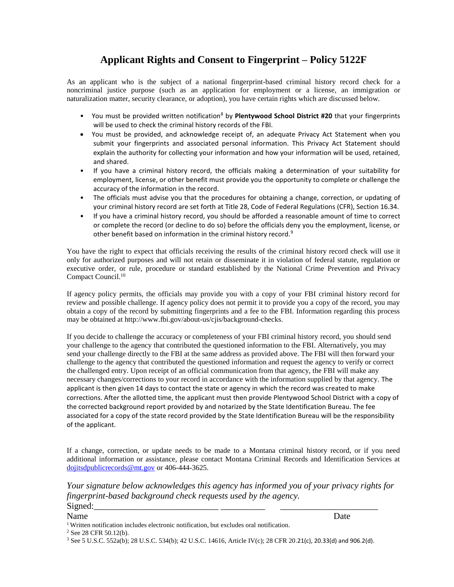# **Applicant Rights and Consent to Fingerprint – Policy 5122F**

As an applicant who is the subject of a national fingerprint-based criminal history record check for a noncriminal justice purpose (such as an application for employment or a license, an immigration or naturalization matter, security clearance, or adoption), you have certain rights which are discussed below.

- You must be provided written notification<sup>8</sup> by Plentywood School District #20 that your fingerprints will be used to check the criminal history records of the FBI.
- You must be provided, and acknowledge receipt of, an adequate Privacy Act Statement when you submit your fingerprints and associated personal information. This Privacy Act Statement should explain the authority for collecting your information and how your information will be used, retained, and shared.
- If you have a criminal history record, the officials making a determination of your suitability for employment, license, or other benefit must provide you the opportunity to complete or challenge the accuracy of the information in the record.
- The officials must advise you that the procedures for obtaining a change, correction, or updating of your criminal history record are set forth at Title 28, Code of Federal Regulations (CFR), Section 16.34.
- If you have a criminal history record, you should be afforded a reasonable amount of time to correct or complete the record (or decline to do so) before the officials deny you the employment, license, or other benefit based on information in the criminal history record.<sup>9</sup>

You have the right to expect that officials receiving the results of the criminal history record check will use it only for authorized purposes and will not retain or disseminate it in violation of federal statute, regulation or executive order, or rule, procedure or standard established by the National Crime Prevention and Privacy Compact Council.<sup>10</sup>

If agency policy permits, the officials may provide you with a copy of your FBI criminal history record for review and possible challenge. If agency policy does not permit it to provide you a copy of the record, you may obtain a copy of the record by submitting fingerprints and a fee to the FBI. Information regarding this process may be obtained at http://www.fbi.gov/about-us/cjis/background-checks.

If you decide to challenge the accuracy or completeness of your FBI criminal history record, you should send your challenge to the agency that contributed the questioned information to the FBI. Alternatively, you may send your challenge directly to the FBI at the same address as provided above. The FBI will then forward your challenge to the agency that contributed the questioned information and request the agency to verify or correct the challenged entry. Upon receipt of an official communication from that agency, the FBI will make any necessary changes/corrections to your record in accordance with the information supplied by that agency. The applicant is then given 14 days to contact the state or agency in which the record was created to make corrections. After the allotted time, the applicant must then provide Plentywood School District with a copy of the corrected background report provided by and notarized by the State Identification Bureau. The fee associated for a copy of the state record provided by the State Identification Bureau will be the responsibility of the applicant.

If a change, correction, or update needs to be made to a Montana criminal history record, or if you need additional information or assistance, please contact Montana Criminal Records and Identification Services at [dojitsdpublicrecords@mt.gov](mailto:dojitsdpublicrecords@mt.gov) or 406-444-3625.

*Your signature below acknowledges this agency has informed you of your privacy rights for fingerprint-based background check requests used by the agency.* Signed:\_\_\_\_\_\_\_\_\_\_\_\_\_\_\_\_\_\_\_\_\_\_\_\_\_\_\_\_ \_\_\_\_\_\_\_\_\_\_ \_\_\_\_\_\_\_\_\_\_\_\_\_\_\_\_\_\_\_\_\_\_

Name Date

<sup>2</sup> See 28 CFR 50.12(b).

<sup>3</sup> See 5 U.S.C. 552a(b); 28 U.S.C. 534(b); 42 U.S.C. 14616, Article IV(c); 28 CFR 20.21(c), 20.33(d) and 906.2(d).

<sup>&</sup>lt;sup>1</sup> Written notification includes electronic notification, but excludes oral notification.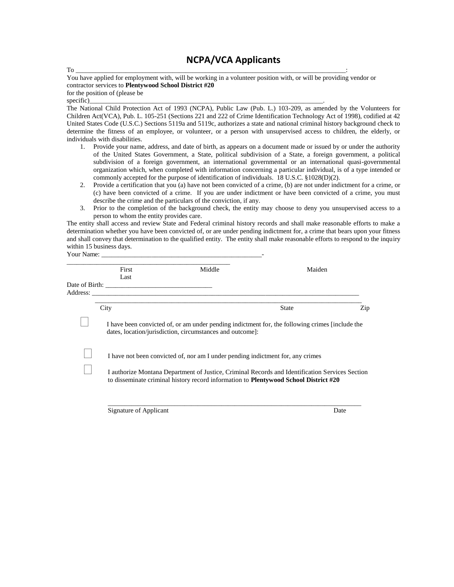# **NCPA/VCA Applicants**

To \_\_\_\_\_\_\_\_\_\_\_\_\_\_\_\_\_\_\_\_\_\_\_\_\_\_\_\_\_\_\_\_\_\_\_\_\_\_\_\_\_\_\_\_\_\_\_\_\_\_\_\_\_\_\_\_\_\_\_\_\_\_\_\_\_\_\_\_\_\_\_\_\_\_\_\_\_\_\_\_\_: You have applied for employment with, will be working in a volunteer position with, or will be providing vendor or contractor services to **Plentywood School District #20** 

for the position of (please be specific)  ${\rm specific})$ 

The National Child Protection Act of 1993 (NCPA), Public Law (Pub. L.) 103-209, as amended by the Volunteers for Children Act(VCA), Pub. L. 105-251 (Sections 221 and 222 of Crime Identification Technology Act of 1998), codified at 42 United States Code (U.S.C.) Sections 5119a and 5119c, authorizes a state and national criminal history background check to determine the fitness of an employee, or volunteer, or a person with unsupervised access to children, the elderly, or individuals with disabilities.

- 1. Provide your name, address, and date of birth, as appears on a document made or issued by or under the authority of the United States Government, a State, political subdivision of a State, a foreign government, a political subdivision of a foreign government, an international governmental or an international quasi-governmental organization which, when completed with information concerning a particular individual, is of a type intended or commonly accepted for the purpose of identification of individuals. 18 U.S.C. §1028(D)(2).
- 2. Provide a certification that you (a) have not been convicted of a crime, (b) are not under indictment for a crime, or (c) have been convicted of a crime. If you are under indictment or have been convicted of a crime, you must describe the crime and the particulars of the conviction, if any.
- 3. Prior to the completion of the background check, the entity may choose to deny you unsupervised access to a person to whom the entity provides care.

The entity shall access and review State and Federal criminal history records and shall make reasonable efforts to make a determination whether you have been convicted of, or are under pending indictment for, a crime that bears upon your fitness and shall convey that determination to the qualified entity. The entity shall make reasonable efforts to respond to the inquiry within 15 business days. Your Name:

| First<br>Last                                                                                                                                                                                                                 | Middle                                                                                                                                                                                         | Maiden       |      |
|-------------------------------------------------------------------------------------------------------------------------------------------------------------------------------------------------------------------------------|------------------------------------------------------------------------------------------------------------------------------------------------------------------------------------------------|--------------|------|
| Address: Analysis and the same state of the state of the state of the state of the state of the state of the state of the state of the state of the state of the state of the state of the state of the state of the state of |                                                                                                                                                                                                |              |      |
| City                                                                                                                                                                                                                          |                                                                                                                                                                                                | <b>State</b> | Zip  |
|                                                                                                                                                                                                                               | I have been convicted of, or am under pending indictment for, the following crimes [include the<br>dates, location/jurisdiction, circumstances and outcome]:                                   |              |      |
|                                                                                                                                                                                                                               | I have not been convicted of, nor am I under pending indictment for, any crimes                                                                                                                |              |      |
|                                                                                                                                                                                                                               | I authorize Montana Department of Justice, Criminal Records and Identification Services Section<br>to disseminate criminal history record information to <b>Plentywood School District</b> #20 |              |      |
| Signature of Applicant                                                                                                                                                                                                        |                                                                                                                                                                                                |              | Date |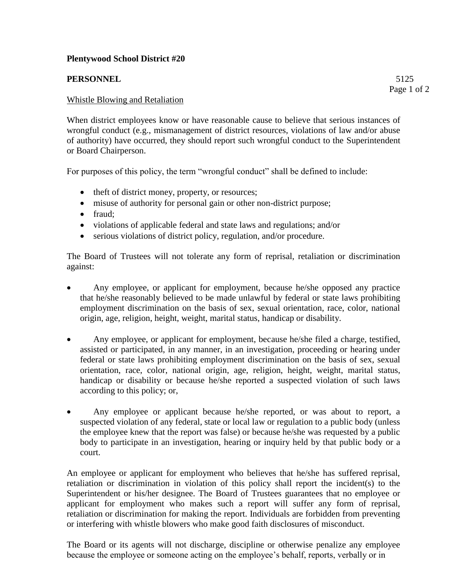# **Plentywood School District #20**

# **PERSONNEL** 5125

Page 1 of 2

# Whistle Blowing and Retaliation

When district employees know or have reasonable cause to believe that serious instances of wrongful conduct (e.g., mismanagement of district resources, violations of law and/or abuse of authority) have occurred, they should report such wrongful conduct to the Superintendent or Board Chairperson.

For purposes of this policy, the term "wrongful conduct" shall be defined to include:

- theft of district money, property, or resources;
- misuse of authority for personal gain or other non-district purpose;
- fraud;
- violations of applicable federal and state laws and regulations; and/or
- serious violations of district policy, regulation, and/or procedure.

The Board of Trustees will not tolerate any form of reprisal, retaliation or discrimination against:

- Any employee, or applicant for employment, because he/she opposed any practice that he/she reasonably believed to be made unlawful by federal or state laws prohibiting employment discrimination on the basis of sex, sexual orientation, race, color, national origin, age, religion, height, weight, marital status, handicap or disability.
- Any employee, or applicant for employment, because he/she filed a charge, testified, assisted or participated, in any manner, in an investigation, proceeding or hearing under federal or state laws prohibiting employment discrimination on the basis of sex, sexual orientation, race, color, national origin, age, religion, height, weight, marital status, handicap or disability or because he/she reported a suspected violation of such laws according to this policy; or,
- Any employee or applicant because he/she reported, or was about to report, a suspected violation of any federal, state or local law or regulation to a public body (unless the employee knew that the report was false) or because he/she was requested by a public body to participate in an investigation, hearing or inquiry held by that public body or a court.

An employee or applicant for employment who believes that he/she has suffered reprisal, retaliation or discrimination in violation of this policy shall report the incident(s) to the Superintendent or his/her designee. The Board of Trustees guarantees that no employee or applicant for employment who makes such a report will suffer any form of reprisal, retaliation or discrimination for making the report. Individuals are forbidden from preventing or interfering with whistle blowers who make good faith disclosures of misconduct.

The Board or its agents will not discharge, discipline or otherwise penalize any employee because the employee or someone acting on the employee's behalf, reports, verbally or in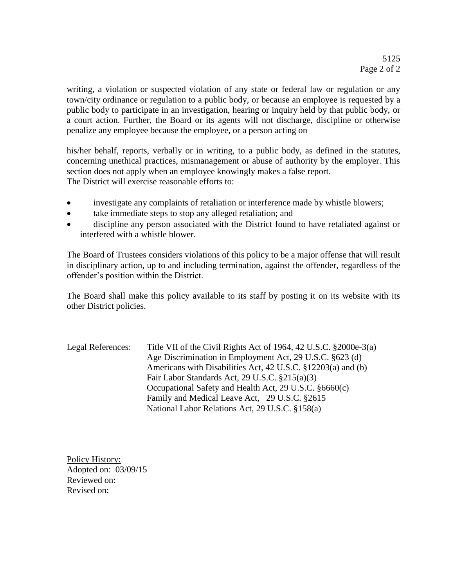writing, a violation or suspected violation of any state or federal law or regulation or any town/city ordinance or regulation to a public body, or because an employee is requested by a public body to participate in an investigation, hearing or inquiry held by that public body, or a court action. Further, the Board or its agents will not discharge, discipline or otherwise penalize any employee because the employee, or a person acting on

his/her behalf, reports, verbally or in writing, to a public body, as defined in the statutes, concerning unethical practices, mismanagement or abuse of authority by the employer. This section does not apply when an employee knowingly makes a false report. The District will exercise reasonable efforts to:

- investigate any complaints of retaliation or interference made by whistle blowers;
- take immediate steps to stop any alleged retaliation; and
- discipline any person associated with the District found to have retaliated against or interfered with a whistle blower.

The Board of Trustees considers violations of this policy to be a major offense that will result in disciplinary action, up to and including termination, against the offender, regardless of the offender's position within the District.

The Board shall make this policy available to its staff by posting it on its website with its other District policies.

Legal References: Title VII of the Civil Rights Act of 1964, 42 U.S.C. §2000e-3(a) Age Discrimination in Employment Act, 29 U.S.C. §623 (d) Americans with Disabilities Act, 42 U.S.C. §12203(a) and (b) Fair Labor Standards Act, 29 U.S.C. §215(a)(3) Occupational Safety and Health Act, 29 U.S.C. §6660(c) Family and Medical Leave Act, 29 U.S.C. §2615 National Labor Relations Act, 29 U.S.C. §158(a)

Policy History: Adopted on: 03/09/15 Reviewed on: Revised on: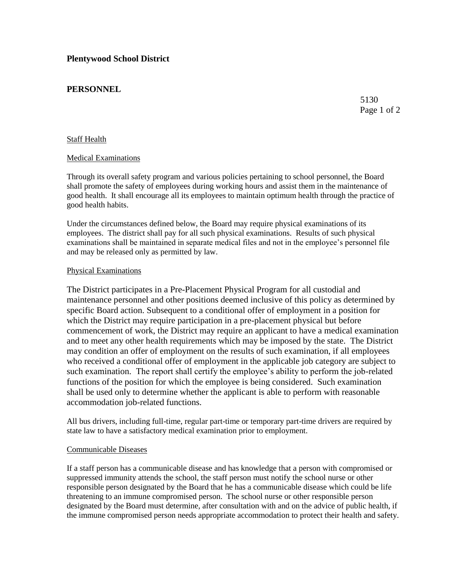# **PERSONNEL**

5130 Page 1 of 2

# Staff Health

## Medical Examinations

Through its overall safety program and various policies pertaining to school personnel, the Board shall promote the safety of employees during working hours and assist them in the maintenance of good health. It shall encourage all its employees to maintain optimum health through the practice of good health habits.

Under the circumstances defined below, the Board may require physical examinations of its employees. The district shall pay for all such physical examinations. Results of such physical examinations shall be maintained in separate medical files and not in the employee's personnel file and may be released only as permitted by law.

## Physical Examinations

The District participates in a Pre-Placement Physical Program for all custodial and maintenance personnel and other positions deemed inclusive of this policy as determined by specific Board action. Subsequent to a conditional offer of employment in a position for which the District may require participation in a pre-placement physical but before commencement of work, the District may require an applicant to have a medical examination and to meet any other health requirements which may be imposed by the state. The District may condition an offer of employment on the results of such examination, if all employees who received a conditional offer of employment in the applicable job category are subject to such examination. The report shall certify the employee's ability to perform the job-related functions of the position for which the employee is being considered. Such examination shall be used only to determine whether the applicant is able to perform with reasonable accommodation job-related functions.

All bus drivers, including full-time, regular part-time or temporary part-time drivers are required by state law to have a satisfactory medical examination prior to employment.

## Communicable Diseases

If a staff person has a communicable disease and has knowledge that a person with compromised or suppressed immunity attends the school, the staff person must notify the school nurse or other responsible person designated by the Board that he has a communicable disease which could be life threatening to an immune compromised person. The school nurse or other responsible person designated by the Board must determine, after consultation with and on the advice of public health, if the immune compromised person needs appropriate accommodation to protect their health and safety.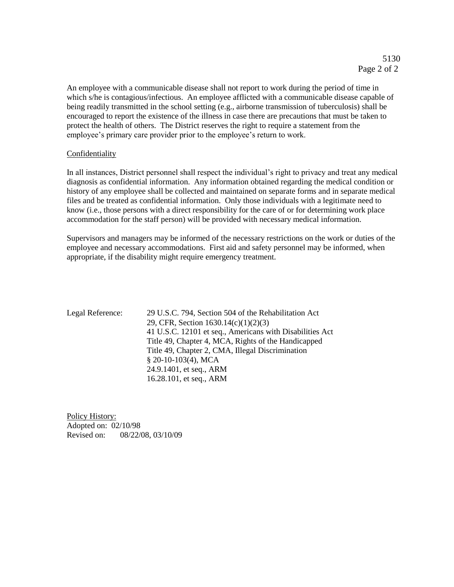An employee with a communicable disease shall not report to work during the period of time in which s/he is contagious/infectious. An employee afflicted with a communicable disease capable of being readily transmitted in the school setting (e.g., airborne transmission of tuberculosis) shall be encouraged to report the existence of the illness in case there are precautions that must be taken to protect the health of others. The District reserves the right to require a statement from the employee's primary care provider prior to the employee's return to work.

#### Confidentiality

In all instances, District personnel shall respect the individual's right to privacy and treat any medical diagnosis as confidential information. Any information obtained regarding the medical condition or history of any employee shall be collected and maintained on separate forms and in separate medical files and be treated as confidential information. Only those individuals with a legitimate need to know (i.e., those persons with a direct responsibility for the care of or for determining work place accommodation for the staff person) will be provided with necessary medical information.

Supervisors and managers may be informed of the necessary restrictions on the work or duties of the employee and necessary accommodations. First aid and safety personnel may be informed, when appropriate, if the disability might require emergency treatment.

| Legal Reference: | 29 U.S.C. 794, Section 504 of the Rehabilitation Act     |
|------------------|----------------------------------------------------------|
|                  | 29, CFR, Section 1630.14(c)(1)(2)(3)                     |
|                  | 41 U.S.C. 12101 et seq., Americans with Disabilities Act |
|                  | Title 49, Chapter 4, MCA, Rights of the Handicapped      |
|                  | Title 49, Chapter 2, CMA, Illegal Discrimination         |
|                  | $$20-10-103(4)$ , MCA                                    |
|                  | 24.9.1401, et seq., ARM                                  |
|                  | 16.28.101, et seq., ARM                                  |

Policy History: Adopted on: 02/10/98 Revised on: 08/22/08, 03/10/09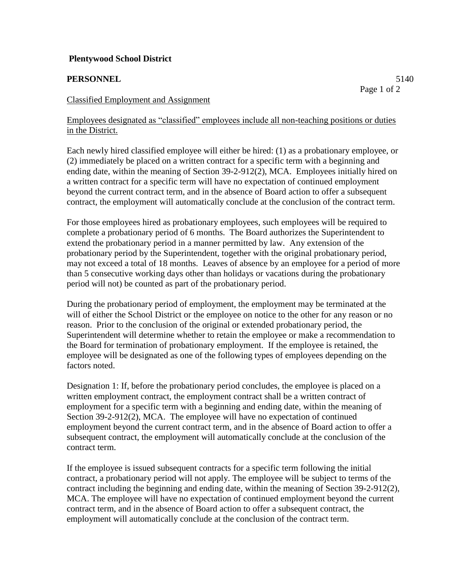# **Plentywood School District**

# **PERSONNEL** 5140

# Classified Employment and Assignment

# Employees designated as "classified" employees include all non-teaching positions or duties in the District.

Each newly hired classified employee will either be hired: (1) as a probationary employee, or (2) immediately be placed on a written contract for a specific term with a beginning and ending date, within the meaning of Section 39-2-912(2), MCA. Employees initially hired on a written contract for a specific term will have no expectation of continued employment beyond the current contract term, and in the absence of Board action to offer a subsequent contract, the employment will automatically conclude at the conclusion of the contract term.

For those employees hired as probationary employees, such employees will be required to complete a probationary period of 6 months. The Board authorizes the Superintendent to extend the probationary period in a manner permitted by law. Any extension of the probationary period by the Superintendent, together with the original probationary period, may not exceed a total of 18 months. Leaves of absence by an employee for a period of more than 5 consecutive working days other than holidays or vacations during the probationary period will not) be counted as part of the probationary period.

During the probationary period of employment, the employment may be terminated at the will of either the School District or the employee on notice to the other for any reason or no reason. Prior to the conclusion of the original or extended probationary period, the Superintendent will determine whether to retain the employee or make a recommendation to the Board for termination of probationary employment. If the employee is retained, the employee will be designated as one of the following types of employees depending on the factors noted.

Designation 1: If, before the probationary period concludes, the employee is placed on a written employment contract, the employment contract shall be a written contract of employment for a specific term with a beginning and ending date, within the meaning of Section 39-2-912(2), MCA. The employee will have no expectation of continued employment beyond the current contract term, and in the absence of Board action to offer a subsequent contract, the employment will automatically conclude at the conclusion of the contract term.

If the employee is issued subsequent contracts for a specific term following the initial contract, a probationary period will not apply. The employee will be subject to terms of the contract including the beginning and ending date, within the meaning of Section 39-2-912(2), MCA. The employee will have no expectation of continued employment beyond the current contract term, and in the absence of Board action to offer a subsequent contract, the employment will automatically conclude at the conclusion of the contract term.

Page 1 of 2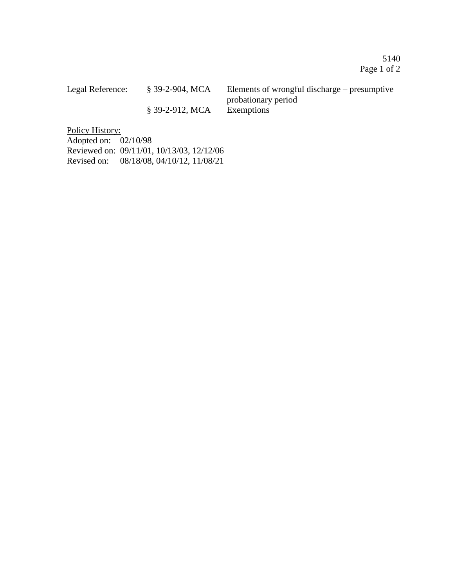Legal Reference: § 39-2-904, MCA Elements of wrongful discharge – presumptive probationary period<br>Exemptions

§ 39-2-912, MCA

Policy History: Adopted on: 02/10/98 Reviewed on: 09/11/01, 10/13/03, 12/12/06 Revised on: 08/18/08, 04/10/12, 11/08/21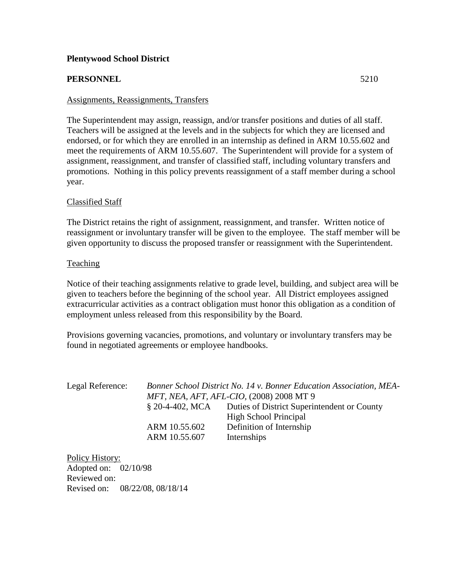# Assignments, Reassignments, Transfers

The Superintendent may assign, reassign, and/or transfer positions and duties of all staff. Teachers will be assigned at the levels and in the subjects for which they are licensed and endorsed, or for which they are enrolled in an internship as defined in ARM 10.55.602 and meet the requirements of ARM 10.55.607. The Superintendent will provide for a system of assignment, reassignment, and transfer of classified staff, including voluntary transfers and promotions. Nothing in this policy prevents reassignment of a staff member during a school year.

# Classified Staff

The District retains the right of assignment, reassignment, and transfer. Written notice of reassignment or involuntary transfer will be given to the employee. The staff member will be given opportunity to discuss the proposed transfer or reassignment with the Superintendent.

### **Teaching**

Notice of their teaching assignments relative to grade level, building, and subject area will be given to teachers before the beginning of the school year. All District employees assigned extracurricular activities as a contract obligation must honor this obligation as a condition of employment unless released from this responsibility by the Board.

Provisions governing vacancies, promotions, and voluntary or involuntary transfers may be found in negotiated agreements or employee handbooks.

| Legal Reference: | Bonner School District No. 14 v. Bonner Education Association, MEA-<br>MFT, NEA, AFT, AFL-CIO, (2008) 2008 MT 9 |                                             |
|------------------|-----------------------------------------------------------------------------------------------------------------|---------------------------------------------|
|                  | § 20-4-402, MCA                                                                                                 | Duties of District Superintendent or County |
|                  |                                                                                                                 | <b>High School Principal</b>                |
|                  | ARM 10.55.602                                                                                                   | Definition of Internship                    |
|                  | ARM 10.55.607                                                                                                   | Internships                                 |

Policy History: Adopted on: 02/10/98 Reviewed on: Revised on: 08/22/08, 08/18/14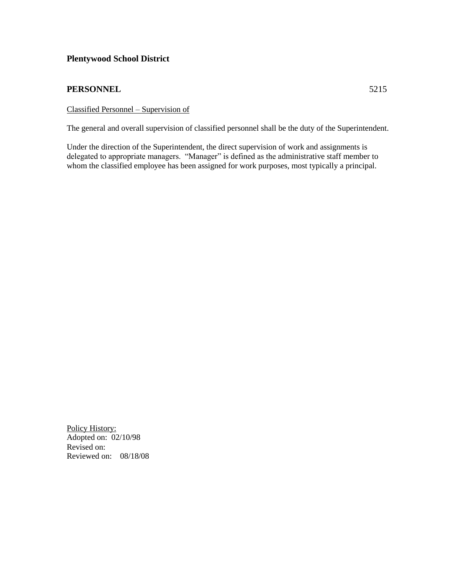#### Classified Personnel – Supervision of

The general and overall supervision of classified personnel shall be the duty of the Superintendent.

Under the direction of the Superintendent, the direct supervision of work and assignments is delegated to appropriate managers. "Manager" is defined as the administrative staff member to whom the classified employee has been assigned for work purposes, most typically a principal.

Policy History: Adopted on: 02/10/98 Revised on: Reviewed on: 08/18/08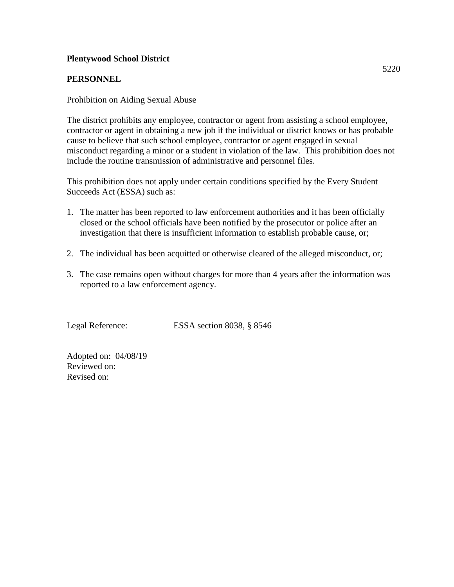# **PERSONNEL**

# Prohibition on Aiding Sexual Abuse

The district prohibits any employee, contractor or agent from assisting a school employee, contractor or agent in obtaining a new job if the individual or district knows or has probable cause to believe that such school employee, contractor or agent engaged in sexual misconduct regarding a minor or a student in violation of the law. This prohibition does not include the routine transmission of administrative and personnel files.

This prohibition does not apply under certain conditions specified by the Every Student Succeeds Act (ESSA) such as:

- 1. The matter has been reported to law enforcement authorities and it has been officially closed or the school officials have been notified by the prosecutor or police after an investigation that there is insufficient information to establish probable cause, or;
- 2. The individual has been acquitted or otherwise cleared of the alleged misconduct, or;
- 3. The case remains open without charges for more than 4 years after the information was reported to a law enforcement agency.

Legal Reference: ESSA section 8038, § 8546

Adopted on: 04/08/19 Reviewed on: Revised on: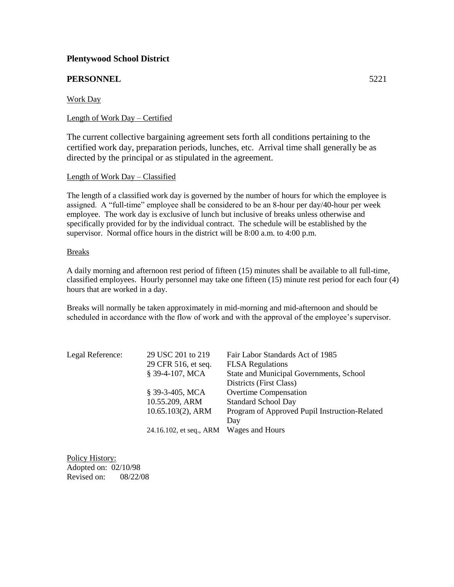### **PERSONNEL** 5221

#### Work Day

#### Length of Work Day – Certified

The current collective bargaining agreement sets forth all conditions pertaining to the certified work day, preparation periods, lunches, etc. Arrival time shall generally be as directed by the principal or as stipulated in the agreement.

#### Length of Work Day – Classified

The length of a classified work day is governed by the number of hours for which the employee is assigned. A "full-time" employee shall be considered to be an 8-hour per day/40-hour per week employee. The work day is exclusive of lunch but inclusive of breaks unless otherwise and specifically provided for by the individual contract. The schedule will be established by the supervisor. Normal office hours in the district will be 8:00 a.m. to 4:00 p.m.

#### Breaks

A daily morning and afternoon rest period of fifteen (15) minutes shall be available to all full-time, classified employees. Hourly personnel may take one fifteen (15) minute rest period for each four (4) hours that are worked in a day.

Breaks will normally be taken approximately in mid-morning and mid-afternoon and should be scheduled in accordance with the flow of work and with the approval of the employee's supervisor.

| Legal Reference: | 29 USC 201 to 219<br>29 CFR 516, et seq. | Fair Labor Standards Act of 1985<br><b>FLSA</b> Regulations |
|------------------|------------------------------------------|-------------------------------------------------------------|
|                  | § 39-4-107, MCA                          | State and Municipal Governments, School                     |
|                  |                                          | Districts (First Class)                                     |
|                  | § 39-3-405, MCA                          | <b>Overtime Compensation</b>                                |
|                  | 10.55.209, ARM                           | <b>Standard School Day</b>                                  |
|                  | $10.65.103(2)$ , ARM                     | Program of Approved Pupil Instruction-Related               |
|                  |                                          | Day                                                         |
|                  | 24.16.102, et seq., ARM                  | Wages and Hours                                             |

Policy History: Adopted on: 02/10/98 Revised on: 08/22/08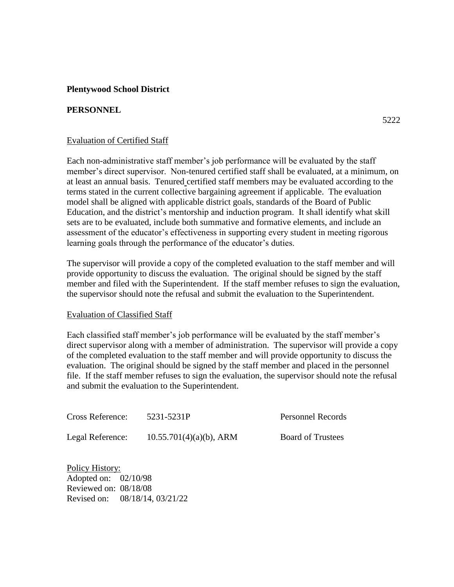### **PERSONNEL**

### Evaluation of Certified Staff

Each non-administrative staff member's job performance will be evaluated by the staff member's direct supervisor. Non-tenured certified staff shall be evaluated, at a minimum, on at least an annual basis. Tenured certified staff members may be evaluated according to the terms stated in the current collective bargaining agreement if applicable. The evaluation model shall be aligned with applicable district goals, standards of the Board of Public Education, and the district's mentorship and induction program. It shall identify what skill sets are to be evaluated, include both summative and formative elements, and include an assessment of the educator's effectiveness in supporting every student in meeting rigorous learning goals through the performance of the educator's duties.

The supervisor will provide a copy of the completed evaluation to the staff member and will provide opportunity to discuss the evaluation. The original should be signed by the staff member and filed with the Superintendent. If the staff member refuses to sign the evaluation, the supervisor should note the refusal and submit the evaluation to the Superintendent.

#### Evaluation of Classified Staff

Each classified staff member's job performance will be evaluated by the staff member's direct supervisor along with a member of administration. The supervisor will provide a copy of the completed evaluation to the staff member and will provide opportunity to discuss the evaluation. The original should be signed by the staff member and placed in the personnel file. If the staff member refuses to sign the evaluation, the supervisor should note the refusal and submit the evaluation to the Superintendent.

| <b>Cross Reference:</b> | 5231-5231P                 | Personnel Records        |
|-------------------------|----------------------------|--------------------------|
| Legal Reference:        | $10.55.701(4)(a)(b)$ , ARM | <b>Board of Trustees</b> |

Policy History: Adopted on: 02/10/98 Reviewed on: 08/18/08 Revised on: 08/18/14, 03/21/22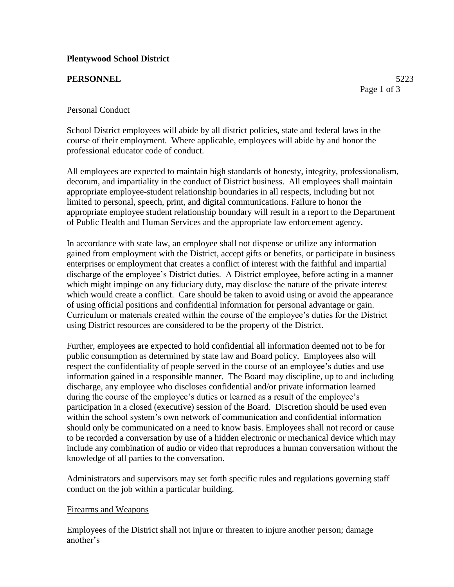Page 1 of 3

# Personal Conduct

School District employees will abide by all district policies, state and federal laws in the course of their employment. Where applicable, employees will abide by and honor the professional educator code of conduct.

All employees are expected to maintain high standards of honesty, integrity, professionalism, decorum, and impartiality in the conduct of District business. All employees shall maintain appropriate employee-student relationship boundaries in all respects, including but not limited to personal, speech, print, and digital communications. Failure to honor the appropriate employee student relationship boundary will result in a report to the Department of Public Health and Human Services and the appropriate law enforcement agency.

In accordance with state law, an employee shall not dispense or utilize any information gained from employment with the District, accept gifts or benefits, or participate in business enterprises or employment that creates a conflict of interest with the faithful and impartial discharge of the employee's District duties. A District employee, before acting in a manner which might impinge on any fiduciary duty, may disclose the nature of the private interest which would create a conflict. Care should be taken to avoid using or avoid the appearance of using official positions and confidential information for personal advantage or gain. Curriculum or materials created within the course of the employee's duties for the District using District resources are considered to be the property of the District.

Further, employees are expected to hold confidential all information deemed not to be for public consumption as determined by state law and Board policy. Employees also will respect the confidentiality of people served in the course of an employee's duties and use information gained in a responsible manner. The Board may discipline, up to and including discharge, any employee who discloses confidential and/or private information learned during the course of the employee's duties or learned as a result of the employee's participation in a closed (executive) session of the Board. Discretion should be used even within the school system's own network of communication and confidential information should only be communicated on a need to know basis. Employees shall not record or cause to be recorded a conversation by use of a hidden electronic or mechanical device which may include any combination of audio or video that reproduces a human conversation without the knowledge of all parties to the conversation.

Administrators and supervisors may set forth specific rules and regulations governing staff conduct on the job within a particular building.

# Firearms and Weapons

Employees of the District shall not injure or threaten to injure another person; damage another's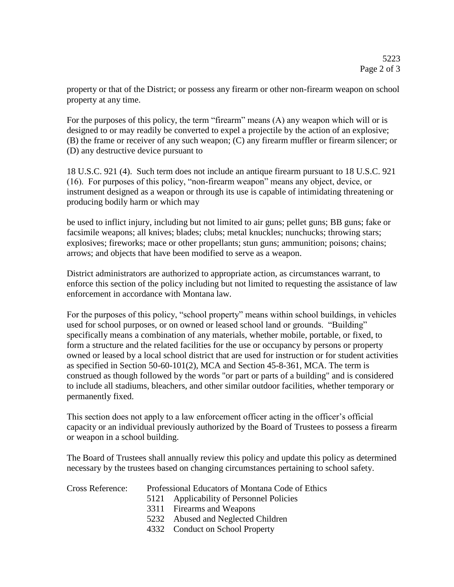property or that of the District; or possess any firearm or other non-firearm weapon on school property at any time.

For the purposes of this policy, the term "firearm" means (A) any weapon which will or is designed to or may readily be converted to expel a projectile by the action of an explosive; (B) the frame or receiver of any such weapon; (C) any firearm muffler or firearm silencer; or (D) any destructive device pursuant to

18 U.S.C. 921 (4). Such term does not include an antique firearm pursuant to 18 U.S.C. 921 (16). For purposes of this policy, "non-firearm weapon" means any object, device, or instrument designed as a weapon or through its use is capable of intimidating threatening or producing bodily harm or which may

be used to inflict injury, including but not limited to air guns; pellet guns; BB guns; fake or facsimile weapons; all knives; blades; clubs; metal knuckles; nunchucks; throwing stars; explosives; fireworks; mace or other propellants; stun guns; ammunition; poisons; chains; arrows; and objects that have been modified to serve as a weapon.

District administrators are authorized to appropriate action, as circumstances warrant, to enforce this section of the policy including but not limited to requesting the assistance of law enforcement in accordance with Montana law.

For the purposes of this policy, "school property" means within school buildings, in vehicles used for school purposes, or on owned or leased school land or grounds. "Building" specifically means a combination of any materials, whether mobile, portable, or fixed, to form a structure and the related facilities for the use or occupancy by persons or property owned or leased by a local school district that are used for instruction or for student activities as specified in Section 50-60-101(2), MCA and Section 45-8-361, MCA. The term is construed as though followed by the words "or part or parts of a building" and is considered to include all stadiums, bleachers, and other similar outdoor facilities, whether temporary or permanently fixed.

This section does not apply to a law enforcement officer acting in the officer's official capacity or an individual previously authorized by the Board of Trustees to possess a firearm or weapon in a school building.

The Board of Trustees shall annually review this policy and update this policy as determined necessary by the trustees based on changing circumstances pertaining to school safety.

Cross Reference: Professional Educators of Montana Code of Ethics

- 5121 Applicability of Personnel Policies
- 3311 Firearms and Weapons
- 5232 Abused and Neglected Children
- 4332 Conduct on School Property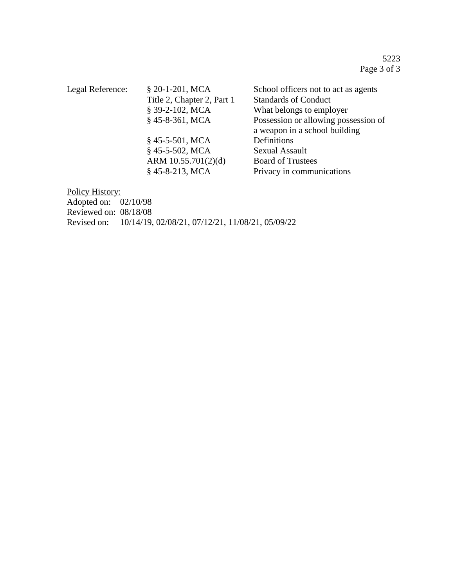| Legal Reference: | § 20-1-201, MCA            | School officers not to act as agents |
|------------------|----------------------------|--------------------------------------|
|                  | Title 2, Chapter 2, Part 1 | <b>Standards of Conduct</b>          |
|                  | § 39-2-102, MCA            | What belongs to employer             |
|                  | $§$ 45-8-361, MCA          | Possession or allowing possession of |
|                  |                            | a weapon in a school building        |
|                  | $§$ 45-5-501, MCA          | Definitions                          |
|                  | $$45-5-502, MCA$           | <b>Sexual Assault</b>                |
|                  | ARM 10.55.701(2)(d)        | <b>Board of Trustees</b>             |
|                  | $§$ 45-8-213, MCA          | Privacy in communications            |
| Policy History   |                            |                                      |

Policy History:

Adopted on: 02/10/98 Reviewed on: 08/18/08 Revised on: 10/14/19, 02/08/21, 07/12/21, 11/08/21, 05/09/22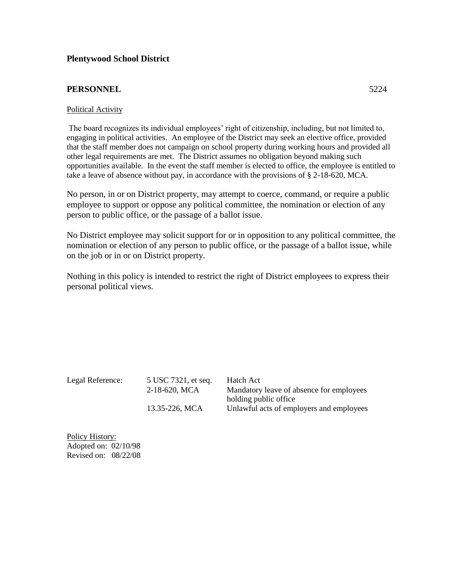#### **PERSONNEL** 5224

#### Political Activity

The board recognizes its individual employees' right of citizenship, including, but not limited to, engaging in political activities. An employee of the District may seek an elective office, provided that the staff member does not campaign on school property during working hours and provided all other legal requirements are met. The District assumes no obligation beyond making such opportunities available. In the event the staff member is elected to office, the employee is entitled to take a leave of absence without pay, in accordance with the provisions of § 2-18-620, MCA.

No person, in or on District property, may attempt to coerce, command, or require a public employee to support or oppose any political committee, the nomination or election of any person to public office, or the passage of a ballot issue.

No District employee may solicit support for or in opposition to any political committee, the nomination or election of any person to public office, or the passage of a ballot issue, while on the job or in or on District property.

Nothing in this policy is intended to restrict the right of District employees to express their personal political views.

Legal Reference: 5 USC 7321, et seq. Hatch Act 2-18-620, MCA Mandatory leave of absence for employees holding public office 13.35-226, MCA Unlawful acts of employers and employees

Policy History: Adopted on: 02/10/98 Revised on: 08/22/08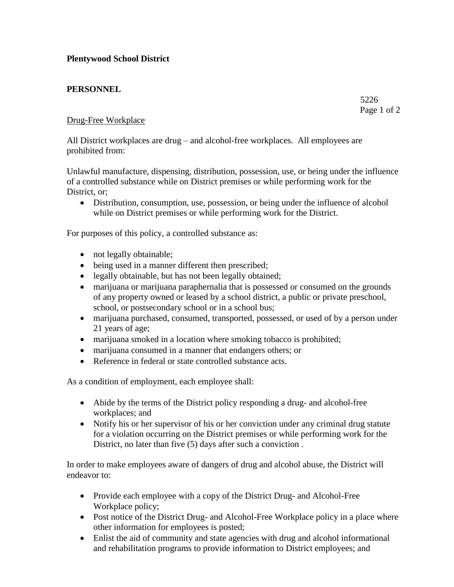5226 Page 1 of 2

# Drug-Free Workplace

All District workplaces are drug – and alcohol-free workplaces. All employees are prohibited from:

Unlawful manufacture, dispensing, distribution, possession, use, or being under the influence of a controlled substance while on District premises or while performing work for the District, or;

• Distribution, consumption, use, possession, or being under the influence of alcohol while on District premises or while performing work for the District.

For purposes of this policy, a controlled substance as:

- not legally obtainable;
- being used in a manner different then prescribed;
- legally obtainable, but has not been legally obtained;
- marijuana or marijuana paraphernalia that is possessed or consumed on the grounds of any property owned or leased by a school district, a public or private preschool, school, or postsecondary school or in a school bus;
- marijuana purchased, consumed, transported, possessed, or used of by a person under 21 years of age;
- marijuana smoked in a location where smoking tobacco is prohibited;
- marijuana consumed in a manner that endangers others; or
- Reference in federal or state controlled substance acts.

As a condition of employment, each employee shall:

- Abide by the terms of the District policy responding a drug- and alcohol-free workplaces; and
- Notify his or her supervisor of his or her conviction under any criminal drug statute for a violation occurring on the District premises or while performing work for the District, no later than five (5) days after such a conviction .

In order to make employees aware of dangers of drug and alcohol abuse, the District will endeavor to:

- Provide each employee with a copy of the District Drug- and Alcohol-Free Workplace policy;
- Post notice of the District Drug- and Alcohol-Free Workplace policy in a place where other information for employees is posted;
- Enlist the aid of community and state agencies with drug and alcohol informational and rehabilitation programs to provide information to District employees; and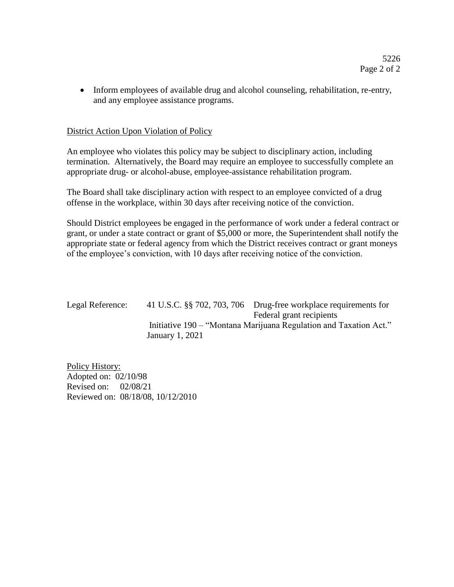• Inform employees of available drug and alcohol counseling, rehabilitation, re-entry, and any employee assistance programs.

# District Action Upon Violation of Policy

An employee who violates this policy may be subject to disciplinary action, including termination. Alternatively, the Board may require an employee to successfully complete an appropriate drug- or alcohol-abuse, employee-assistance rehabilitation program.

The Board shall take disciplinary action with respect to an employee convicted of a drug offense in the workplace, within 30 days after receiving notice of the conviction.

Should District employees be engaged in the performance of work under a federal contract or grant, or under a state contract or grant of \$5,000 or more, the Superintendent shall notify the appropriate state or federal agency from which the District receives contract or grant moneys of the employee's conviction, with 10 days after receiving notice of the conviction.

| Legal Reference: |                 | 41 U.S.C. §§ 702, 703, 706 Drug-free workplace requirements for   |
|------------------|-----------------|-------------------------------------------------------------------|
|                  |                 | Federal grant recipients                                          |
|                  |                 | Initiative 190 – "Montana Marijuana Regulation and Taxation Act." |
|                  | January 1, 2021 |                                                                   |

Policy History: Adopted on: 02/10/98 Revised on: 02/08/21 Reviewed on: 08/18/08, 10/12/2010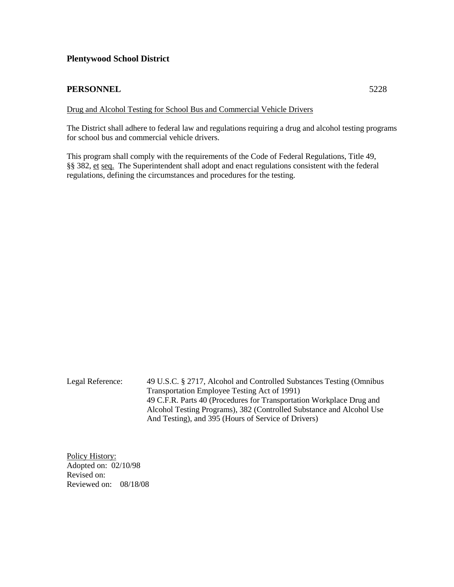Drug and Alcohol Testing for School Bus and Commercial Vehicle Drivers

The District shall adhere to federal law and regulations requiring a drug and alcohol testing programs for school bus and commercial vehicle drivers.

This program shall comply with the requirements of the Code of Federal Regulations, Title 49, §§ 382, et seq. The Superintendent shall adopt and enact regulations consistent with the federal regulations, defining the circumstances and procedures for the testing.

Legal Reference: 49 U.S.C. § 2717, Alcohol and Controlled Substances Testing (Omnibus Transportation Employee Testing Act of 1991) 49 C.F.R. Parts 40 (Procedures for Transportation Workplace Drug and Alcohol Testing Programs), 382 (Controlled Substance and Alcohol Use And Testing), and 395 (Hours of Service of Drivers)

Policy History: Adopted on: 02/10/98 Revised on: Reviewed on: 08/18/08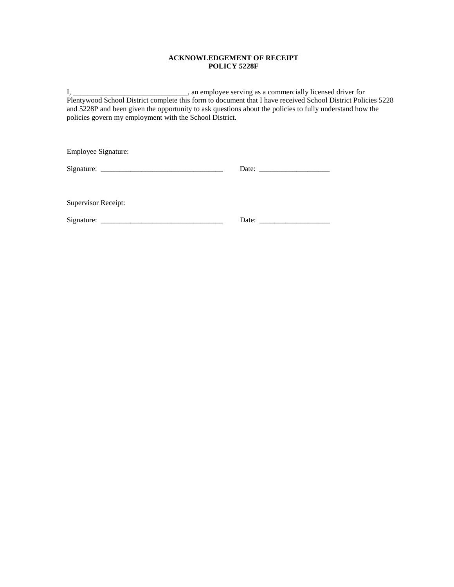#### **ACKNOWLEDGEMENT OF RECEIPT POLICY 5228F**

I, \_\_\_\_\_\_\_\_\_\_\_\_\_\_\_\_\_\_\_\_\_\_\_\_\_\_\_\_, an employee serving as a commercially licensed driver for Plentywood School District complete this form to document that I have received School District Policies 5228 and 5228P and been given the opportunity to ask questions about the policies to fully understand how the policies govern my employment with the School District.

| <b>Employee Signature:</b> |  |
|----------------------------|--|
|                            |  |
|                            |  |
| <b>Supervisor Receipt:</b> |  |
|                            |  |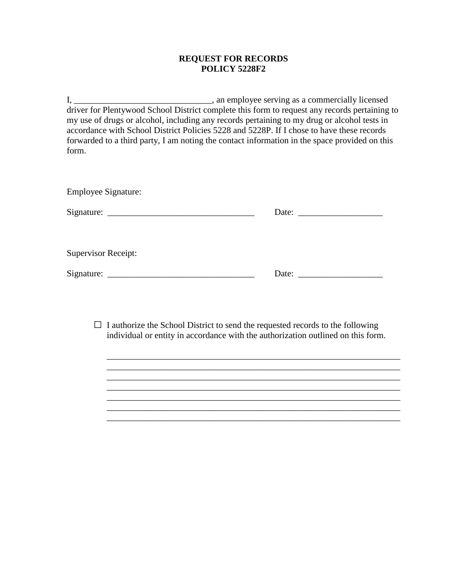# **REQUEST FOR RECORDS POLICY 5228F2**

I, \_\_\_\_\_\_\_\_\_\_\_\_\_\_\_\_\_\_\_\_\_\_\_\_\_\_\_\_\_\_\_, an employee serving as a commercially licensed driver for Plentywood School District complete this form to request any records pertaining to my use of drugs or alcohol, including any records pertaining to my drug or alcohol tests in accordance with School District Policies 5228 and 5228P. If I chose to have these records forwarded to a third party, I am noting the contact information in the space provided on this form.

| <b>Employee Signature:</b> |                                                                                                                                                                                                                                                                                                                                                                                                                                                   |  |
|----------------------------|---------------------------------------------------------------------------------------------------------------------------------------------------------------------------------------------------------------------------------------------------------------------------------------------------------------------------------------------------------------------------------------------------------------------------------------------------|--|
|                            | Date: $\frac{1}{\sqrt{1-\frac{1}{2}} \cdot \frac{1}{2}}$                                                                                                                                                                                                                                                                                                                                                                                          |  |
| <b>Supervisor Receipt:</b> |                                                                                                                                                                                                                                                                                                                                                                                                                                                   |  |
|                            | Date: $\frac{1}{\sqrt{1-\frac{1}{2}} \cdot \frac{1}{2} \cdot \frac{1}{2} \cdot \frac{1}{2} \cdot \frac{1}{2} \cdot \frac{1}{2} \cdot \frac{1}{2} \cdot \frac{1}{2} \cdot \frac{1}{2} \cdot \frac{1}{2} \cdot \frac{1}{2} \cdot \frac{1}{2} \cdot \frac{1}{2} \cdot \frac{1}{2} \cdot \frac{1}{2} \cdot \frac{1}{2} \cdot \frac{1}{2} \cdot \frac{1}{2} \cdot \frac{1}{2} \cdot \frac{1}{2} \cdot \frac{1}{2} \cdot \frac{1}{2} \cdot \frac{1}{2}$ |  |
|                            |                                                                                                                                                                                                                                                                                                                                                                                                                                                   |  |

• I authorize the School District to send the requested records to the following individual or entity in accordance with the authorization outlined on this form.

\_\_\_\_\_\_\_\_\_\_\_\_\_\_\_\_\_\_\_\_\_\_\_\_\_\_\_\_\_\_\_\_\_\_\_\_\_\_\_\_\_\_\_\_\_\_\_\_\_\_\_\_\_\_\_\_\_\_\_\_\_\_\_\_\_\_ \_\_\_\_\_\_\_\_\_\_\_\_\_\_\_\_\_\_\_\_\_\_\_\_\_\_\_\_\_\_\_\_\_\_\_\_\_\_\_\_\_\_\_\_\_\_\_\_\_\_\_\_\_\_\_\_\_\_\_\_\_\_\_\_\_\_ \_\_\_\_\_\_\_\_\_\_\_\_\_\_\_\_\_\_\_\_\_\_\_\_\_\_\_\_\_\_\_\_\_\_\_\_\_\_\_\_\_\_\_\_\_\_\_\_\_\_\_\_\_\_\_\_\_\_\_\_\_\_\_\_\_\_

\_\_\_\_\_\_\_\_\_\_\_\_\_\_\_\_\_\_\_\_\_\_\_\_\_\_\_\_\_\_\_\_\_\_\_\_\_\_\_\_\_\_\_\_\_\_\_\_\_\_\_\_\_\_\_\_\_\_\_\_\_\_\_\_\_\_ \_\_\_\_\_\_\_\_\_\_\_\_\_\_\_\_\_\_\_\_\_\_\_\_\_\_\_\_\_\_\_\_\_\_\_\_\_\_\_\_\_\_\_\_\_\_\_\_\_\_\_\_\_\_\_\_\_\_\_\_\_\_\_\_\_\_ \_\_\_\_\_\_\_\_\_\_\_\_\_\_\_\_\_\_\_\_\_\_\_\_\_\_\_\_\_\_\_\_\_\_\_\_\_\_\_\_\_\_\_\_\_\_\_\_\_\_\_\_\_\_\_\_\_\_\_\_\_\_\_\_\_\_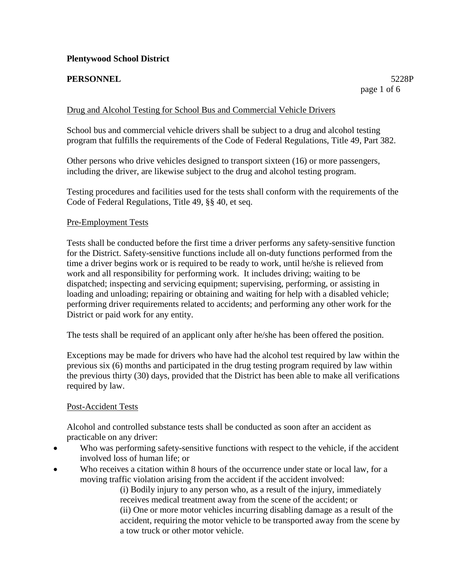# **PERSONNEL** 5228P

page 1 of 6

# Drug and Alcohol Testing for School Bus and Commercial Vehicle Drivers

School bus and commercial vehicle drivers shall be subject to a drug and alcohol testing program that fulfills the requirements of the Code of Federal Regulations, Title 49, Part 382.

Other persons who drive vehicles designed to transport sixteen (16) or more passengers, including the driver, are likewise subject to the drug and alcohol testing program.

Testing procedures and facilities used for the tests shall conform with the requirements of the Code of Federal Regulations, Title 49, §§ 40, et seq.

# Pre-Employment Tests

Tests shall be conducted before the first time a driver performs any safety-sensitive function for the District. Safety-sensitive functions include all on-duty functions performed from the time a driver begins work or is required to be ready to work, until he/she is relieved from work and all responsibility for performing work. It includes driving; waiting to be dispatched; inspecting and servicing equipment; supervising, performing, or assisting in loading and unloading; repairing or obtaining and waiting for help with a disabled vehicle; performing driver requirements related to accidents; and performing any other work for the District or paid work for any entity.

The tests shall be required of an applicant only after he/she has been offered the position.

Exceptions may be made for drivers who have had the alcohol test required by law within the previous six (6) months and participated in the drug testing program required by law within the previous thirty (30) days, provided that the District has been able to make all verifications required by law.

# Post-Accident Tests

Alcohol and controlled substance tests shall be conducted as soon after an accident as practicable on any driver:

- Who was performing safety-sensitive functions with respect to the vehicle, if the accident involved loss of human life; or
- Who receives a citation within 8 hours of the occurrence under state or local law, for a moving traffic violation arising from the accident if the accident involved:

(i) Bodily injury to any person who, as a result of the injury, immediately receives medical treatment away from the scene of the accident; or (ii) One or more motor vehicles incurring disabling damage as a result of the accident, requiring the motor vehicle to be transported away from the scene by a tow truck or other motor vehicle.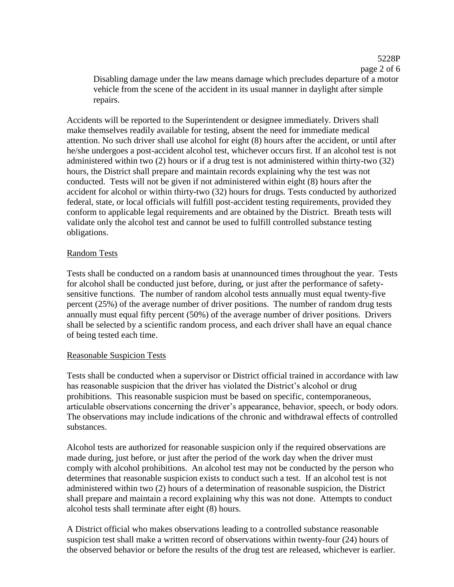# 5228P

page 2 of 6

Disabling damage under the law means damage which precludes departure of a motor vehicle from the scene of the accident in its usual manner in daylight after simple repairs.

Accidents will be reported to the Superintendent or designee immediately. Drivers shall make themselves readily available for testing, absent the need for immediate medical attention. No such driver shall use alcohol for eight (8) hours after the accident, or until after he/she undergoes a post-accident alcohol test, whichever occurs first. If an alcohol test is not administered within two (2) hours or if a drug test is not administered within thirty-two (32) hours, the District shall prepare and maintain records explaining why the test was not conducted. Tests will not be given if not administered within eight (8) hours after the accident for alcohol or within thirty-two (32) hours for drugs. Tests conducted by authorized federal, state, or local officials will fulfill post-accident testing requirements, provided they conform to applicable legal requirements and are obtained by the District. Breath tests will validate only the alcohol test and cannot be used to fulfill controlled substance testing obligations.

# Random Tests

Tests shall be conducted on a random basis at unannounced times throughout the year. Tests for alcohol shall be conducted just before, during, or just after the performance of safetysensitive functions. The number of random alcohol tests annually must equal twenty-five percent (25%) of the average number of driver positions. The number of random drug tests annually must equal fifty percent (50%) of the average number of driver positions. Drivers shall be selected by a scientific random process, and each driver shall have an equal chance of being tested each time.

# Reasonable Suspicion Tests

Tests shall be conducted when a supervisor or District official trained in accordance with law has reasonable suspicion that the driver has violated the District's alcohol or drug prohibitions. This reasonable suspicion must be based on specific, contemporaneous, articulable observations concerning the driver's appearance, behavior, speech, or body odors. The observations may include indications of the chronic and withdrawal effects of controlled substances.

Alcohol tests are authorized for reasonable suspicion only if the required observations are made during, just before, or just after the period of the work day when the driver must comply with alcohol prohibitions. An alcohol test may not be conducted by the person who determines that reasonable suspicion exists to conduct such a test. If an alcohol test is not administered within two (2) hours of a determination of reasonable suspicion, the District shall prepare and maintain a record explaining why this was not done. Attempts to conduct alcohol tests shall terminate after eight (8) hours.

A District official who makes observations leading to a controlled substance reasonable suspicion test shall make a written record of observations within twenty-four (24) hours of the observed behavior or before the results of the drug test are released, whichever is earlier.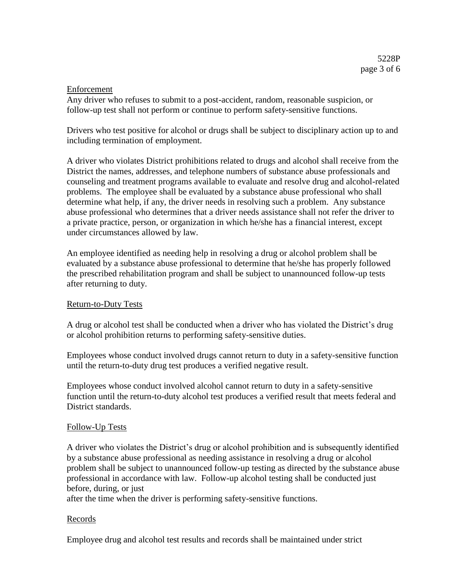# Enforcement

Any driver who refuses to submit to a post-accident, random, reasonable suspicion, or follow-up test shall not perform or continue to perform safety-sensitive functions.

Drivers who test positive for alcohol or drugs shall be subject to disciplinary action up to and including termination of employment.

A driver who violates District prohibitions related to drugs and alcohol shall receive from the District the names, addresses, and telephone numbers of substance abuse professionals and counseling and treatment programs available to evaluate and resolve drug and alcohol-related problems. The employee shall be evaluated by a substance abuse professional who shall determine what help, if any, the driver needs in resolving such a problem. Any substance abuse professional who determines that a driver needs assistance shall not refer the driver to a private practice, person, or organization in which he/she has a financial interest, except under circumstances allowed by law.

An employee identified as needing help in resolving a drug or alcohol problem shall be evaluated by a substance abuse professional to determine that he/she has properly followed the prescribed rehabilitation program and shall be subject to unannounced follow-up tests after returning to duty.

# Return-to-Duty Tests

A drug or alcohol test shall be conducted when a driver who has violated the District's drug or alcohol prohibition returns to performing safety-sensitive duties.

Employees whose conduct involved drugs cannot return to duty in a safety-sensitive function until the return-to-duty drug test produces a verified negative result.

Employees whose conduct involved alcohol cannot return to duty in a safety-sensitive function until the return-to-duty alcohol test produces a verified result that meets federal and District standards.

# Follow-Up Tests

A driver who violates the District's drug or alcohol prohibition and is subsequently identified by a substance abuse professional as needing assistance in resolving a drug or alcohol problem shall be subject to unannounced follow-up testing as directed by the substance abuse professional in accordance with law. Follow-up alcohol testing shall be conducted just before, during, or just

after the time when the driver is performing safety-sensitive functions.

# Records

Employee drug and alcohol test results and records shall be maintained under strict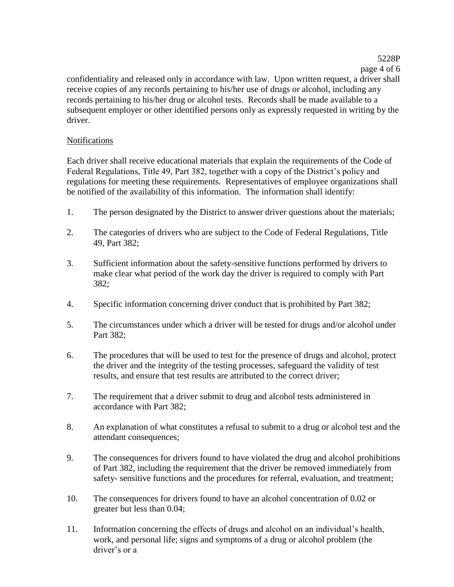page 4 of 6 confidentiality and released only in accordance with law. Upon written request, a driver shall receive copies of any records pertaining to his/her use of drugs or alcohol, including any records pertaining to his/her drug or alcohol tests. Records shall be made available to a subsequent employer or other identified persons only as expressly requested in writing by the driver.

5228P

# Notifications

Each driver shall receive educational materials that explain the requirements of the Code of Federal Regulations, Title 49, Part 382, together with a copy of the District's policy and regulations for meeting these requirements. Representatives of employee organizations shall be notified of the availability of this information. The information shall identify:

- 1. The person designated by the District to answer driver questions about the materials;
- 2. The categories of drivers who are subject to the Code of Federal Regulations, Title 49, Part 382;
- 3. Sufficient information about the safety-sensitive functions performed by drivers to make clear what period of the work day the driver is required to comply with Part 382;
- 4. Specific information concerning driver conduct that is prohibited by Part 382;
- 5. The circumstances under which a driver will be tested for drugs and/or alcohol under Part 382;
- 6. The procedures that will be used to test for the presence of drugs and alcohol, protect the driver and the integrity of the testing processes, safeguard the validity of test results, and ensure that test results are attributed to the correct driver;
- 7. The requirement that a driver submit to drug and alcohol tests administered in accordance with Part 382;
- 8. An explanation of what constitutes a refusal to submit to a drug or alcohol test and the attendant consequences;
- 9. The consequences for drivers found to have violated the drug and alcohol prohibitions of Part 382, including the requirement that the driver be removed immediately from safety- sensitive functions and the procedures for referral, evaluation, and treatment;
- 10. The consequences for drivers found to have an alcohol concentration of 0.02 or greater but less than 0.04;
- 11. Information concerning the effects of drugs and alcohol on an individual's health, work, and personal life; signs and symptoms of a drug or alcohol problem (the driver's or a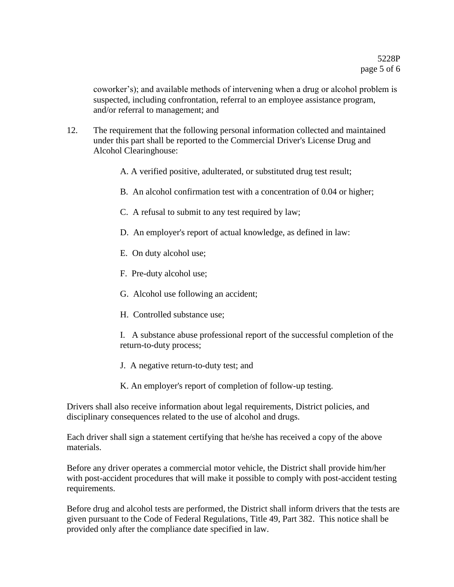coworker's); and available methods of intervening when a drug or alcohol problem is suspected, including confrontation, referral to an employee assistance program, and/or referral to management; and

- 12. The requirement that the following personal information collected and maintained under this part shall be reported to the Commercial Driver's License Drug and Alcohol Clearinghouse:
	- A. A verified positive, adulterated, or substituted drug test result;
	- B. An alcohol confirmation test with a concentration of 0.04 or higher;
	- C. A refusal to submit to any test required by law;
	- D. An employer's report of actual knowledge, as defined in law:
	- E. On duty alcohol use;
	- F. Pre-duty alcohol use;
	- G. Alcohol use following an accident;
	- H. Controlled substance use;
	- I. A substance abuse professional report of the successful completion of the return-to-duty process;
	- J. A negative return-to-duty test; and
	- K. An employer's report of completion of follow-up testing.

Drivers shall also receive information about legal requirements, District policies, and disciplinary consequences related to the use of alcohol and drugs.

Each driver shall sign a statement certifying that he/she has received a copy of the above materials.

Before any driver operates a commercial motor vehicle, the District shall provide him/her with post-accident procedures that will make it possible to comply with post-accident testing requirements.

Before drug and alcohol tests are performed, the District shall inform drivers that the tests are given pursuant to the Code of Federal Regulations, Title 49, Part 382. This notice shall be provided only after the compliance date specified in law.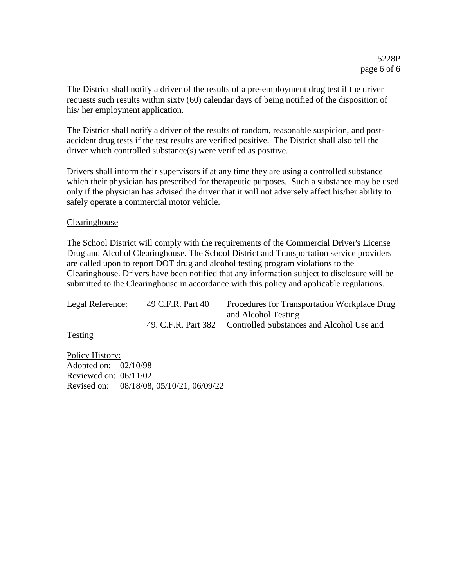The District shall notify a driver of the results of a pre-employment drug test if the driver requests such results within sixty (60) calendar days of being notified of the disposition of his/ her employment application.

The District shall notify a driver of the results of random, reasonable suspicion, and postaccident drug tests if the test results are verified positive. The District shall also tell the driver which controlled substance(s) were verified as positive.

Drivers shall inform their supervisors if at any time they are using a controlled substance which their physician has prescribed for therapeutic purposes. Such a substance may be used only if the physician has advised the driver that it will not adversely affect his/her ability to safely operate a commercial motor vehicle.

# Clearinghouse

The School District will comply with the requirements of the Commercial Driver's License Drug and Alcohol Clearinghouse. The School District and Transportation service providers are called upon to report DOT drug and alcohol testing program violations to the Clearinghouse. Drivers have been notified that any information subject to disclosure will be submitted to the Clearinghouse in accordance with this policy and applicable regulations.

| Legal Reference: | 49 C.F.R. Part 40 | Procedures for Transportation Workplace Drug                  |
|------------------|-------------------|---------------------------------------------------------------|
|                  |                   | and Alcohol Testing                                           |
|                  |                   | 49. C.F.R. Part 382 Controlled Substances and Alcohol Use and |
| Testing          |                   |                                                               |

Policy History: Adopted on: 02/10/98 Reviewed on: 06/11/02 Revised on: 08/18/08, 05/10/21, 06/09/22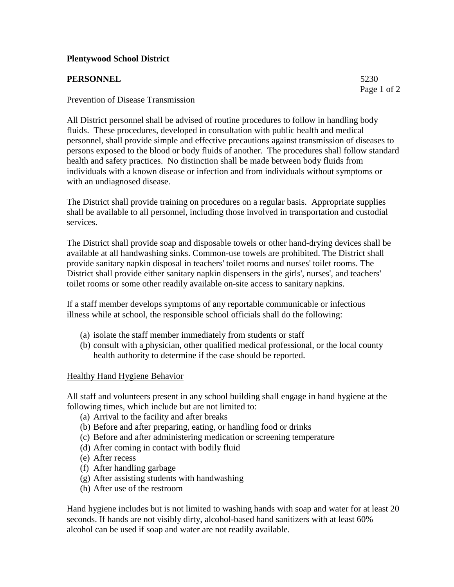# Prevention of Disease Transmission

All District personnel shall be advised of routine procedures to follow in handling body fluids. These procedures, developed in consultation with public health and medical personnel, shall provide simple and effective precautions against transmission of diseases to persons exposed to the blood or body fluids of another. The procedures shall follow standard health and safety practices. No distinction shall be made between body fluids from individuals with a known disease or infection and from individuals without symptoms or with an undiagnosed disease.

The District shall provide training on procedures on a regular basis. Appropriate supplies shall be available to all personnel, including those involved in transportation and custodial services.

The District shall provide soap and disposable towels or other hand-drying devices shall be available at all handwashing sinks. Common-use towels are prohibited. The District shall provide sanitary napkin disposal in teachers' toilet rooms and nurses' toilet rooms. The District shall provide either sanitary napkin dispensers in the girls', nurses', and teachers' toilet rooms or some other readily available on-site access to sanitary napkins.

If a staff member develops symptoms of any reportable communicable or infectious illness while at school, the responsible school officials shall do the following:

- (a) isolate the staff member immediately from students or staff
- (b) consult with a physician, other qualified medical professional, or the local county health authority to determine if the case should be reported.

# Healthy Hand Hygiene Behavior

All staff and volunteers present in any school building shall engage in hand hygiene at the following times, which include but are not limited to:

- (a) Arrival to the facility and after breaks
- (b) Before and after preparing, eating, or handling food or drinks
- (c) Before and after administering medication or screening temperature
- (d) After coming in contact with bodily fluid
- (e) After recess
- (f) After handling garbage
- (g) After assisting students with handwashing
- (h) After use of the restroom

Hand hygiene includes but is not limited to washing hands with soap and water for at least 20 seconds. If hands are not visibly dirty, alcohol-based hand sanitizers with at least 60% alcohol can be used if soap and water are not readily available.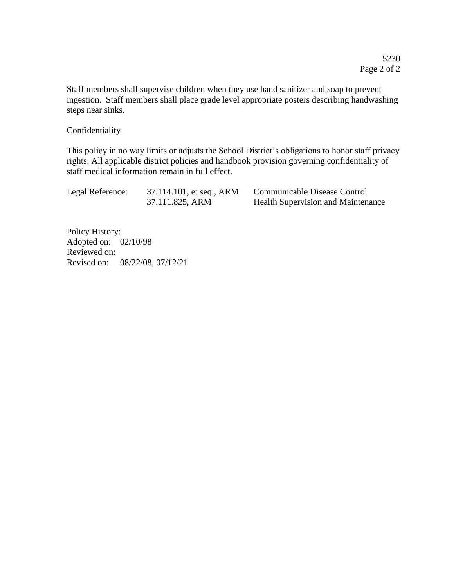Staff members shall supervise children when they use hand sanitizer and soap to prevent ingestion. Staff members shall place grade level appropriate posters describing handwashing steps near sinks.

Confidentiality

This policy in no way limits or adjusts the School District's obligations to honor staff privacy rights. All applicable district policies and handbook provision governing confidentiality of staff medical information remain in full effect.

| Legal Reference: | 37.114.101, et seq., ARM | Communicable Disease Control              |
|------------------|--------------------------|-------------------------------------------|
|                  | 37.111.825, ARM          | <b>Health Supervision and Maintenance</b> |

Policy History: Adopted on: 02/10/98 Reviewed on: Revised on: 08/22/08, 07/12/21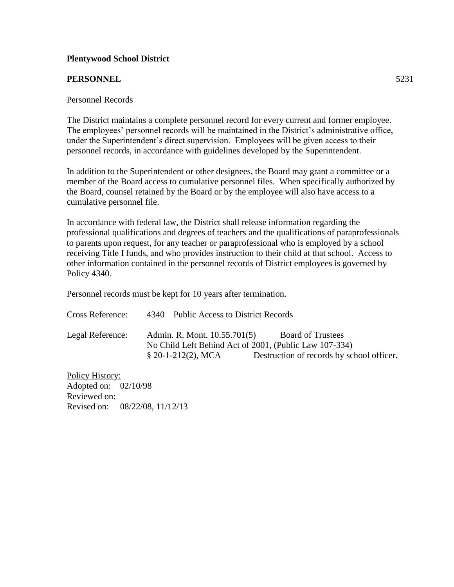# **PERSONNEL** 5231

#### Personnel Records

The District maintains a complete personnel record for every current and former employee. The employees' personnel records will be maintained in the District's administrative office, under the Superintendent's direct supervision. Employees will be given access to their personnel records, in accordance with guidelines developed by the Superintendent.

In addition to the Superintendent or other designees, the Board may grant a committee or a member of the Board access to cumulative personnel files. When specifically authorized by the Board, counsel retained by the Board or by the employee will also have access to a cumulative personnel file.

In accordance with federal law, the District shall release information regarding the professional qualifications and degrees of teachers and the qualifications of paraprofessionals to parents upon request, for any teacher or paraprofessional who is employed by a school receiving Title I funds, and who provides instruction to their child at that school. Access to other information contained in the personnel records of District employees is governed by Policy 4340.

Personnel records must be kept for 10 years after termination.

| Cross Reference: | 4340 Public Access to District Records                                                                        |                                                                       |
|------------------|---------------------------------------------------------------------------------------------------------------|-----------------------------------------------------------------------|
| Legal Reference: | Admin. R. Mont. 10.55.701(5)<br>No Child Left Behind Act of 2001, (Public Law 107-334)<br>$$20-1-212(2), MCA$ | <b>Board of Trustees</b><br>Destruction of records by school officer. |

Policy History: Adopted on: 02/10/98 Reviewed on: Revised on: 08/22/08, 11/12/13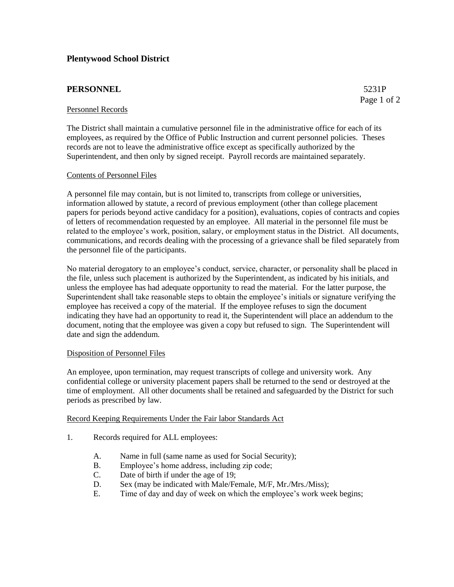# **PERSONNEL** 5231P

Personnel Records

The District shall maintain a cumulative personnel file in the administrative office for each of its employees, as required by the Office of Public Instruction and current personnel policies. Theses records are not to leave the administrative office except as specifically authorized by the Superintendent, and then only by signed receipt. Payroll records are maintained separately.

#### Contents of Personnel Files

A personnel file may contain, but is not limited to, transcripts from college or universities, information allowed by statute, a record of previous employment (other than college placement papers for periods beyond active candidacy for a position), evaluations, copies of contracts and copies of letters of recommendation requested by an employee. All material in the personnel file must be related to the employee's work, position, salary, or employment status in the District. All documents, communications, and records dealing with the processing of a grievance shall be filed separately from the personnel file of the participants.

No material derogatory to an employee's conduct, service, character, or personality shall be placed in the file, unless such placement is authorized by the Superintendent, as indicated by his initials, and unless the employee has had adequate opportunity to read the material. For the latter purpose, the Superintendent shall take reasonable steps to obtain the employee's initials or signature verifying the employee has received a copy of the material. If the employee refuses to sign the document indicating they have had an opportunity to read it, the Superintendent will place an addendum to the document, noting that the employee was given a copy but refused to sign. The Superintendent will date and sign the addendum.

#### Disposition of Personnel Files

An employee, upon termination, may request transcripts of college and university work. Any confidential college or university placement papers shall be returned to the send or destroyed at the time of employment. All other documents shall be retained and safeguarded by the District for such periods as prescribed by law.

#### Record Keeping Requirements Under the Fair labor Standards Act

- 1. Records required for ALL employees:
	- A. Name in full (same name as used for Social Security);
	- B. Employee's home address, including zip code;
	- C. Date of birth if under the age of 19;
	- D. Sex (may be indicated with Male/Female, M/F, Mr./Mrs./Miss);
	- E. Time of day and day of week on which the employee's work week begins;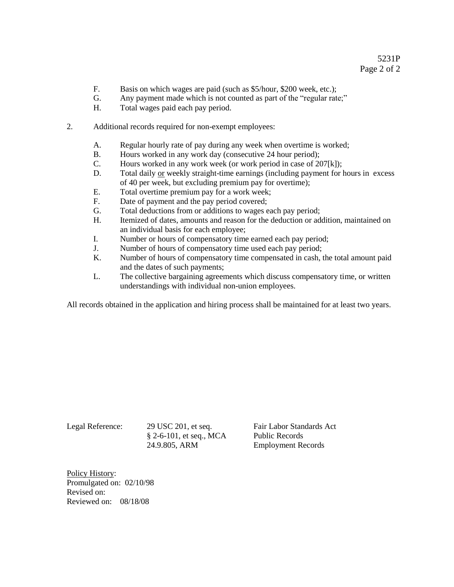# 5231P Page 2 of 2

- F. Basis on which wages are paid (such as \$5/hour, \$200 week, etc.);
- G. Any payment made which is not counted as part of the "regular rate;"
- H. Total wages paid each pay period.
- 2. Additional records required for non-exempt employees:
	- A. Regular hourly rate of pay during any week when overtime is worked;
	- B. Hours worked in any work day (consecutive 24 hour period);
	- C. Hours worked in any work week (or work period in case of 207[k]);
	- D. Total daily or weekly straight-time earnings (including payment for hours in excess of 40 per week, but excluding premium pay for overtime);
	- E. Total overtime premium pay for a work week;
	- F. Date of payment and the pay period covered;
	- G. Total deductions from or additions to wages each pay period;
	- H. Itemized of dates, amounts and reason for the deduction or addition, maintained on an individual basis for each employee;
	- I. Number or hours of compensatory time earned each pay period;
	- J. Number of hours of compensatory time used each pay period;
	- K. Number of hours of compensatory time compensated in cash, the total amount paid and the dates of such payments;
	- L. The collective bargaining agreements which discuss compensatory time, or written understandings with individual non-union employees.

All records obtained in the application and hiring process shall be maintained for at least two years.

Legal Reference: 29 USC 201, et seq. Fair Labor Standards Act § 2-6-101, et seq., MCA Public Records 24.9.805, ARM Employment Records

Policy History: Promulgated on: 02/10/98 Revised on: Reviewed on: 08/18/08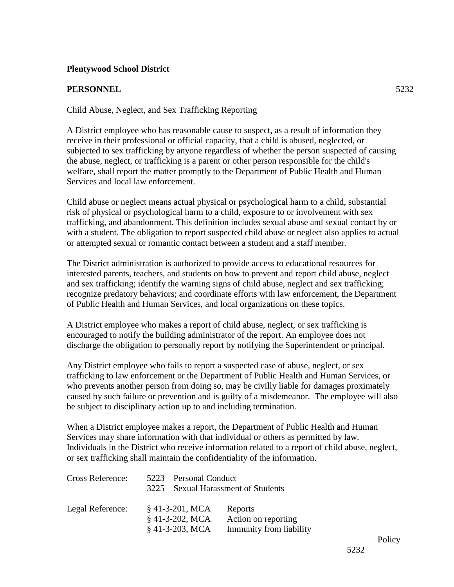# **PERSONNEL** 5232

# Child Abuse, Neglect, and Sex Trafficking Reporting

A District employee who has reasonable cause to suspect, as a result of information they receive in their professional or official capacity, that a child is abused, neglected, or subjected to sex trafficking by anyone regardless of whether the person suspected of causing the abuse, neglect, or trafficking is a parent or other person responsible for the child's welfare, shall report the matter promptly to the Department of Public Health and Human Services and local law enforcement.

Child abuse or neglect means actual physical or psychological harm to a child, substantial risk of physical or psychological harm to a child, exposure to or involvement with sex trafficking, and abandonment. This definition includes sexual abuse and sexual contact by or with a student. The obligation to report suspected child abuse or neglect also applies to actual or attempted sexual or romantic contact between a student and a staff member.

The District administration is authorized to provide access to educational resources for interested parents, teachers, and students on how to prevent and report child abuse, neglect and sex trafficking; identify the warning signs of child abuse, neglect and sex trafficking; recognize predatory behaviors; and coordinate efforts with law enforcement, the Department of Public Health and Human Services, and local organizations on these topics.

A District employee who makes a report of child abuse, neglect, or sex trafficking is encouraged to notify the building administrator of the report. An employee does not discharge the obligation to personally report by notifying the Superintendent or principal.

Any District employee who fails to report a suspected case of abuse, neglect, or sex trafficking to law enforcement or the Department of Public Health and Human Services, or who prevents another person from doing so, may be civilly liable for damages proximately caused by such failure or prevention and is guilty of a misdemeanor. The employee will also be subject to disciplinary action up to and including termination.

When a District employee makes a report, the Department of Public Health and Human Services may share information with that individual or others as permitted by law. Individuals in the District who receive information related to a report of child abuse, neglect, or sex trafficking shall maintain the confidentiality of the information.

| Cross Reference: | 5223 Personal Conduct                  | 3225 Sexual Harassment of Students |
|------------------|----------------------------------------|------------------------------------|
| Legal Reference: | $§$ 41-3-201, MCA<br>$$41-3-202$ , MCA | Reports<br>Action on reporting     |
|                  | $$41-3-203$ , MCA                      | Immunity from liability            |

5232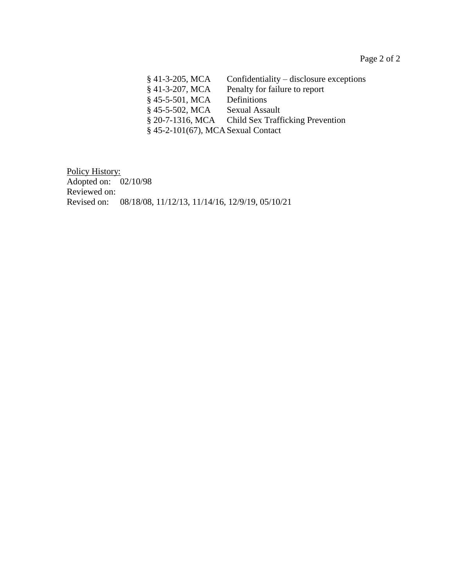| $§$ 41-3-205, MCA                    | Confidentiality – disclosure exceptions |
|--------------------------------------|-----------------------------------------|
| § 41-3-207, MCA                      | Penalty for failure to report           |
| §45-5-501, MCA                       | Definitions                             |
| § 45-5-502, MCA                      | <b>Sexual Assault</b>                   |
| § 20-7-1316, MCA                     | <b>Child Sex Trafficking Prevention</b> |
| $§$ 45-2-101(67), MCA Sexual Contact |                                         |
|                                      |                                         |

Policy History: Adopted on: 02/10/98 Reviewed on: Revised on: 08/18/08, 11/12/13, 11/14/16, 12/9/19, 05/10/21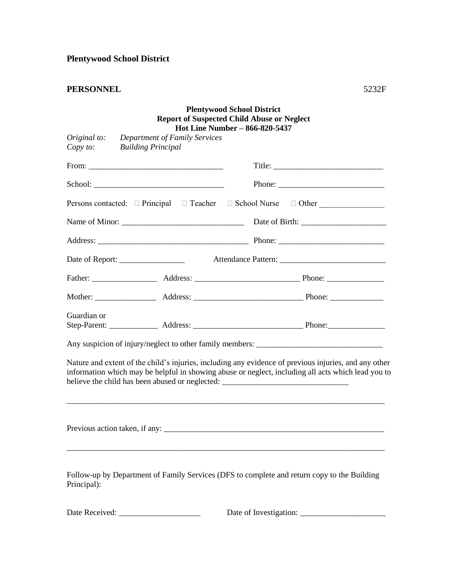| <b>PERSONNEL</b>         |                                                                   | 5232F                                                                                                                                                                                                                                                                                                                                                                                                        |
|--------------------------|-------------------------------------------------------------------|--------------------------------------------------------------------------------------------------------------------------------------------------------------------------------------------------------------------------------------------------------------------------------------------------------------------------------------------------------------------------------------------------------------|
|                          |                                                                   | <b>Plentywood School District</b><br><b>Report of Suspected Child Abuse or Neglect</b><br>Hot Line Number - 866-820-5437                                                                                                                                                                                                                                                                                     |
| Original to:<br>Copy to: | <b>Department of Family Services</b><br><b>Building Principal</b> |                                                                                                                                                                                                                                                                                                                                                                                                              |
|                          |                                                                   |                                                                                                                                                                                                                                                                                                                                                                                                              |
|                          |                                                                   | Phone: $\frac{1}{\sqrt{1-\frac{1}{2}}\sqrt{1-\frac{1}{2}}\sqrt{1-\frac{1}{2}}\sqrt{1-\frac{1}{2}}\sqrt{1-\frac{1}{2}}\sqrt{1-\frac{1}{2}}\sqrt{1-\frac{1}{2}}\sqrt{1-\frac{1}{2}}\sqrt{1-\frac{1}{2}}\sqrt{1-\frac{1}{2}}\sqrt{1-\frac{1}{2}}\sqrt{1-\frac{1}{2}}\sqrt{1-\frac{1}{2}}\sqrt{1-\frac{1}{2}}\sqrt{1-\frac{1}{2}}\sqrt{1-\frac{1}{2}}\sqrt{1-\frac{1}{2}}\sqrt{1-\frac{1}{2}}\sqrt{1-\frac{1}{2$ |
|                          |                                                                   | Persons contacted: □ Principal □ Teacher □ School Nurse □ Other                                                                                                                                                                                                                                                                                                                                              |
|                          |                                                                   |                                                                                                                                                                                                                                                                                                                                                                                                              |
|                          |                                                                   |                                                                                                                                                                                                                                                                                                                                                                                                              |
|                          |                                                                   |                                                                                                                                                                                                                                                                                                                                                                                                              |
|                          |                                                                   |                                                                                                                                                                                                                                                                                                                                                                                                              |
|                          |                                                                   |                                                                                                                                                                                                                                                                                                                                                                                                              |
| Guardian or              |                                                                   |                                                                                                                                                                                                                                                                                                                                                                                                              |
|                          |                                                                   | Any suspicion of injury/neglect to other family members: ________________________                                                                                                                                                                                                                                                                                                                            |
|                          |                                                                   | Nature and extent of the child's injuries, including any evidence of previous injuries, and any other<br>information which may be helpful in showing abuse or neglect, including all acts which lead you to<br>believe the child has been abused or neglected:                                                                                                                                               |
|                          |                                                                   |                                                                                                                                                                                                                                                                                                                                                                                                              |
| Principal):              |                                                                   | Follow-up by Department of Family Services (DFS to complete and return copy to the Building                                                                                                                                                                                                                                                                                                                  |
|                          |                                                                   |                                                                                                                                                                                                                                                                                                                                                                                                              |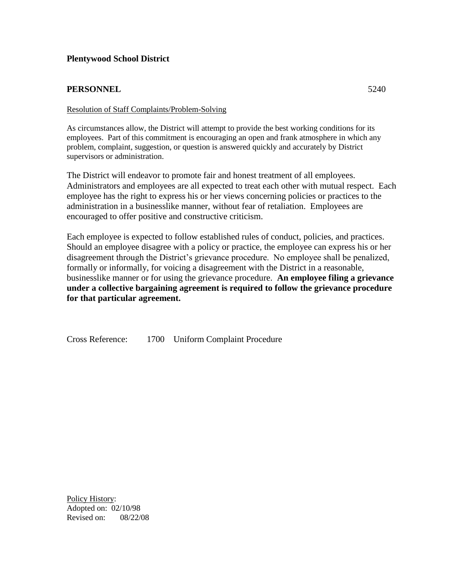#### Resolution of Staff Complaints/Problem-Solving

As circumstances allow, the District will attempt to provide the best working conditions for its employees. Part of this commitment is encouraging an open and frank atmosphere in which any problem, complaint, suggestion, or question is answered quickly and accurately by District supervisors or administration.

The District will endeavor to promote fair and honest treatment of all employees. Administrators and employees are all expected to treat each other with mutual respect. Each employee has the right to express his or her views concerning policies or practices to the administration in a businesslike manner, without fear of retaliation. Employees are encouraged to offer positive and constructive criticism.

Each employee is expected to follow established rules of conduct, policies, and practices. Should an employee disagree with a policy or practice, the employee can express his or her disagreement through the District's grievance procedure. No employee shall be penalized, formally or informally, for voicing a disagreement with the District in a reasonable, businesslike manner or for using the grievance procedure. **An employee filing a grievance under a collective bargaining agreement is required to follow the grievance procedure for that particular agreement.**

Cross Reference: 1700 Uniform Complaint Procedure

Policy History: Adopted on: 02/10/98 Revised on: 08/22/08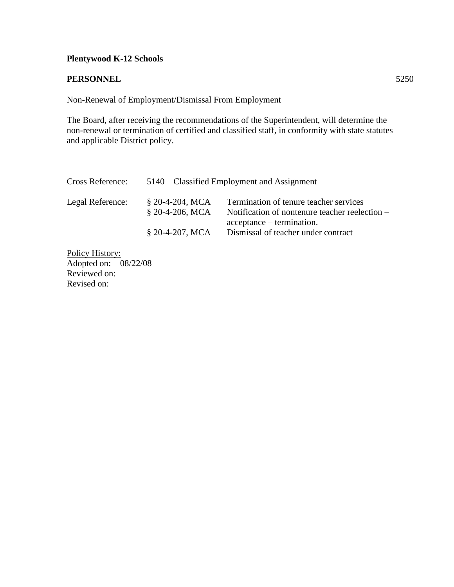# **Plentywood K-12 Schools**

# **PERSONNEL** 5250

# Non-Renewal of Employment/Dismissal From Employment

The Board, after receiving the recommendations of the Superintendent, will determine the non-renewal or termination of certified and classified staff, in conformity with state statutes and applicable District policy.

| Cross Reference: |                                                            | 5140 Classified Employment and Assignment                                                                                                                    |
|------------------|------------------------------------------------------------|--------------------------------------------------------------------------------------------------------------------------------------------------------------|
| Legal Reference: | $$20-4-204, MCA$<br>$$20-4-206$ , MCA<br>$$20-4-207$ , MCA | Termination of tenure teacher services<br>Notification of nontenure teacher reelection –<br>acceptance – termination.<br>Dismissal of teacher under contract |
| Dolian History   |                                                            |                                                                                                                                                              |

Policy History: Adopted on: 08/22/08 Reviewed on: Revised on: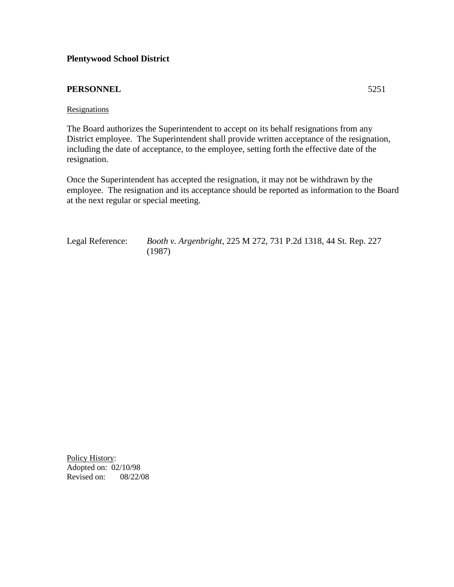### **Resignations**

The Board authorizes the Superintendent to accept on its behalf resignations from any District employee. The Superintendent shall provide written acceptance of the resignation, including the date of acceptance, to the employee, setting forth the effective date of the resignation.

Once the Superintendent has accepted the resignation, it may not be withdrawn by the employee. The resignation and its acceptance should be reported as information to the Board at the next regular or special meeting.

Legal Reference: *Booth v. Argenbright*, 225 M 272, 731 P.2d 1318, 44 St. Rep. 227 (1987)

Policy History: Adopted on: 02/10/98 Revised on: 08/22/08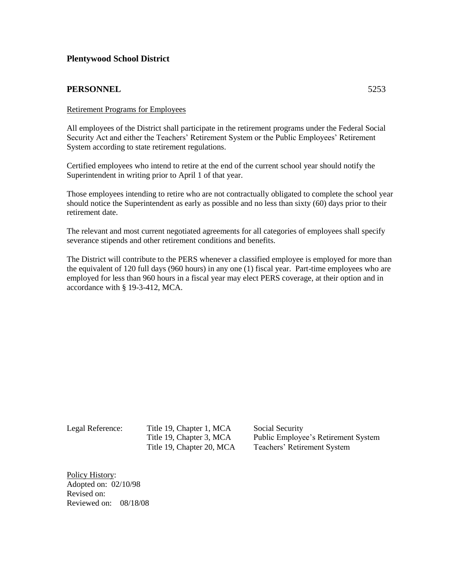#### Retirement Programs for Employees

All employees of the District shall participate in the retirement programs under the Federal Social Security Act and either the Teachers' Retirement System or the Public Employees' Retirement System according to state retirement regulations.

Certified employees who intend to retire at the end of the current school year should notify the Superintendent in writing prior to April 1 of that year.

Those employees intending to retire who are not contractually obligated to complete the school year should notice the Superintendent as early as possible and no less than sixty (60) days prior to their retirement date.

The relevant and most current negotiated agreements for all categories of employees shall specify severance stipends and other retirement conditions and benefits.

The District will contribute to the PERS whenever a classified employee is employed for more than the equivalent of 120 full days (960 hours) in any one (1) fiscal year. Part-time employees who are employed for less than 960 hours in a fiscal year may elect PERS coverage, at their option and in accordance with § 19-3-412, MCA.

Legal Reference: Title 19, Chapter 1, MCA Social Security

Title 19, Chapter 3, MCA Public Employee's Retirement System Title 19, Chapter 20, MCA Teachers' Retirement System

Policy History: Adopted on: 02/10/98 Revised on: Reviewed on: 08/18/08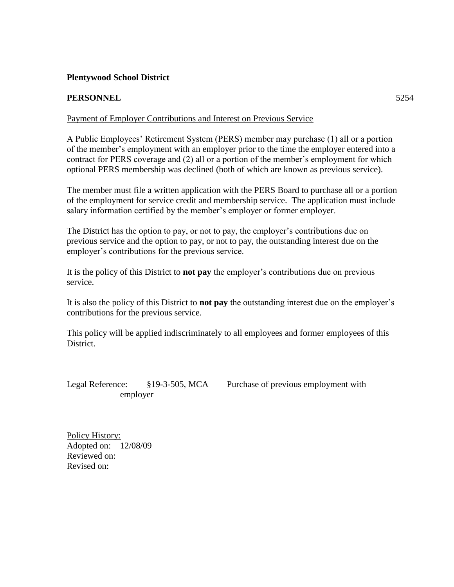# **PERSONNEL** 5254

# Payment of Employer Contributions and Interest on Previous Service

A Public Employees' Retirement System (PERS) member may purchase (1) all or a portion of the member's employment with an employer prior to the time the employer entered into a contract for PERS coverage and (2) all or a portion of the member's employment for which optional PERS membership was declined (both of which are known as previous service).

The member must file a written application with the PERS Board to purchase all or a portion of the employment for service credit and membership service. The application must include salary information certified by the member's employer or former employer.

The District has the option to pay, or not to pay, the employer's contributions due on previous service and the option to pay, or not to pay, the outstanding interest due on the employer's contributions for the previous service.

It is the policy of this District to **not pay** the employer's contributions due on previous service.

It is also the policy of this District to **not pay** the outstanding interest due on the employer's contributions for the previous service.

This policy will be applied indiscriminately to all employees and former employees of this District.

employer

Legal Reference: §19-3-505, MCA Purchase of previous employment with

Policy History: Adopted on: 12/08/09 Reviewed on: Revised on: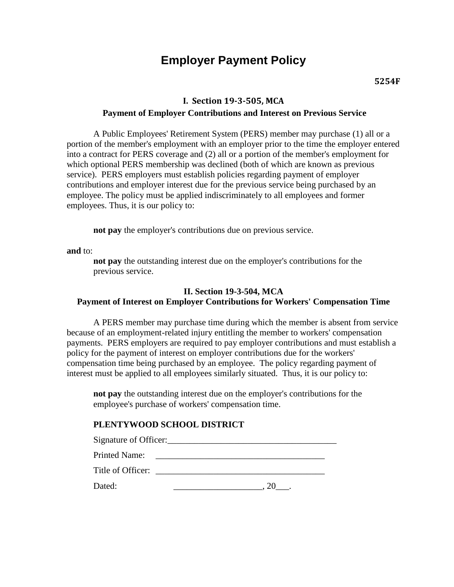# **Employer Payment Policy**

### **I. Section 19-3-505, MCA**

### **Payment of Employer Contributions and Interest on Previous Service**

A Public Employees' Retirement System (PERS) member may purchase (1) all or a portion of the member's employment with an employer prior to the time the employer entered into a contract for PERS coverage and (2) all or a portion of the member's employment for which optional PERS membership was declined (both of which are known as previous service). PERS employers must establish policies regarding payment of employer contributions and employer interest due for the previous service being purchased by an employee. The policy must be applied indiscriminately to all employees and former employees. Thus, it is our policy to:

**not pay** the employer's contributions due on previous service.

**and** to:

**not pay** the outstanding interest due on the employer's contributions for the previous service.

# **II. Section 19-3-504, MCA Payment of Interest on Employer Contributions for Workers' Compensation Time**

A PERS member may purchase time during which the member is absent from service because of an employment-related injury entitling the member to workers' compensation payments. PERS employers are required to pay employer contributions and must establish a policy for the payment of interest on employer contributions due for the workers' compensation time being purchased by an employee. The policy regarding payment of interest must be applied to all employees similarly situated. Thus, it is our policy to:

**not pay** the outstanding interest due on the employer's contributions for the employee's purchase of workers' compensation time.

#### **PLENTYWOOD SCHOOL DISTRICT**

| Signature of Officer: |  |
|-----------------------|--|
| <b>Printed Name:</b>  |  |
| Title of Officer:     |  |
| Dated:                |  |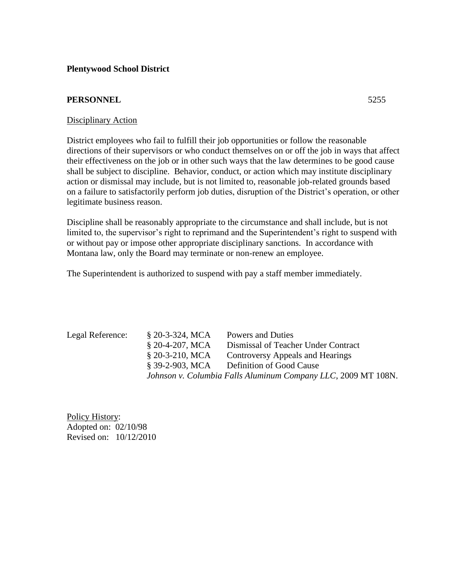# **PERSONNEL** 5255

#### Disciplinary Action

District employees who fail to fulfill their job opportunities or follow the reasonable directions of their supervisors or who conduct themselves on or off the job in ways that affect their effectiveness on the job or in other such ways that the law determines to be good cause shall be subject to discipline. Behavior, conduct, or action which may institute disciplinary action or dismissal may include, but is not limited to, reasonable job-related grounds based on a failure to satisfactorily perform job duties, disruption of the District's operation, or other legitimate business reason.

Discipline shall be reasonably appropriate to the circumstance and shall include, but is not limited to, the supervisor's right to reprimand and the Superintendent's right to suspend with or without pay or impose other appropriate disciplinary sanctions. In accordance with Montana law, only the Board may terminate or non-renew an employee.

The Superintendent is authorized to suspend with pay a staff member immediately.

Legal Reference: § 20-3-324, MCA Powers and Duties § 20-4-207, MCA Dismissal of Teacher Under Contract § 20-3-210, MCA Controversy Appeals and Hearings § 39-2-903, MCA Definition of Good Cause *Johnson v. Columbia Falls Aluminum Company LLC*, 2009 MT 108N.

Policy History: Adopted on: 02/10/98 Revised on: 10/12/2010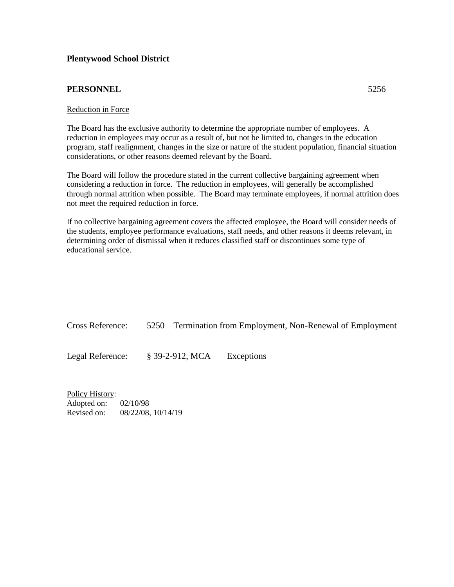### **PERSONNEL** 5256

The Board has the exclusive authority to determine the appropriate number of employees. A reduction in employees may occur as a result of, but not be limited to, changes in the education program, staff realignment, changes in the size or nature of the student population, financial situation considerations, or other reasons deemed relevant by the Board.

The Board will follow the procedure stated in the current collective bargaining agreement when considering a reduction in force. The reduction in employees, will generally be accomplished through normal attrition when possible. The Board may terminate employees, if normal attrition does not meet the required reduction in force.

If no collective bargaining agreement covers the affected employee, the Board will consider needs of the students, employee performance evaluations, staff needs, and other reasons it deems relevant, in determining order of dismissal when it reduces classified staff or discontinues some type of educational service.

Cross Reference: 5250 Termination from Employment, Non-Renewal of Employment

Legal Reference: § 39-2-912, MCA Exceptions

Policy History: Adopted on: 02/10/98<br>Revised on: 08/22/08. 08/22/08, 10/14/19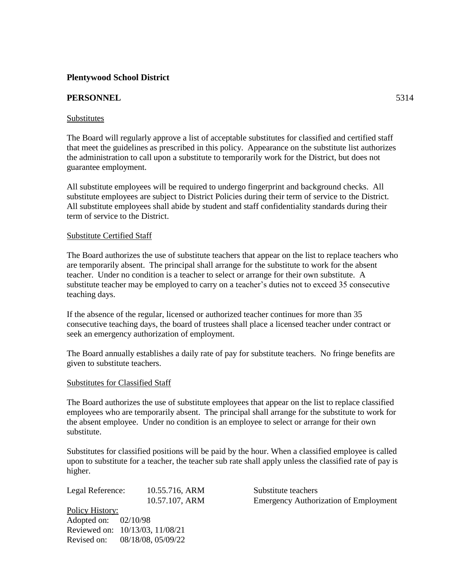#### **PERSONNEL** 5314

#### Substitutes

The Board will regularly approve a list of acceptable substitutes for classified and certified staff that meet the guidelines as prescribed in this policy. Appearance on the substitute list authorizes the administration to call upon a substitute to temporarily work for the District, but does not guarantee employment.

All substitute employees will be required to undergo fingerprint and background checks. All substitute employees are subject to District Policies during their term of service to the District. All substitute employees shall abide by student and staff confidentiality standards during their term of service to the District.

#### Substitute Certified Staff

The Board authorizes the use of substitute teachers that appear on the list to replace teachers who are temporarily absent. The principal shall arrange for the substitute to work for the absent teacher. Under no condition is a teacher to select or arrange for their own substitute. A substitute teacher may be employed to carry on a teacher's duties not to exceed 35 consecutive teaching days.

If the absence of the regular, licensed or authorized teacher continues for more than 35 consecutive teaching days, the board of trustees shall place a licensed teacher under contract or seek an emergency authorization of employment.

The Board annually establishes a daily rate of pay for substitute teachers. No fringe benefits are given to substitute teachers.

#### Substitutes for Classified Staff

The Board authorizes the use of substitute employees that appear on the list to replace classified employees who are temporarily absent. The principal shall arrange for the substitute to work for the absent employee. Under no condition is an employee to select or arrange for their own substitute.

Substitutes for classified positions will be paid by the hour. When a classified employee is called upon to substitute for a teacher, the teacher sub rate shall apply unless the classified rate of pay is higher.

| Legal Reference:       | 10.55.716, ARM                  | Substitute teachers                          |
|------------------------|---------------------------------|----------------------------------------------|
|                        | 10.57.107, ARM                  | <b>Emergency Authorization of Employment</b> |
| <b>Policy History:</b> |                                 |                                              |
| Adopted on: $02/10/98$ |                                 |                                              |
|                        | Reviewed on: 10/13/03, 11/08/21 |                                              |
|                        | Revised on: 08/18/08, 05/09/22  |                                              |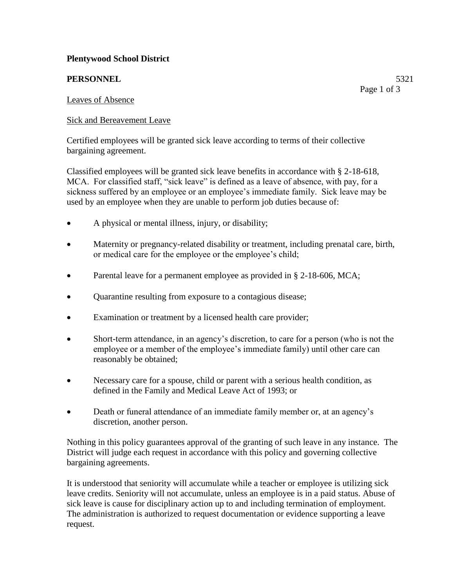# **PERSONNEL** 5321

Leaves of Absence

# Sick and Bereavement Leave

Certified employees will be granted sick leave according to terms of their collective bargaining agreement.

Classified employees will be granted sick leave benefits in accordance with § 2-18-618, MCA. For classified staff, "sick leave" is defined as a leave of absence, with pay, for a sickness suffered by an employee or an employee's immediate family. Sick leave may be used by an employee when they are unable to perform job duties because of:

- A physical or mental illness, injury, or disability;
- Maternity or pregnancy-related disability or treatment, including prenatal care, birth, or medical care for the employee or the employee's child;
- Parental leave for a permanent employee as provided in § 2-18-606, MCA;
- Quarantine resulting from exposure to a contagious disease;
- Examination or treatment by a licensed health care provider;
- Short-term attendance, in an agency's discretion, to care for a person (who is not the employee or a member of the employee's immediate family) until other care can reasonably be obtained;
- Necessary care for a spouse, child or parent with a serious health condition, as defined in the Family and Medical Leave Act of 1993; or
- Death or funeral attendance of an immediate family member or, at an agency's discretion, another person.

Nothing in this policy guarantees approval of the granting of such leave in any instance. The District will judge each request in accordance with this policy and governing collective bargaining agreements.

It is understood that seniority will accumulate while a teacher or employee is utilizing sick leave credits. Seniority will not accumulate, unless an employee is in a paid status. Abuse of sick leave is cause for disciplinary action up to and including termination of employment. The administration is authorized to request documentation or evidence supporting a leave request.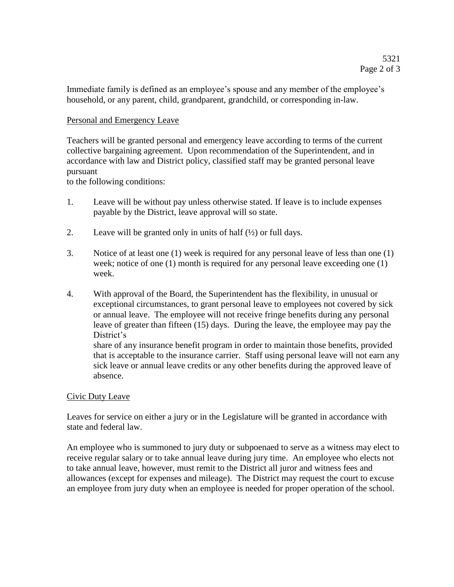Immediate family is defined as an employee's spouse and any member of the employee's household, or any parent, child, grandparent, grandchild, or corresponding in-law.

# Personal and Emergency Leave

Teachers will be granted personal and emergency leave according to terms of the current collective bargaining agreement. Upon recommendation of the Superintendent, and in accordance with law and District policy, classified staff may be granted personal leave pursuant

to the following conditions:

- 1. Leave will be without pay unless otherwise stated. If leave is to include expenses payable by the District, leave approval will so state.
- 2. Leave will be granted only in units of half  $(\frac{1}{2})$  or full days.
- 3. Notice of at least one (1) week is required for any personal leave of less than one (1) week; notice of one (1) month is required for any personal leave exceeding one (1) week.
- 4. With approval of the Board, the Superintendent has the flexibility, in unusual or exceptional circumstances, to grant personal leave to employees not covered by sick or annual leave. The employee will not receive fringe benefits during any personal leave of greater than fifteen (15) days. During the leave, the employee may pay the District's

share of any insurance benefit program in order to maintain those benefits, provided that is acceptable to the insurance carrier. Staff using personal leave will not earn any sick leave or annual leave credits or any other benefits during the approved leave of absence.

### Civic Duty Leave

Leaves for service on either a jury or in the Legislature will be granted in accordance with state and federal law.

An employee who is summoned to jury duty or subpoenaed to serve as a witness may elect to receive regular salary or to take annual leave during jury time. An employee who elects not to take annual leave, however, must remit to the District all juror and witness fees and allowances (except for expenses and mileage). The District may request the court to excuse an employee from jury duty when an employee is needed for proper operation of the school.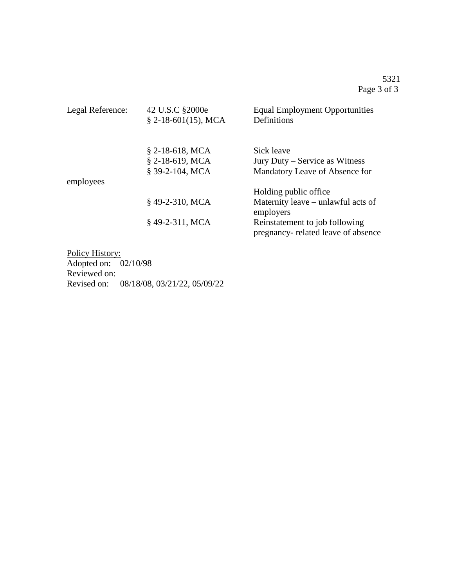| Legal Reference: | 42 U.S.C §2000e       | <b>Equal Employment Opportunities</b>                                 |
|------------------|-----------------------|-----------------------------------------------------------------------|
|                  | $$2-18-601(15)$ , MCA | Definitions                                                           |
|                  |                       |                                                                       |
|                  | $§$ 2-18-618, MCA     | Sick leave                                                            |
|                  | $$2-18-619$ , MCA     | Jury Duty – Service as Witness                                        |
|                  | § 39-2-104, MCA       | Mandatory Leave of Absence for                                        |
| employees        |                       |                                                                       |
|                  |                       | Holding public office                                                 |
|                  | §49-2-310, MCA        | Maternity leave – unlawful acts of<br>employers                       |
|                  | $§$ 49-2-311, MCA     | Reinstatement to job following<br>pregnancy- related leave of absence |
|                  |                       |                                                                       |

Policy History: Adopted on: 02/10/98 Reviewed on: Revised on: 08/18/08, 03/21/22, 05/09/22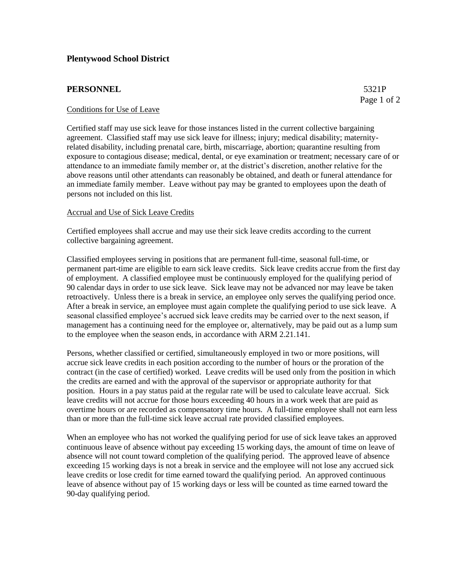### **PERSONNEL** 5321P

Page 1 of 2

#### Conditions for Use of Leave

Certified staff may use sick leave for those instances listed in the current collective bargaining agreement. Classified staff may use sick leave for illness; injury; medical disability; maternityrelated disability, including prenatal care, birth, miscarriage, abortion; quarantine resulting from exposure to contagious disease; medical, dental, or eye examination or treatment; necessary care of or attendance to an immediate family member or, at the district's discretion, another relative for the above reasons until other attendants can reasonably be obtained, and death or funeral attendance for an immediate family member. Leave without pay may be granted to employees upon the death of persons not included on this list.

#### Accrual and Use of Sick Leave Credits

Certified employees shall accrue and may use their sick leave credits according to the current collective bargaining agreement.

Classified employees serving in positions that are permanent full-time, seasonal full-time, or permanent part-time are eligible to earn sick leave credits. Sick leave credits accrue from the first day of employment. A classified employee must be continuously employed for the qualifying period of 90 calendar days in order to use sick leave. Sick leave may not be advanced nor may leave be taken retroactively. Unless there is a break in service, an employee only serves the qualifying period once. After a break in service, an employee must again complete the qualifying period to use sick leave. A seasonal classified employee's accrued sick leave credits may be carried over to the next season, if management has a continuing need for the employee or, alternatively, may be paid out as a lump sum to the employee when the season ends, in accordance with ARM 2.21.141.

Persons, whether classified or certified, simultaneously employed in two or more positions, will accrue sick leave credits in each position according to the number of hours or the proration of the contract (in the case of certified) worked. Leave credits will be used only from the position in which the credits are earned and with the approval of the supervisor or appropriate authority for that position. Hours in a pay status paid at the regular rate will be used to calculate leave accrual. Sick leave credits will not accrue for those hours exceeding 40 hours in a work week that are paid as overtime hours or are recorded as compensatory time hours. A full-time employee shall not earn less than or more than the full-time sick leave accrual rate provided classified employees.

When an employee who has not worked the qualifying period for use of sick leave takes an approved continuous leave of absence without pay exceeding 15 working days, the amount of time on leave of absence will not count toward completion of the qualifying period. The approved leave of absence exceeding 15 working days is not a break in service and the employee will not lose any accrued sick leave credits or lose credit for time earned toward the qualifying period. An approved continuous leave of absence without pay of 15 working days or less will be counted as time earned toward the 90-day qualifying period.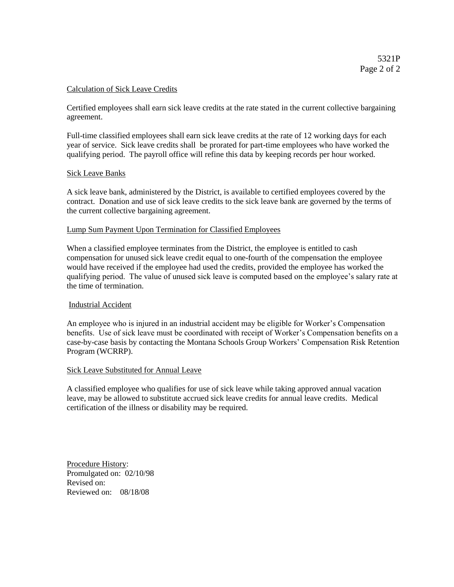#### Calculation of Sick Leave Credits

Certified employees shall earn sick leave credits at the rate stated in the current collective bargaining agreement.

Full-time classified employees shall earn sick leave credits at the rate of 12 working days for each year of service. Sick leave credits shall be prorated for part-time employees who have worked the qualifying period. The payroll office will refine this data by keeping records per hour worked.

#### Sick Leave Banks

A sick leave bank, administered by the District, is available to certified employees covered by the contract. Donation and use of sick leave credits to the sick leave bank are governed by the terms of the current collective bargaining agreement.

#### Lump Sum Payment Upon Termination for Classified Employees

When a classified employee terminates from the District, the employee is entitled to cash compensation for unused sick leave credit equal to one-fourth of the compensation the employee would have received if the employee had used the credits, provided the employee has worked the qualifying period. The value of unused sick leave is computed based on the employee's salary rate at the time of termination.

#### Industrial Accident

An employee who is injured in an industrial accident may be eligible for Worker's Compensation benefits. Use of sick leave must be coordinated with receipt of Worker's Compensation benefits on a case-by-case basis by contacting the Montana Schools Group Workers' Compensation Risk Retention Program (WCRRP).

#### Sick Leave Substituted for Annual Leave

A classified employee who qualifies for use of sick leave while taking approved annual vacation leave, may be allowed to substitute accrued sick leave credits for annual leave credits. Medical certification of the illness or disability may be required.

Procedure History: Promulgated on: 02/10/98 Revised on: Reviewed on: 08/18/08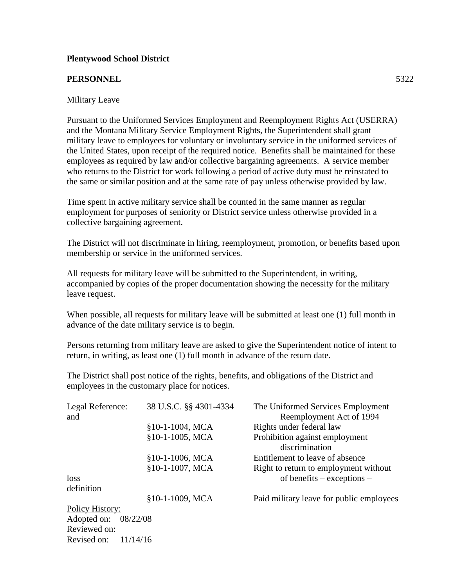### **PERSONNEL** 5322

### **Military Leave**

Pursuant to the Uniformed Services Employment and Reemployment Rights Act (USERRA) and the Montana Military Service Employment Rights, the Superintendent shall grant military leave to employees for voluntary or involuntary service in the uniformed services of the United States, upon receipt of the required notice. Benefits shall be maintained for these employees as required by law and/or collective bargaining agreements. A service member who returns to the District for work following a period of active duty must be reinstated to the same or similar position and at the same rate of pay unless otherwise provided by law.

Time spent in active military service shall be counted in the same manner as regular employment for purposes of seniority or District service unless otherwise provided in a collective bargaining agreement.

The District will not discriminate in hiring, reemployment, promotion, or benefits based upon membership or service in the uniformed services.

All requests for military leave will be submitted to the Superintendent, in writing, accompanied by copies of the proper documentation showing the necessity for the military leave request.

When possible, all requests for military leave will be submitted at least one (1) full month in advance of the date military service is to begin.

Persons returning from military leave are asked to give the Superintendent notice of intent to return, in writing, as least one (1) full month in advance of the return date.

The District shall post notice of the rights, benefits, and obligations of the District and employees in the customary place for notices.

| Legal Reference:       | 38 U.S.C. §§ 4301-4334 | The Uniformed Services Employment        |
|------------------------|------------------------|------------------------------------------|
| and                    |                        | Reemployment Act of 1994                 |
|                        | $$10-1-1004$ , MCA     | Rights under federal law                 |
|                        | $§10-1-1005$ , MCA     | Prohibition against employment           |
|                        |                        | discrimination                           |
|                        | $$10-1-1006$ , MCA     | Entitlement to leave of absence          |
|                        | §10-1-1007, MCA        | Right to return to employment without    |
| loss                   |                        | of benefits $-$ exceptions $-$           |
| definition             |                        |                                          |
|                        | §10-1-1009, MCA        | Paid military leave for public employees |
| Policy History:        |                        |                                          |
| Adopted on: $08/22/08$ |                        |                                          |
| Reviewed on:           |                        |                                          |
| Revised on:            | 11/14/16               |                                          |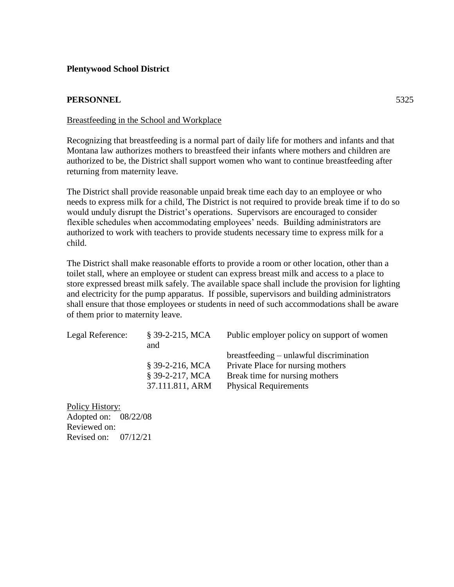### **PERSONNEL** 5325

#### Breastfeeding in the School and Workplace

Recognizing that breastfeeding is a normal part of daily life for mothers and infants and that Montana law authorizes mothers to breastfeed their infants where mothers and children are authorized to be, the District shall support women who want to continue breastfeeding after returning from maternity leave.

The District shall provide reasonable unpaid break time each day to an employee or who needs to express milk for a child, The District is not required to provide break time if to do so would unduly disrupt the District's operations. Supervisors are encouraged to consider flexible schedules when accommodating employees' needs. Building administrators are authorized to work with teachers to provide students necessary time to express milk for a child.

The District shall make reasonable efforts to provide a room or other location, other than a toilet stall, where an employee or student can express breast milk and access to a place to store expressed breast milk safely. The available space shall include the provision for lighting and electricity for the pump apparatus. If possible, supervisors and building administrators shall ensure that those employees or students in need of such accommodations shall be aware of them prior to maternity leave.

| Legal Reference: | § 39-2-215, MCA<br>and                                 | Public employer policy on support of women                                                                                                     |
|------------------|--------------------------------------------------------|------------------------------------------------------------------------------------------------------------------------------------------------|
|                  | $$39-2-216, MCA$<br>§ 39-2-217, MCA<br>37.111.811, ARM | breastfeeding – unlawful discrimination<br>Private Place for nursing mothers<br>Break time for nursing mothers<br><b>Physical Requirements</b> |

Policy History: Adopted on: 08/22/08 Reviewed on: Revised on: 07/12/21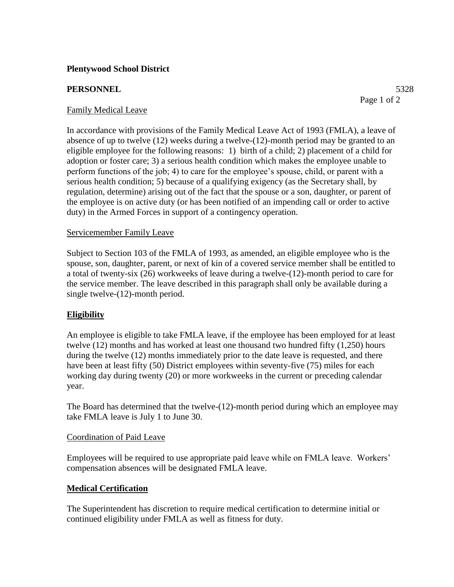# **PERSONNEL** 5328

# Family Medical Leave

In accordance with provisions of the Family Medical Leave Act of 1993 (FMLA), a leave of absence of up to twelve (12) weeks during a twelve-(12)-month period may be granted to an eligible employee for the following reasons: 1) birth of a child; 2) placement of a child for adoption or foster care; 3) a serious health condition which makes the employee unable to perform functions of the job; 4) to care for the employee's spouse, child, or parent with a serious health condition; 5) because of a qualifying exigency (as the Secretary shall, by regulation, determine) arising out of the fact that the spouse or a son, daughter, or parent of the employee is on active duty (or has been notified of an impending call or order to active duty) in the Armed Forces in support of a contingency operation.

### Servicemember Family Leave

Subject to Section 103 of the FMLA of 1993, as amended, an eligible employee who is the spouse, son, daughter, parent, or next of kin of a covered service member shall be entitled to a total of twenty-six (26) workweeks of leave during a twelve-(12)-month period to care for the service member. The leave described in this paragraph shall only be available during a single twelve-(12)-month period.

### **Eligibility**

An employee is eligible to take FMLA leave, if the employee has been employed for at least twelve (12) months and has worked at least one thousand two hundred fifty (1,250) hours during the twelve (12) months immediately prior to the date leave is requested, and there have been at least fifty (50) District employees within seventy-five (75) miles for each working day during twenty (20) or more workweeks in the current or preceding calendar year.

The Board has determined that the twelve-(12)-month period during which an employee may take FMLA leave is July 1 to June 30.

### Coordination of Paid Leave

Employees will be required to use appropriate paid leave while on FMLA leave. Workers' compensation absences will be designated FMLA leave.

### **Medical Certification**

The Superintendent has discretion to require medical certification to determine initial or continued eligibility under FMLA as well as fitness for duty.

Page 1 of 2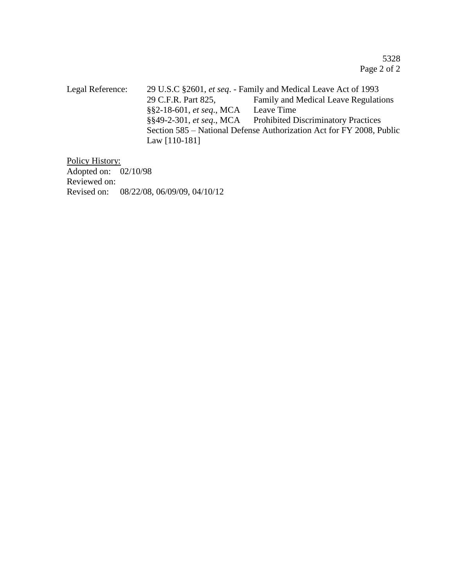5328 Page 2 of 2

Legal Reference: 29 U.S.C §2601, *et seq.* - Family and Medical Leave Act of 1993<br>29 C.F.R. Part 825, Family and Medical Leave Regulati Family and Medical Leave Regulations §§2-18-601, *et seq*., MCA Leave Time Prohibited Discriminatory Practices Section 585 – National Defense Authorization Act for FY 2008, Public Law [110-181]

Policy History: Adopted on: 02/10/98 Reviewed on: Revised on: 08/22/08, 06/09/09, 04/10/12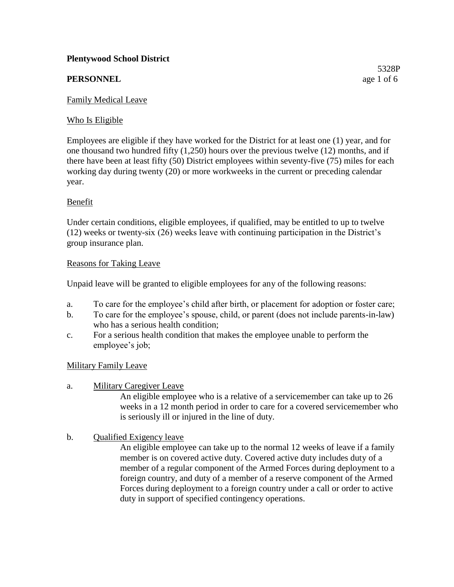# **PERSONNEL** age 1 of 6

# Family Medical Leave

# Who Is Eligible

Employees are eligible if they have worked for the District for at least one (1) year, and for one thousand two hundred fifty (1,250) hours over the previous twelve (12) months, and if there have been at least fifty (50) District employees within seventy-five (75) miles for each working day during twenty (20) or more workweeks in the current or preceding calendar year.

# Benefit

Under certain conditions, eligible employees, if qualified, may be entitled to up to twelve (12) weeks or twenty-six (26) weeks leave with continuing participation in the District's group insurance plan.

# Reasons for Taking Leave

Unpaid leave will be granted to eligible employees for any of the following reasons:

- a. To care for the employee's child after birth, or placement for adoption or foster care;
- b. To care for the employee's spouse, child, or parent (does not include parents-in-law) who has a serious health condition;
- c. For a serious health condition that makes the employee unable to perform the employee's job;

# Military Family Leave

a. Military Caregiver Leave

An eligible employee who is a relative of a servicemember can take up to 26 weeks in a 12 month period in order to care for a covered servicemember who is seriously ill or injured in the line of duty.

# b. Qualified Exigency leave

An eligible employee can take up to the normal 12 weeks of leave if a family member is on covered active duty. Covered active duty includes duty of a member of a regular component of the Armed Forces during deployment to a foreign country, and duty of a member of a reserve component of the Armed Forces during deployment to a foreign country under a call or order to active duty in support of specified contingency operations.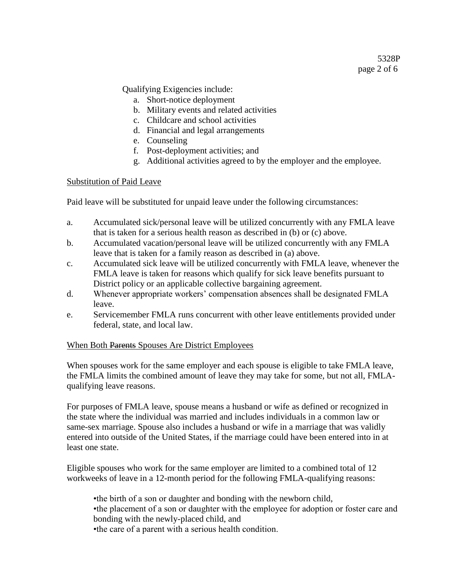5328P page 2 of 6

Qualifying Exigencies include:

- a. Short-notice deployment
- b. Military events and related activities
- c. Childcare and school activities
- d. Financial and legal arrangements
- e. Counseling
- f. Post-deployment activities; and
- g. Additional activities agreed to by the employer and the employee.

# Substitution of Paid Leave

Paid leave will be substituted for unpaid leave under the following circumstances:

- a. Accumulated sick/personal leave will be utilized concurrently with any FMLA leave that is taken for a serious health reason as described in (b) or (c) above.
- b. Accumulated vacation/personal leave will be utilized concurrently with any FMLA leave that is taken for a family reason as described in (a) above.
- c. Accumulated sick leave will be utilized concurrently with FMLA leave, whenever the FMLA leave is taken for reasons which qualify for sick leave benefits pursuant to District policy or an applicable collective bargaining agreement.
- d. Whenever appropriate workers' compensation absences shall be designated FMLA leave.
- e. Servicemember FMLA runs concurrent with other leave entitlements provided under federal, state, and local law.

# When Both Parents Spouses Are District Employees

When spouses work for the same employer and each spouse is eligible to take FMLA leave, the FMLA limits the combined amount of leave they may take for some, but not all, FMLAqualifying leave reasons.

For purposes of FMLA leave, spouse means a husband or wife as defined or recognized in the state where the individual was married and includes individuals in a common law or same-sex marriage. Spouse also includes a husband or wife in a marriage that was validly entered into outside of the United States, if the marriage could have been entered into in at least one state.

Eligible spouses who work for the same employer are limited to a combined total of 12 workweeks of leave in a 12-month period for the following FMLA-qualifying reasons:

•the birth of a son or daughter and bonding with the newborn child, •the placement of a son or daughter with the employee for adoption or foster care and bonding with the newly-placed child, and

•the care of a parent with a serious health condition.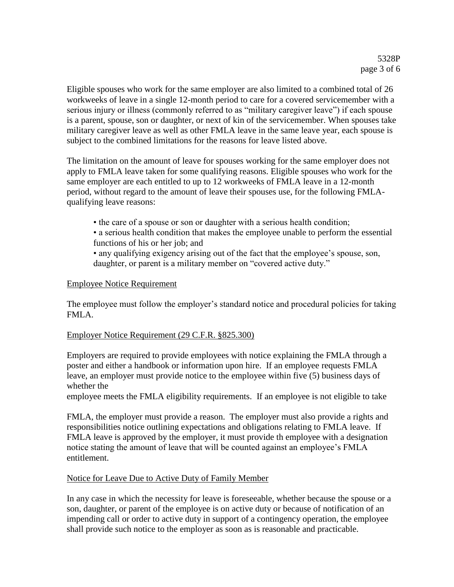Eligible spouses who work for the same employer are also limited to a combined total of 26 workweeks of leave in a single 12-month period to care for a covered servicemember with a serious injury or illness (commonly referred to as "military caregiver leave") if each spouse is a parent, spouse, son or daughter, or next of kin of the servicemember. When spouses take military caregiver leave as well as other FMLA leave in the same leave year, each spouse is subject to the combined limitations for the reasons for leave listed above.

The limitation on the amount of leave for spouses working for the same employer does not apply to FMLA leave taken for some qualifying reasons. Eligible spouses who work for the same employer are each entitled to up to 12 workweeks of FMLA leave in a 12-month period, without regard to the amount of leave their spouses use, for the following FMLAqualifying leave reasons:

- the care of a spouse or son or daughter with a serious health condition;
- a serious health condition that makes the employee unable to perform the essential functions of his or her job; and
- any qualifying exigency arising out of the fact that the employee's spouse, son, daughter, or parent is a military member on "covered active duty."

# Employee Notice Requirement

The employee must follow the employer's standard notice and procedural policies for taking FMLA.

# Employer Notice Requirement (29 C.F.R. §825.300)

Employers are required to provide employees with notice explaining the FMLA through a poster and either a handbook or information upon hire. If an employee requests FMLA leave, an employer must provide notice to the employee within five (5) business days of whether the

employee meets the FMLA eligibility requirements. If an employee is not eligible to take

FMLA, the employer must provide a reason. The employer must also provide a rights and responsibilities notice outlining expectations and obligations relating to FMLA leave. If FMLA leave is approved by the employer, it must provide th employee with a designation notice stating the amount of leave that will be counted against an employee's FMLA entitlement.

# Notice for Leave Due to Active Duty of Family Member

In any case in which the necessity for leave is foreseeable, whether because the spouse or a son, daughter, or parent of the employee is on active duty or because of notification of an impending call or order to active duty in support of a contingency operation, the employee shall provide such notice to the employer as soon as is reasonable and practicable.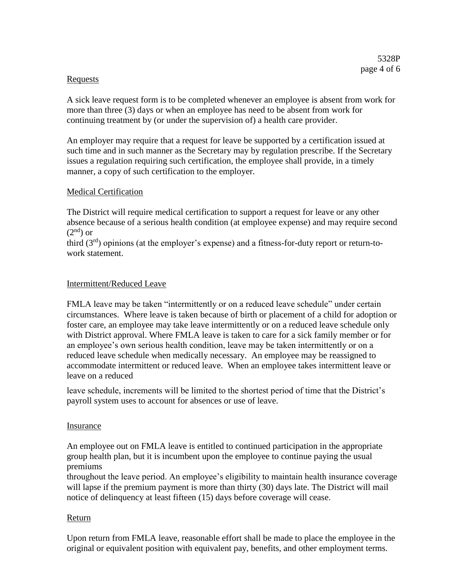### Requests

A sick leave request form is to be completed whenever an employee is absent from work for more than three (3) days or when an employee has need to be absent from work for continuing treatment by (or under the supervision of) a health care provider.

An employer may require that a request for leave be supported by a certification issued at such time and in such manner as the Secretary may by regulation prescribe. If the Secretary issues a regulation requiring such certification, the employee shall provide, in a timely manner, a copy of such certification to the employer.

# Medical Certification

The District will require medical certification to support a request for leave or any other absence because of a serious health condition (at employee expense) and may require second  $(2<sup>nd</sup>)$  or

third  $(3<sup>rd</sup>)$  opinions (at the employer's expense) and a fitness-for-duty report or return-towork statement.

# Intermittent/Reduced Leave

FMLA leave may be taken "intermittently or on a reduced leave schedule" under certain circumstances. Where leave is taken because of birth or placement of a child for adoption or foster care, an employee may take leave intermittently or on a reduced leave schedule only with District approval. Where FMLA leave is taken to care for a sick family member or for an employee's own serious health condition, leave may be taken intermittently or on a reduced leave schedule when medically necessary. An employee may be reassigned to accommodate intermittent or reduced leave. When an employee takes intermittent leave or leave on a reduced

leave schedule, increments will be limited to the shortest period of time that the District's payroll system uses to account for absences or use of leave.

# Insurance

An employee out on FMLA leave is entitled to continued participation in the appropriate group health plan, but it is incumbent upon the employee to continue paying the usual premiums

throughout the leave period. An employee's eligibility to maintain health insurance coverage will lapse if the premium payment is more than thirty (30) days late. The District will mail notice of delinquency at least fifteen (15) days before coverage will cease.

# Return

Upon return from FMLA leave, reasonable effort shall be made to place the employee in the original or equivalent position with equivalent pay, benefits, and other employment terms.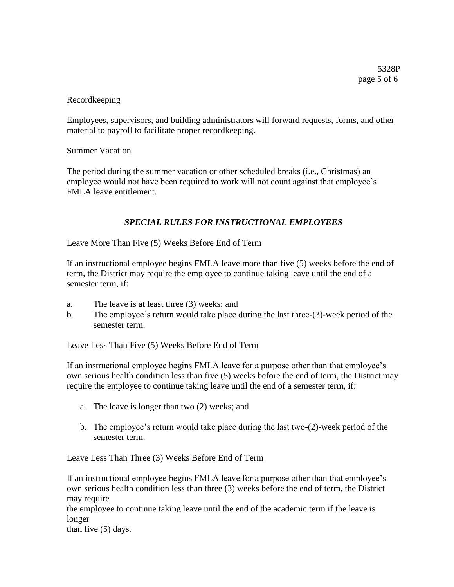### Recordkeeping

Employees, supervisors, and building administrators will forward requests, forms, and other material to payroll to facilitate proper recordkeeping.

### Summer Vacation

The period during the summer vacation or other scheduled breaks (i.e., Christmas) an employee would not have been required to work will not count against that employee's FMLA leave entitlement.

# *SPECIAL RULES FOR INSTRUCTIONAL EMPLOYEES*

# Leave More Than Five (5) Weeks Before End of Term

If an instructional employee begins FMLA leave more than five (5) weeks before the end of term, the District may require the employee to continue taking leave until the end of a semester term, if:

- a. The leave is at least three (3) weeks; and
- b. The employee's return would take place during the last three-(3)-week period of the semester term.

### Leave Less Than Five (5) Weeks Before End of Term

If an instructional employee begins FMLA leave for a purpose other than that employee's own serious health condition less than five (5) weeks before the end of term, the District may require the employee to continue taking leave until the end of a semester term, if:

- a. The leave is longer than two (2) weeks; and
- b. The employee's return would take place during the last two-(2)-week period of the semester term.

### Leave Less Than Three (3) Weeks Before End of Term

If an instructional employee begins FMLA leave for a purpose other than that employee's own serious health condition less than three (3) weeks before the end of term, the District may require

the employee to continue taking leave until the end of the academic term if the leave is longer

than five (5) days.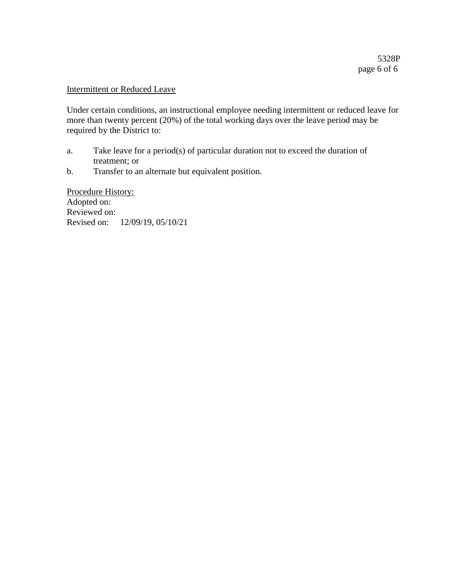### Intermittent or Reduced Leave

Under certain conditions, an instructional employee needing intermittent or reduced leave for more than twenty percent (20%) of the total working days over the leave period may be required by the District to:

- a. Take leave for a period(s) of particular duration not to exceed the duration of treatment; or
- b. Transfer to an alternate but equivalent position.

Procedure History: Adopted on: Reviewed on: Revised on: 12/09/19, 05/10/21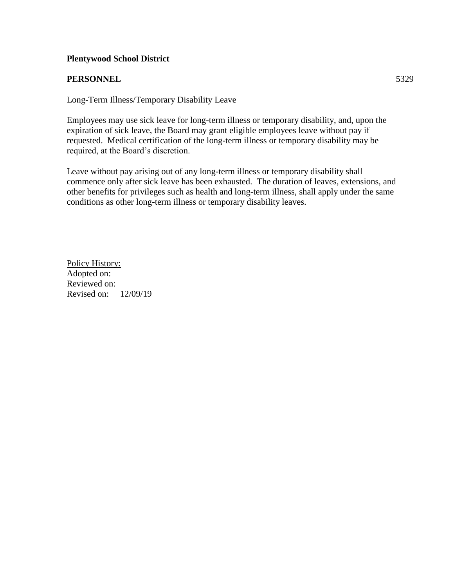# **PERSONNEL** 5329

### Long-Term Illness/Temporary Disability Leave

Employees may use sick leave for long-term illness or temporary disability, and, upon the expiration of sick leave, the Board may grant eligible employees leave without pay if requested. Medical certification of the long-term illness or temporary disability may be required, at the Board's discretion.

Leave without pay arising out of any long-term illness or temporary disability shall commence only after sick leave has been exhausted. The duration of leaves, extensions, and other benefits for privileges such as health and long-term illness, shall apply under the same conditions as other long-term illness or temporary disability leaves.

Policy History: Adopted on: Reviewed on: Revised on: 12/09/19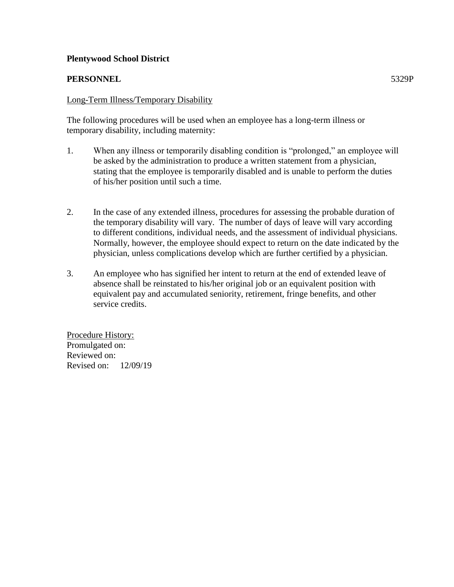# **PERSONNEL** 5329P

### Long-Term Illness/Temporary Disability

The following procedures will be used when an employee has a long-term illness or temporary disability, including maternity:

- 1. When any illness or temporarily disabling condition is "prolonged," an employee will be asked by the administration to produce a written statement from a physician, stating that the employee is temporarily disabled and is unable to perform the duties of his/her position until such a time.
- 2. In the case of any extended illness, procedures for assessing the probable duration of the temporary disability will vary. The number of days of leave will vary according to different conditions, individual needs, and the assessment of individual physicians. Normally, however, the employee should expect to return on the date indicated by the physician, unless complications develop which are further certified by a physician.
- 3. An employee who has signified her intent to return at the end of extended leave of absence shall be reinstated to his/her original job or an equivalent position with equivalent pay and accumulated seniority, retirement, fringe benefits, and other service credits.

Procedure History: Promulgated on: Reviewed on: Revised on: 12/09/19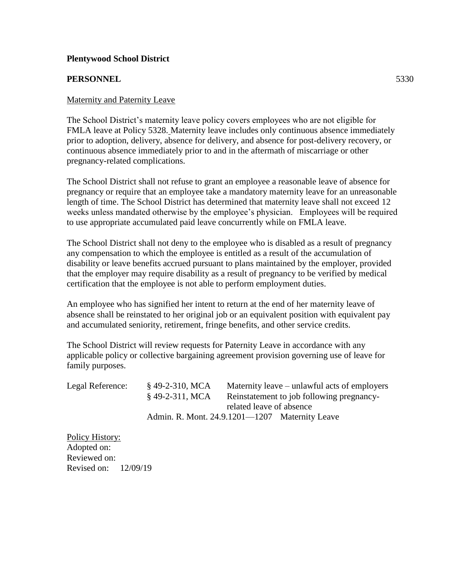### **PERSONNEL** 5330

#### Maternity and Paternity Leave

The School District's maternity leave policy covers employees who are not eligible for FMLA leave at Policy 5328. Maternity leave includes only continuous absence immediately prior to adoption, delivery, absence for delivery, and absence for post-delivery recovery, or continuous absence immediately prior to and in the aftermath of miscarriage or other pregnancy-related complications.

The School District shall not refuse to grant an employee a reasonable leave of absence for pregnancy or require that an employee take a mandatory maternity leave for an unreasonable length of time. The School District has determined that maternity leave shall not exceed 12 weeks unless mandated otherwise by the employee's physician. Employees will be required to use appropriate accumulated paid leave concurrently while on FMLA leave.

The School District shall not deny to the employee who is disabled as a result of pregnancy any compensation to which the employee is entitled as a result of the accumulation of disability or leave benefits accrued pursuant to plans maintained by the employer, provided that the employer may require disability as a result of pregnancy to be verified by medical certification that the employee is not able to perform employment duties.

An employee who has signified her intent to return at the end of her maternity leave of absence shall be reinstated to her original job or an equivalent position with equivalent pay and accumulated seniority, retirement, fringe benefits, and other service credits.

The School District will review requests for Paternity Leave in accordance with any applicable policy or collective bargaining agreement provision governing use of leave for family purposes.

Legal Reference: § 49-2-310, MCA Maternity leave – unlawful acts of employers § 49-2-311, MCA Reinstatement to job following pregnancyrelated leave of absence Admin. R. Mont. 24.9.1201—1207 Maternity Leave

Policy History: Adopted on: Reviewed on: Revised on: 12/09/19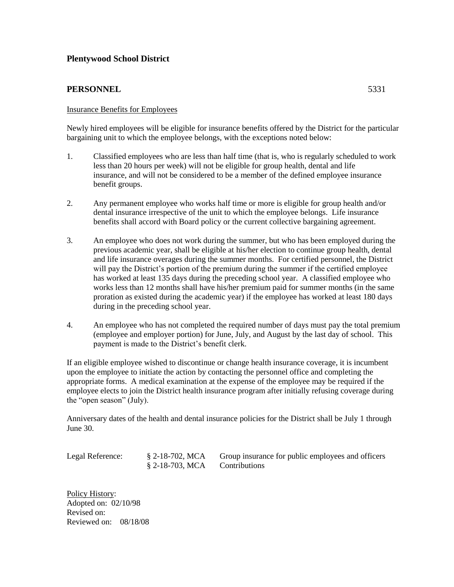### **PERSONNEL** 5331

#### Insurance Benefits for Employees

Newly hired employees will be eligible for insurance benefits offered by the District for the particular bargaining unit to which the employee belongs, with the exceptions noted below:

- 1. Classified employees who are less than half time (that is, who is regularly scheduled to work less than 20 hours per week) will not be eligible for group health, dental and life insurance, and will not be considered to be a member of the defined employee insurance benefit groups.
- 2. Any permanent employee who works half time or more is eligible for group health and/or dental insurance irrespective of the unit to which the employee belongs. Life insurance benefits shall accord with Board policy or the current collective bargaining agreement.
- 3. An employee who does not work during the summer, but who has been employed during the previous academic year, shall be eligible at his/her election to continue group health, dental and life insurance overages during the summer months. For certified personnel, the District will pay the District's portion of the premium during the summer if the certified employee has worked at least 135 days during the preceding school year. A classified employee who works less than 12 months shall have his/her premium paid for summer months (in the same proration as existed during the academic year) if the employee has worked at least 180 days during in the preceding school year.
- 4. An employee who has not completed the required number of days must pay the total premium (employee and employer portion) for June, July, and August by the last day of school. This payment is made to the District's benefit clerk.

If an eligible employee wished to discontinue or change health insurance coverage, it is incumbent upon the employee to initiate the action by contacting the personnel office and completing the appropriate forms. A medical examination at the expense of the employee may be required if the employee elects to join the District health insurance program after initially refusing coverage during the "open season" (July).

Anniversary dates of the health and dental insurance policies for the District shall be July 1 through June 30.

§ 2-18-703, MCA Contributions

Legal Reference: § 2-18-702, MCA Group insurance for public employees and officers

Policy History: Adopted on: 02/10/98 Revised on: Reviewed on: 08/18/08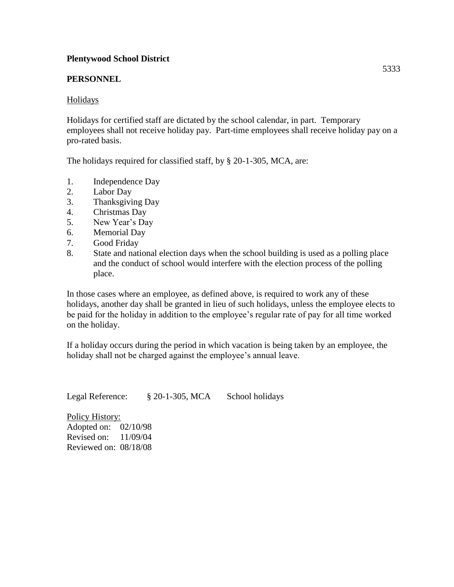### **PERSONNEL**

#### Holidays

Holidays for certified staff are dictated by the school calendar, in part. Temporary employees shall not receive holiday pay. Part-time employees shall receive holiday pay on a pro-rated basis.

The holidays required for classified staff, by § 20-1-305, MCA, are:

- 1. Independence Day
- 2. Labor Day
- 3. Thanksgiving Day
- 4. Christmas Day
- 5. New Year's Day
- 6. Memorial Day
- 7. Good Friday
- 8. State and national election days when the school building is used as a polling place and the conduct of school would interfere with the election process of the polling place.

In those cases where an employee, as defined above, is required to work any of these holidays, another day shall be granted in lieu of such holidays, unless the employee elects to be paid for the holiday in addition to the employee's regular rate of pay for all time worked on the holiday.

If a holiday occurs during the period in which vacation is being taken by an employee, the holiday shall not be charged against the employee's annual leave.

Legal Reference: § 20-1-305, MCA School holidays

Policy History: Adopted on: 02/10/98 Revised on: 11/09/04 Reviewed on: 08/18/08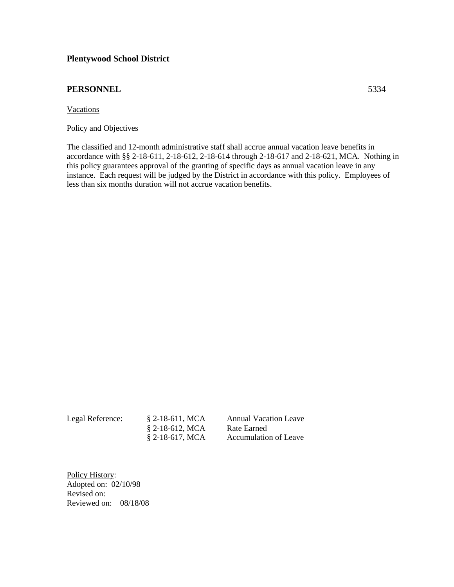#### **PERSONNEL** 5334

**Vacations** 

#### Policy and Objectives

The classified and 12-month administrative staff shall accrue annual vacation leave benefits in accordance with §§ 2-18-611, 2-18-612, 2-18-614 through 2-18-617 and 2-18-621, MCA. Nothing in this policy guarantees approval of the granting of specific days as annual vacation leave in any instance. Each request will be judged by the District in accordance with this policy. Employees of less than six months duration will not accrue vacation benefits.

 $§ 2-18-612, MCA$ 

Legal Reference:  $\frac{8}{9}$  2-18-611, MCA Annual Vacation Leave<br>  $\frac{8}{9}$  2-18-612, MCA Rate Earned § 2-18-617, MCA Accumulation of Leave

Policy History: Adopted on: 02/10/98 Revised on: Reviewed on: 08/18/08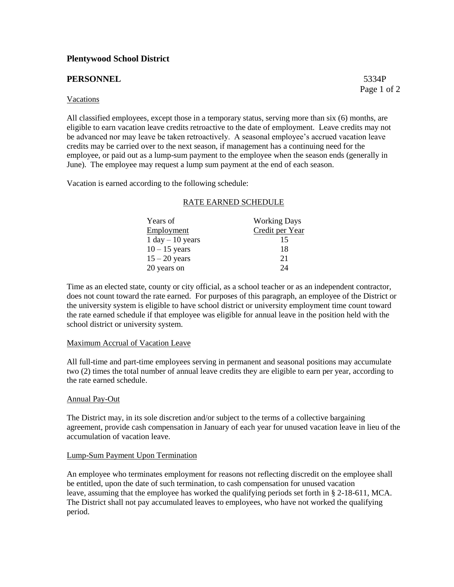### **PERSONNEL** 5334P

#### Vacations

All classified employees, except those in a temporary status, serving more than six (6) months, are eligible to earn vacation leave credits retroactive to the date of employment. Leave credits may not be advanced nor may leave be taken retroactively. A seasonal employee's accrued vacation leave credits may be carried over to the next season, if management has a continuing need for the employee, or paid out as a lump-sum payment to the employee when the season ends (generally in June). The employee may request a lump sum payment at the end of each season.

Vacation is earned according to the following schedule:

#### RATE EARNED SCHEDULE

| Years of                           | <b>Working Days</b> |
|------------------------------------|---------------------|
| Employment                         | Credit per Year     |
| $1 \text{ day} - 10 \text{ years}$ | 15                  |
| $10 - 15$ years                    | 18                  |
| $15 - 20$ years                    | 21                  |
| 20 years on                        | 24                  |

Time as an elected state, county or city official, as a school teacher or as an independent contractor, does not count toward the rate earned. For purposes of this paragraph, an employee of the District or the university system is eligible to have school district or university employment time count toward the rate earned schedule if that employee was eligible for annual leave in the position held with the school district or university system.

#### Maximum Accrual of Vacation Leave

All full-time and part-time employees serving in permanent and seasonal positions may accumulate two (2) times the total number of annual leave credits they are eligible to earn per year, according to the rate earned schedule.

#### Annual Pay-Out

The District may, in its sole discretion and/or subject to the terms of a collective bargaining agreement, provide cash compensation in January of each year for unused vacation leave in lieu of the accumulation of vacation leave.

#### Lump-Sum Payment Upon Termination

An employee who terminates employment for reasons not reflecting discredit on the employee shall be entitled, upon the date of such termination, to cash compensation for unused vacation leave, assuming that the employee has worked the qualifying periods set forth in § 2-18-611, MCA. The District shall not pay accumulated leaves to employees, who have not worked the qualifying period.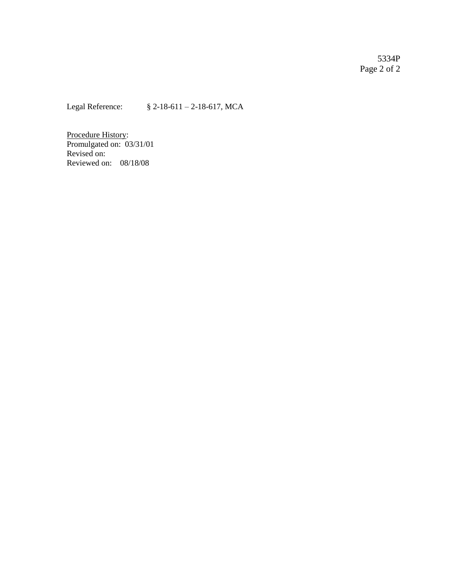5334P Page 2 of 2

# Legal Reference: § 2-18-611 – 2-18-617, MCA

Procedure History: Promulgated on: 03/31/01 Revised on: Reviewed on: 08/18/08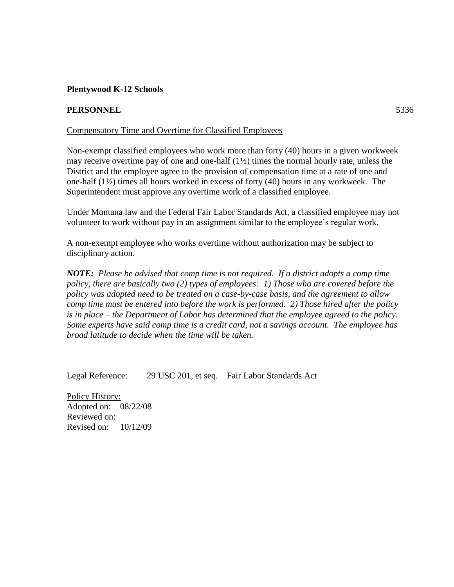### **Plentywood K-12 Schools**

### **PERSONNEL** 5336

Compensatory Time and Overtime for Classified Employees

Non-exempt classified employees who work more than forty (40) hours in a given workweek may receive overtime pay of one and one-half  $(1\frac{1}{2})$  times the normal hourly rate, unless the District and the employee agree to the provision of compensation time at a rate of one and one-half (1½) times all hours worked in excess of forty (40) hours in any workweek. The Superintendent must approve any overtime work of a classified employee.

Under Montana law and the Federal Fair Labor Standards Act, a classified employee may not volunteer to work without pay in an assignment similar to the employee's regular work.

A non-exempt employee who works overtime without authorization may be subject to disciplinary action.

*NOTE: Please be advised that comp time is not required. If a district adopts a comp time policy, there are basically two (2) types of employees: 1) Those who are covered before the policy was adopted need to be treated on a case-by-case basis, and the agreement to allow comp time must be entered into before the work is performed. 2) Those hired after the policy is in place – the Department of Labor has determined that the employee agreed to the policy. Some experts have said comp time is a credit card, not a savings account. The employee has broad latitude to decide when the time will be taken.*

Legal Reference: 29 USC 201, et seq. Fair Labor Standards Act

Policy History: Adopted on: 08/22/08 Reviewed on: Revised on: 10/12/09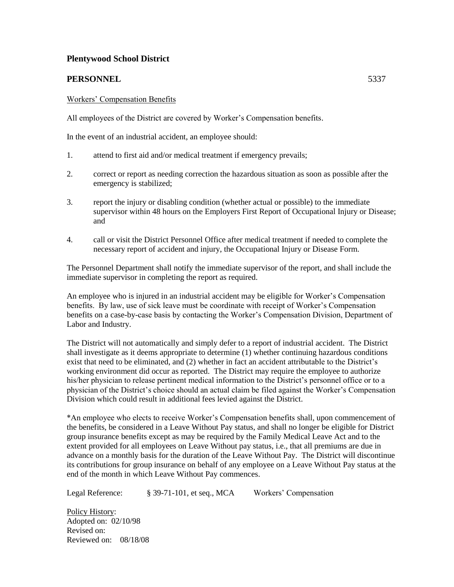### **PERSONNEL** 5337

#### Workers' Compensation Benefits

All employees of the District are covered by Worker's Compensation benefits.

In the event of an industrial accident, an employee should:

- 1. attend to first aid and/or medical treatment if emergency prevails;
- 2. correct or report as needing correction the hazardous situation as soon as possible after the emergency is stabilized;
- 3. report the injury or disabling condition (whether actual or possible) to the immediate supervisor within 48 hours on the Employers First Report of Occupational Injury or Disease; and
- 4. call or visit the District Personnel Office after medical treatment if needed to complete the necessary report of accident and injury, the Occupational Injury or Disease Form.

The Personnel Department shall notify the immediate supervisor of the report, and shall include the immediate supervisor in completing the report as required.

An employee who is injured in an industrial accident may be eligible for Worker's Compensation benefits. By law, use of sick leave must be coordinate with receipt of Worker's Compensation benefits on a case-by-case basis by contacting the Worker's Compensation Division, Department of Labor and Industry.

The District will not automatically and simply defer to a report of industrial accident. The District shall investigate as it deems appropriate to determine (1) whether continuing hazardous conditions exist that need to be eliminated, and (2) whether in fact an accident attributable to the District's working environment did occur as reported. The District may require the employee to authorize his/her physician to release pertinent medical information to the District's personnel office or to a physician of the District's choice should an actual claim be filed against the Worker's Compensation Division which could result in additional fees levied against the District.

\*An employee who elects to receive Worker's Compensation benefits shall, upon commencement of the benefits, be considered in a Leave Without Pay status, and shall no longer be eligible for District group insurance benefits except as may be required by the Family Medical Leave Act and to the extent provided for all employees on Leave Without pay status, i.e., that all premiums are due in advance on a monthly basis for the duration of the Leave Without Pay. The District will discontinue its contributions for group insurance on behalf of any employee on a Leave Without Pay status at the end of the month in which Leave Without Pay commences.

Legal Reference: § 39-71-101, et seq., MCA Workers' Compensation

Policy History: Adopted on: 02/10/98 Revised on: Reviewed on: 08/18/08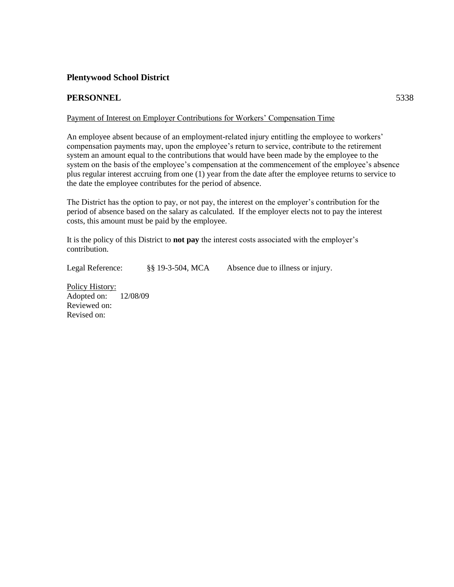### **PERSONNEL** 5338

#### Payment of Interest on Employer Contributions for Workers' Compensation Time

An employee absent because of an employment-related injury entitling the employee to workers' compensation payments may, upon the employee's return to service, contribute to the retirement system an amount equal to the contributions that would have been made by the employee to the system on the basis of the employee's compensation at the commencement of the employee's absence plus regular interest accruing from one (1) year from the date after the employee returns to service to the date the employee contributes for the period of absence.

The District has the option to pay, or not pay, the interest on the employer's contribution for the period of absence based on the salary as calculated. If the employer elects not to pay the interest costs, this amount must be paid by the employee.

It is the policy of this District to **not pay** the interest costs associated with the employer's contribution.

Legal Reference: §§ 19-3-504, MCA Absence due to illness or injury.

Policy History: Adopted on: 12/08/09 Reviewed on: Revised on: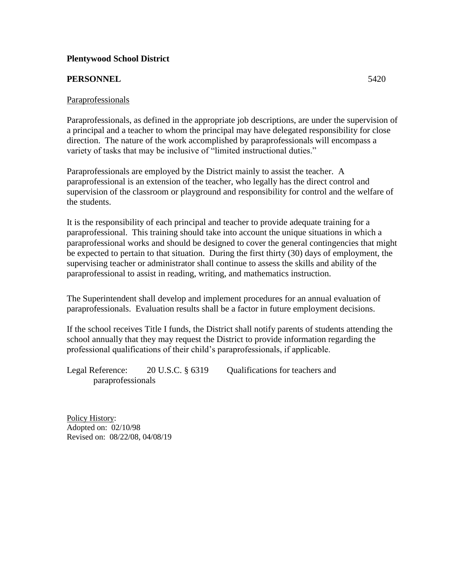### **PERSONNEL** 5420

#### Paraprofessionals

Paraprofessionals, as defined in the appropriate job descriptions, are under the supervision of a principal and a teacher to whom the principal may have delegated responsibility for close direction. The nature of the work accomplished by paraprofessionals will encompass a variety of tasks that may be inclusive of "limited instructional duties."

Paraprofessionals are employed by the District mainly to assist the teacher. A paraprofessional is an extension of the teacher, who legally has the direct control and supervision of the classroom or playground and responsibility for control and the welfare of the students.

It is the responsibility of each principal and teacher to provide adequate training for a paraprofessional. This training should take into account the unique situations in which a paraprofessional works and should be designed to cover the general contingencies that might be expected to pertain to that situation. During the first thirty (30) days of employment, the supervising teacher or administrator shall continue to assess the skills and ability of the paraprofessional to assist in reading, writing, and mathematics instruction.

The Superintendent shall develop and implement procedures for an annual evaluation of paraprofessionals. Evaluation results shall be a factor in future employment decisions.

If the school receives Title I funds, the District shall notify parents of students attending the school annually that they may request the District to provide information regarding the professional qualifications of their child's paraprofessionals, if applicable.

Legal Reference: 20 U.S.C. § 6319 Qualifications for teachers and paraprofessionals

Policy History: Adopted on: 02/10/98 Revised on: 08/22/08, 04/08/19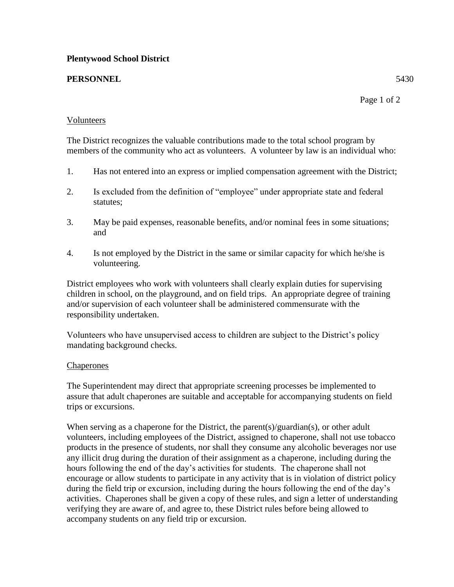# **PERSONNEL** 5430

# Volunteers

The District recognizes the valuable contributions made to the total school program by members of the community who act as volunteers. A volunteer by law is an individual who:

- 1. Has not entered into an express or implied compensation agreement with the District;
- 2. Is excluded from the definition of "employee" under appropriate state and federal statutes;
- 3. May be paid expenses, reasonable benefits, and/or nominal fees in some situations; and
- 4. Is not employed by the District in the same or similar capacity for which he/she is volunteering.

District employees who work with volunteers shall clearly explain duties for supervising children in school, on the playground, and on field trips. An appropriate degree of training and/or supervision of each volunteer shall be administered commensurate with the responsibility undertaken.

Volunteers who have unsupervised access to children are subject to the District's policy mandating background checks.

# **Chaperones**

The Superintendent may direct that appropriate screening processes be implemented to assure that adult chaperones are suitable and acceptable for accompanying students on field trips or excursions.

When serving as a chaperone for the District, the parent(s)/guardian(s), or other adult volunteers, including employees of the District, assigned to chaperone, shall not use tobacco products in the presence of students, nor shall they consume any alcoholic beverages nor use any illicit drug during the duration of their assignment as a chaperone, including during the hours following the end of the day's activities for students. The chaperone shall not encourage or allow students to participate in any activity that is in violation of district policy during the field trip or excursion, including during the hours following the end of the day's activities. Chaperones shall be given a copy of these rules, and sign a letter of understanding verifying they are aware of, and agree to, these District rules before being allowed to accompany students on any field trip or excursion.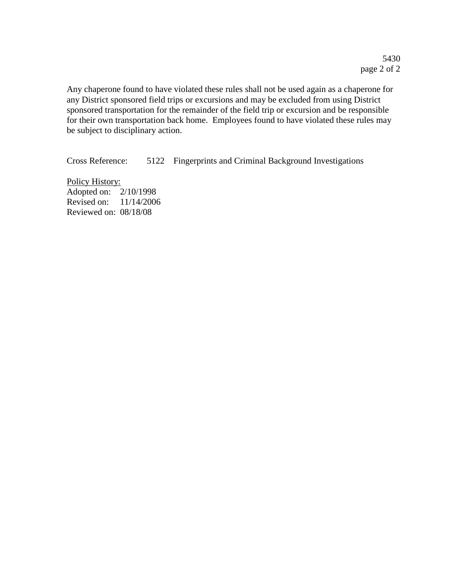Any chaperone found to have violated these rules shall not be used again as a chaperone for any District sponsored field trips or excursions and may be excluded from using District sponsored transportation for the remainder of the field trip or excursion and be responsible for their own transportation back home. Employees found to have violated these rules may be subject to disciplinary action.

Cross Reference: 5122 Fingerprints and Criminal Background Investigations

Policy History: Adopted on: 2/10/1998 Revised on: 11/14/2006 Reviewed on: 08/18/08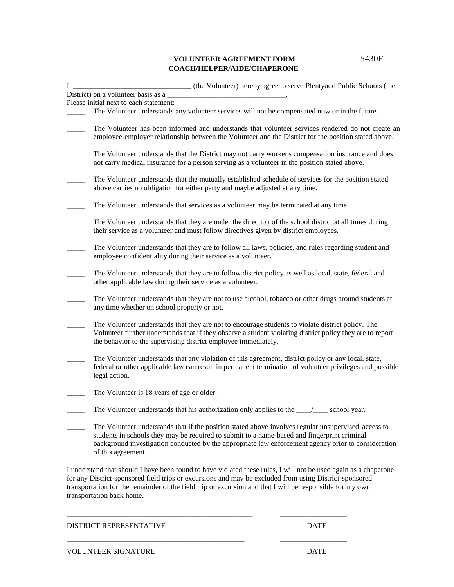# **VOLUNTEER AGREEMENT FORM** 5430F **COACH/HELPER/AIDE/CHAPERONE**

| (the Volunteer) hereby agree to serve Plentyood Public Schools (the                                                                                                                                                                                                                                                                     |
|-----------------------------------------------------------------------------------------------------------------------------------------------------------------------------------------------------------------------------------------------------------------------------------------------------------------------------------------|
| District) on a volunteer basis as a                                                                                                                                                                                                                                                                                                     |
| Please initial next to each statement:                                                                                                                                                                                                                                                                                                  |
| The Volunteer understands any volunteer services will not be compensated now or in the future.                                                                                                                                                                                                                                          |
| The Volunteer has been informed and understands that volunteer services rendered do not create an<br>employee-employer relationship between the Volunteer and the District for the position stated above.                                                                                                                               |
| The Volunteer understands that the District may not carry worker's compensation insurance and does<br>not carry medical insurance for a person serving as a volunteer in the position stated above.                                                                                                                                     |
| The Volunteer understands that the mutually established schedule of services for the position stated<br>above carries no obligation for either party and maybe adjusted at any time.                                                                                                                                                    |
| The Volunteer understands that services as a volunteer may be terminated at any time.                                                                                                                                                                                                                                                   |
| The Volunteer understands that they are under the direction of the school district at all times during<br>their service as a volunteer and must follow directives given by district employees.                                                                                                                                          |
| The Volunteer understands that they are to follow all laws, policies, and rules regarding student and<br>employee confidentiality during their service as a volunteer.                                                                                                                                                                  |
| The Volunteer understands that they are to follow district policy as well as local, state, federal and<br>other applicable law during their service as a volunteer.                                                                                                                                                                     |
| The Volunteer understands that they are not to use alcohol, tobacco or other drugs around students at<br>any time whether on school property or not.                                                                                                                                                                                    |
| The Volunteer understands that they are not to encourage students to violate district policy. The<br>Volunteer further understands that if they observe a student violating district policy they are to report<br>the behavior to the supervising district employee immediately.                                                        |
| The Volunteer understands that any violation of this agreement, district policy or any local, state,<br>federal or other applicable law can result in permanent termination of volunteer privileges and possible<br>legal action.                                                                                                       |
| The Volunteer is 18 years of age or older.                                                                                                                                                                                                                                                                                              |
| The Volunteer understands that his authorization only applies to the<br>school year.                                                                                                                                                                                                                                                    |
| The Volunteer understands that if the position stated above involves regular unsupervised access to<br>students in schools they may be required to submit to a name-based and fingerprint criminal<br>background investigation conducted by the appropriate law enforcement agency prior to consideration<br>of this agreement.         |
| I understand that should I have been found to have violated these rules, I will not be used again as a chaperone<br>for any District-sponsored field trips or excursions and may be excluded from using District-sponsored<br>transportation for the remainder of the field trip or excursion and that I will be responsible for my own |

\_\_\_\_\_\_\_\_\_\_\_\_\_\_\_\_\_\_\_\_\_\_\_\_\_\_\_\_\_\_\_\_\_\_\_\_\_\_\_\_\_\_\_\_\_\_\_\_\_\_ \_\_\_\_\_\_\_\_\_\_\_\_\_\_\_\_\_\_

\_\_\_\_\_\_\_\_\_\_\_\_\_\_\_\_\_\_\_\_\_\_\_\_\_\_\_\_\_\_\_\_\_\_\_\_\_\_\_\_\_\_\_\_\_\_\_\_ \_\_\_\_\_\_\_\_\_\_\_\_\_\_\_\_\_\_

DISTRICT REPRESENTATIVE DATE

transportation back home.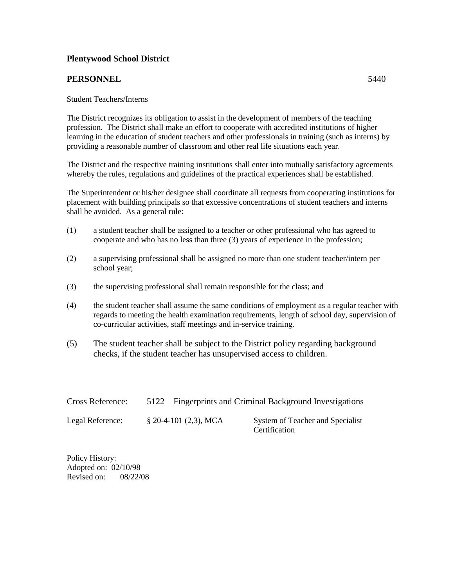#### **PERSONNEL** 5440

#### Student Teachers/Interns

The District recognizes its obligation to assist in the development of members of the teaching profession. The District shall make an effort to cooperate with accredited institutions of higher learning in the education of student teachers and other professionals in training (such as interns) by providing a reasonable number of classroom and other real life situations each year.

The District and the respective training institutions shall enter into mutually satisfactory agreements whereby the rules, regulations and guidelines of the practical experiences shall be established.

The Superintendent or his/her designee shall coordinate all requests from cooperating institutions for placement with building principals so that excessive concentrations of student teachers and interns shall be avoided. As a general rule:

- (1) a student teacher shall be assigned to a teacher or other professional who has agreed to cooperate and who has no less than three (3) years of experience in the profession;
- (2) a supervising professional shall be assigned no more than one student teacher/intern per school year;
- (3) the supervising professional shall remain responsible for the class; and
- (4) the student teacher shall assume the same conditions of employment as a regular teacher with regards to meeting the health examination requirements, length of school day, supervision of co-curricular activities, staff meetings and in-service training.
- (5) The student teacher shall be subject to the District policy regarding background checks, if the student teacher has unsupervised access to children.

| Cross Reference: |                          | 5122 Fingerprints and Criminal Background Investigations |
|------------------|--------------------------|----------------------------------------------------------|
| Legal Reference: | $\S$ 20-4-101 (2,3), MCA | System of Teacher and Specialist<br>Certification        |

Policy History: Adopted on: 02/10/98 Revised on: 08/22/08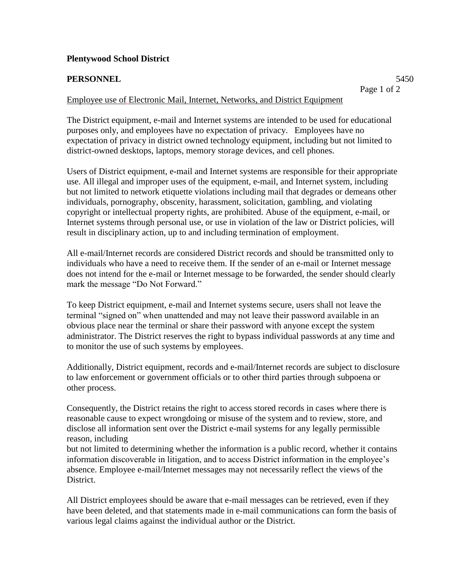# **PERSONNEL** 5450

Page 1 of 2

# Employee use of Electronic Mail, Internet, Networks, and District Equipment

The District equipment, e-mail and Internet systems are intended to be used for educational purposes only, and employees have no expectation of privacy. Employees have no expectation of privacy in district owned technology equipment, including but not limited to district-owned desktops, laptops, memory storage devices, and cell phones.

Users of District equipment, e-mail and Internet systems are responsible for their appropriate use. All illegal and improper uses of the equipment, e-mail, and Internet system, including but not limited to network etiquette violations including mail that degrades or demeans other individuals, pornography, obscenity, harassment, solicitation, gambling, and violating copyright or intellectual property rights, are prohibited. Abuse of the equipment, e-mail, or Internet systems through personal use, or use in violation of the law or District policies, will result in disciplinary action, up to and including termination of employment.

All e-mail/Internet records are considered District records and should be transmitted only to individuals who have a need to receive them. If the sender of an e-mail or Internet message does not intend for the e-mail or Internet message to be forwarded, the sender should clearly mark the message "Do Not Forward."

To keep District equipment, e-mail and Internet systems secure, users shall not leave the terminal "signed on" when unattended and may not leave their password available in an obvious place near the terminal or share their password with anyone except the system administrator. The District reserves the right to bypass individual passwords at any time and to monitor the use of such systems by employees.

Additionally, District equipment, records and e-mail/Internet records are subject to disclosure to law enforcement or government officials or to other third parties through subpoena or other process.

Consequently, the District retains the right to access stored records in cases where there is reasonable cause to expect wrongdoing or misuse of the system and to review, store, and disclose all information sent over the District e-mail systems for any legally permissible reason, including

but not limited to determining whether the information is a public record, whether it contains information discoverable in litigation, and to access District information in the employee's absence. Employee e-mail/Internet messages may not necessarily reflect the views of the District.

All District employees should be aware that e-mail messages can be retrieved, even if they have been deleted, and that statements made in e-mail communications can form the basis of various legal claims against the individual author or the District.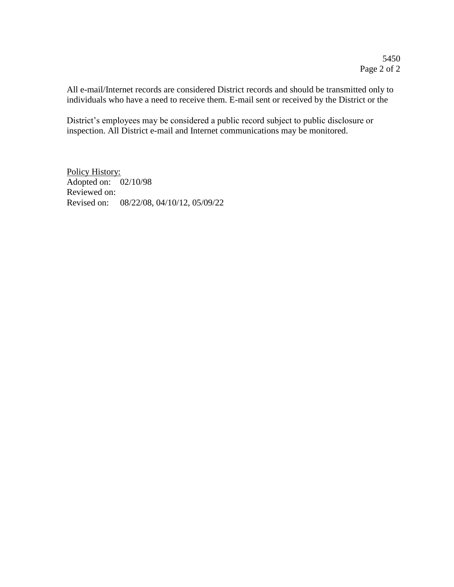All e-mail/Internet records are considered District records and should be transmitted only to individuals who have a need to receive them. E-mail sent or received by the District or the

District's employees may be considered a public record subject to public disclosure or inspection. All District e-mail and Internet communications may be monitored.

Policy History: Adopted on: 02/10/98 Reviewed on: Revised on: 08/22/08, 04/10/12, 05/09/22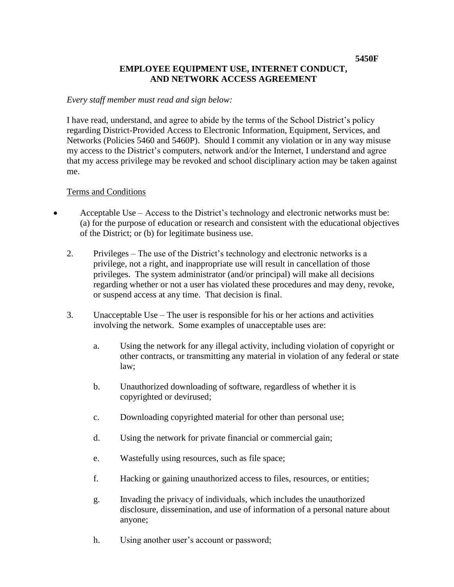# **EMPLOYEE EQUIPMENT USE, INTERNET CONDUCT, AND NETWORK ACCESS AGREEMENT**

#### *Every staff member must read and sign below:*

I have read, understand, and agree to abide by the terms of the School District's policy regarding District-Provided Access to Electronic Information, Equipment, Services, and Networks (Policies 5460 and 5460P). Should I commit any violation or in any way misuse my access to the District's computers, network and/or the Internet, I understand and agree that my access privilege may be revoked and school disciplinary action may be taken against me.

### Terms and Conditions

- Acceptable Use Access to the District's technology and electronic networks must be: (a) for the purpose of education or research and consistent with the educational objectives of the District; or (b) for legitimate business use.
	- 2. Privileges The use of the District's technology and electronic networks is a privilege, not a right, and inappropriate use will result in cancellation of those privileges. The system administrator (and/or principal) will make all decisions regarding whether or not a user has violated these procedures and may deny, revoke, or suspend access at any time. That decision is final.
	- 3. Unacceptable Use The user is responsible for his or her actions and activities involving the network. Some examples of unacceptable uses are:
		- a. Using the network for any illegal activity, including violation of copyright or other contracts, or transmitting any material in violation of any federal or state law;
		- b. Unauthorized downloading of software, regardless of whether it is copyrighted or devirused;
		- c. Downloading copyrighted material for other than personal use;
		- d. Using the network for private financial or commercial gain;
		- e. Wastefully using resources, such as file space;
		- f. Hacking or gaining unauthorized access to files, resources, or entities;
		- g. Invading the privacy of individuals, which includes the unauthorized disclosure, dissemination, and use of information of a personal nature about anyone;
		- h. Using another user's account or password;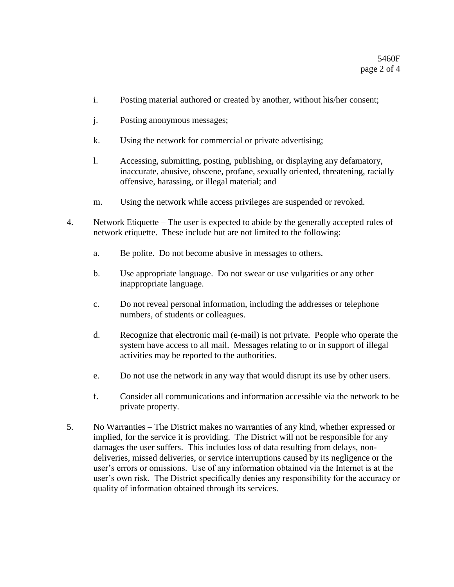- i. Posting material authored or created by another, without his/her consent;
- j. Posting anonymous messages;
- k. Using the network for commercial or private advertising;
- l. Accessing, submitting, posting, publishing, or displaying any defamatory, inaccurate, abusive, obscene, profane, sexually oriented, threatening, racially offensive, harassing, or illegal material; and
- m. Using the network while access privileges are suspended or revoked.
- 4. Network Etiquette The user is expected to abide by the generally accepted rules of network etiquette. These include but are not limited to the following:
	- a. Be polite. Do not become abusive in messages to others.
	- b. Use appropriate language. Do not swear or use vulgarities or any other inappropriate language.
	- c. Do not reveal personal information, including the addresses or telephone numbers, of students or colleagues.
	- d. Recognize that electronic mail (e-mail) is not private. People who operate the system have access to all mail. Messages relating to or in support of illegal activities may be reported to the authorities.
	- e. Do not use the network in any way that would disrupt its use by other users.
	- f. Consider all communications and information accessible via the network to be private property.
- 5. No Warranties The District makes no warranties of any kind, whether expressed or implied, for the service it is providing. The District will not be responsible for any damages the user suffers. This includes loss of data resulting from delays, nondeliveries, missed deliveries, or service interruptions caused by its negligence or the user's errors or omissions. Use of any information obtained via the Internet is at the user's own risk. The District specifically denies any responsibility for the accuracy or quality of information obtained through its services.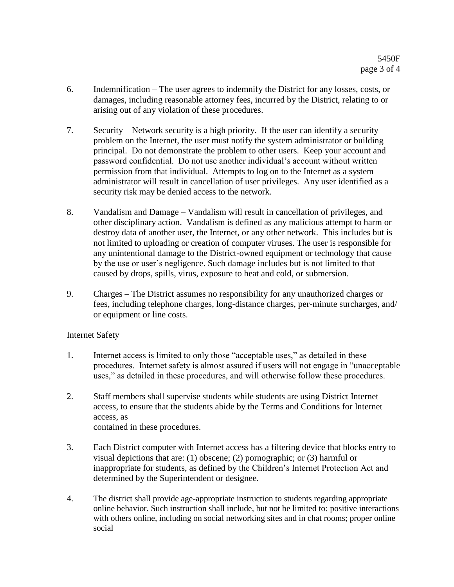- 6. Indemnification The user agrees to indemnify the District for any losses, costs, or damages, including reasonable attorney fees, incurred by the District, relating to or arising out of any violation of these procedures.
- 7. Security Network security is a high priority. If the user can identify a security problem on the Internet, the user must notify the system administrator or building principal. Do not demonstrate the problem to other users. Keep your account and password confidential. Do not use another individual's account without written permission from that individual. Attempts to log on to the Internet as a system administrator will result in cancellation of user privileges. Any user identified as a security risk may be denied access to the network.
- 8. Vandalism and Damage Vandalism will result in cancellation of privileges, and other disciplinary action. Vandalism is defined as any malicious attempt to harm or destroy data of another user, the Internet, or any other network. This includes but is not limited to uploading or creation of computer viruses. The user is responsible for any unintentional damage to the District-owned equipment or technology that cause by the use or user's negligence. Such damage includes but is not limited to that caused by drops, spills, virus, exposure to heat and cold, or submersion.
- 9. Charges The District assumes no responsibility for any unauthorized charges or fees, including telephone charges, long-distance charges, per-minute surcharges, and/ or equipment or line costs.

# Internet Safety

- 1. Internet access is limited to only those "acceptable uses," as detailed in these procedures. Internet safety is almost assured if users will not engage in "unacceptable uses," as detailed in these procedures, and will otherwise follow these procedures.
- 2. Staff members shall supervise students while students are using District Internet access, to ensure that the students abide by the Terms and Conditions for Internet access, as contained in these procedures.
- 3. Each District computer with Internet access has a filtering device that blocks entry to visual depictions that are: (1) obscene; (2) pornographic; or (3) harmful or inappropriate for students, as defined by the Children's Internet Protection Act and determined by the Superintendent or designee.
- 4. The district shall provide age-appropriate instruction to students regarding appropriate online behavior. Such instruction shall include, but not be limited to: positive interactions with others online, including on social networking sites and in chat rooms; proper online social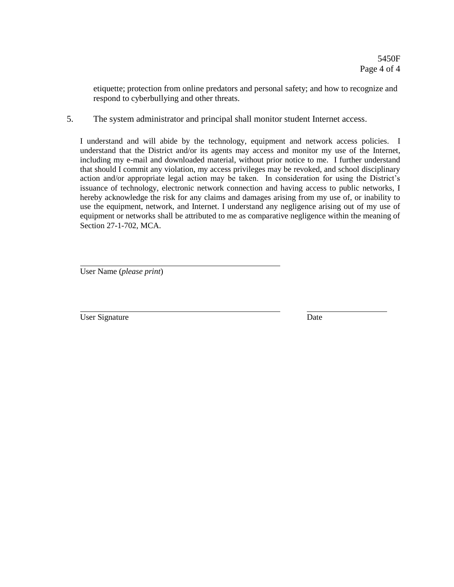etiquette; protection from online predators and personal safety; and how to recognize and respond to cyberbullying and other threats.

5. The system administrator and principal shall monitor student Internet access.

I understand and will abide by the technology, equipment and network access policies. I understand that the District and/or its agents may access and monitor my use of the Internet, including my e-mail and downloaded material, without prior notice to me. I further understand that should I commit any violation, my access privileges may be revoked, and school disciplinary action and/or appropriate legal action may be taken. In consideration for using the District's issuance of technology, electronic network connection and having access to public networks, I hereby acknowledge the risk for any claims and damages arising from my use of, or inability to use the equipment, network, and Internet. I understand any negligence arising out of my use of equipment or networks shall be attributed to me as comparative negligence within the meaning of Section 27-1-702, MCA.

User Name (*please print*)

User Signature Date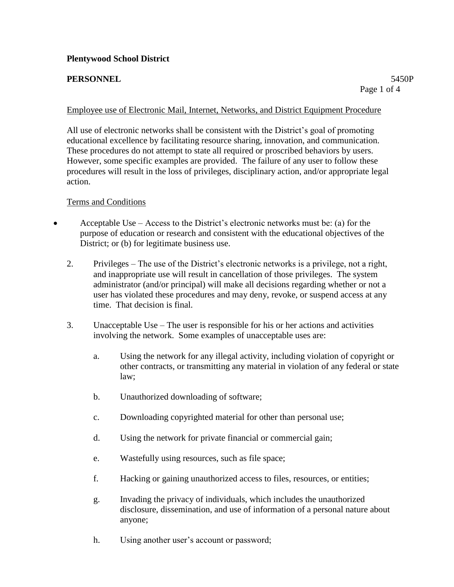# **PERSONNEL** 5450P

### Employee use of Electronic Mail, Internet, Networks, and District Equipment Procedure

All use of electronic networks shall be consistent with the District's goal of promoting educational excellence by facilitating resource sharing, innovation, and communication. These procedures do not attempt to state all required or proscribed behaviors by users. However, some specific examples are provided. The failure of any user to follow these procedures will result in the loss of privileges, disciplinary action, and/or appropriate legal action.

### Terms and Conditions

- Acceptable Use Access to the District's electronic networks must be: (a) for the purpose of education or research and consistent with the educational objectives of the District; or (b) for legitimate business use.
	- 2. Privileges The use of the District's electronic networks is a privilege, not a right, and inappropriate use will result in cancellation of those privileges. The system administrator (and/or principal) will make all decisions regarding whether or not a user has violated these procedures and may deny, revoke, or suspend access at any time. That decision is final.
	- 3. Unacceptable Use The user is responsible for his or her actions and activities involving the network. Some examples of unacceptable uses are:
		- a. Using the network for any illegal activity, including violation of copyright or other contracts, or transmitting any material in violation of any federal or state law;
		- b. Unauthorized downloading of software;
		- c. Downloading copyrighted material for other than personal use;
		- d. Using the network for private financial or commercial gain;
		- e. Wastefully using resources, such as file space;
		- f. Hacking or gaining unauthorized access to files, resources, or entities;
		- g. Invading the privacy of individuals, which includes the unauthorized disclosure, dissemination, and use of information of a personal nature about anyone;
		- h. Using another user's account or password;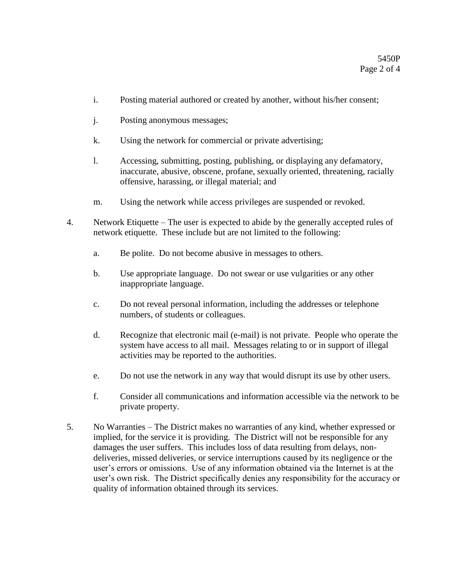- i. Posting material authored or created by another, without his/her consent;
- j. Posting anonymous messages;
- k. Using the network for commercial or private advertising;
- l. Accessing, submitting, posting, publishing, or displaying any defamatory, inaccurate, abusive, obscene, profane, sexually oriented, threatening, racially offensive, harassing, or illegal material; and
- m. Using the network while access privileges are suspended or revoked.
- 4. Network Etiquette The user is expected to abide by the generally accepted rules of network etiquette. These include but are not limited to the following:
	- a. Be polite. Do not become abusive in messages to others.
	- b. Use appropriate language. Do not swear or use vulgarities or any other inappropriate language.
	- c. Do not reveal personal information, including the addresses or telephone numbers, of students or colleagues.
	- d. Recognize that electronic mail (e-mail) is not private. People who operate the system have access to all mail. Messages relating to or in support of illegal activities may be reported to the authorities.
	- e. Do not use the network in any way that would disrupt its use by other users.
	- f. Consider all communications and information accessible via the network to be private property.
- 5. No Warranties The District makes no warranties of any kind, whether expressed or implied, for the service it is providing. The District will not be responsible for any damages the user suffers. This includes loss of data resulting from delays, nondeliveries, missed deliveries, or service interruptions caused by its negligence or the user's errors or omissions. Use of any information obtained via the Internet is at the user's own risk. The District specifically denies any responsibility for the accuracy or quality of information obtained through its services.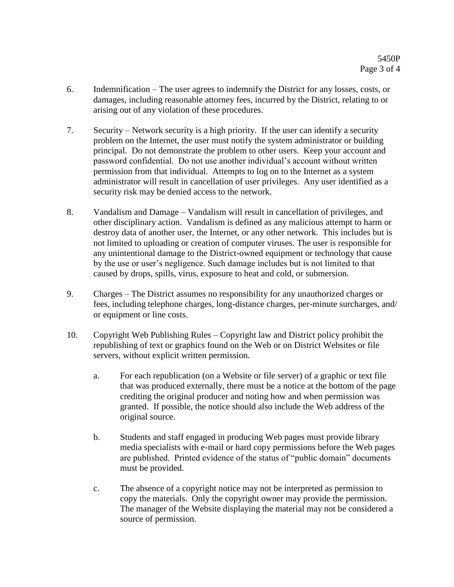- 6. Indemnification The user agrees to indemnify the District for any losses, costs, or damages, including reasonable attorney fees, incurred by the District, relating to or arising out of any violation of these procedures.
- 7. Security Network security is a high priority. If the user can identify a security problem on the Internet, the user must notify the system administrator or building principal. Do not demonstrate the problem to other users. Keep your account and password confidential. Do not use another individual's account without written permission from that individual. Attempts to log on to the Internet as a system administrator will result in cancellation of user privileges. Any user identified as a security risk may be denied access to the network.
- 8. Vandalism and Damage Vandalism will result in cancellation of privileges, and other disciplinary action. Vandalism is defined as any malicious attempt to harm or destroy data of another user, the Internet, or any other network. This includes but is not limited to uploading or creation of computer viruses. The user is responsible for any unintentional damage to the District-owned equipment or technology that cause by the use or user's negligence. Such damage includes but is not limited to that caused by drops, spills, virus, exposure to heat and cold, or submersion.
- 9. Charges The District assumes no responsibility for any unauthorized charges or fees, including telephone charges, long-distance charges, per-minute surcharges, and/ or equipment or line costs.
- 10. Copyright Web Publishing Rules Copyright law and District policy prohibit the republishing of text or graphics found on the Web or on District Websites or file servers, without explicit written permission.
	- a. For each republication (on a Website or file server) of a graphic or text file that was produced externally, there must be a notice at the bottom of the page crediting the original producer and noting how and when permission was granted. If possible, the notice should also include the Web address of the original source.
	- b. Students and staff engaged in producing Web pages must provide library media specialists with e-mail or hard copy permissions before the Web pages are published. Printed evidence of the status of "public domain" documents must be provided.
	- c. The absence of a copyright notice may not be interpreted as permission to copy the materials. Only the copyright owner may provide the permission. The manager of the Website displaying the material may not be considered a source of permission.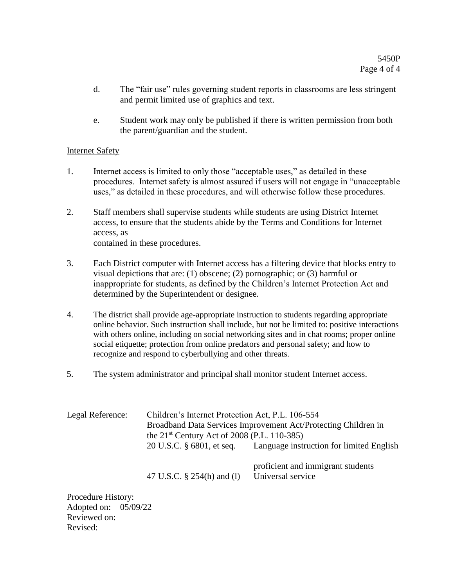- d. The "fair use" rules governing student reports in classrooms are less stringent and permit limited use of graphics and text.
- e. Student work may only be published if there is written permission from both the parent/guardian and the student.

### Internet Safety

- 1. Internet access is limited to only those "acceptable uses," as detailed in these procedures. Internet safety is almost assured if users will not engage in "unacceptable uses," as detailed in these procedures, and will otherwise follow these procedures.
- 2. Staff members shall supervise students while students are using District Internet access, to ensure that the students abide by the Terms and Conditions for Internet access, as contained in these procedures.
- 3. Each District computer with Internet access has a filtering device that blocks entry to visual depictions that are: (1) obscene; (2) pornographic; or (3) harmful or inappropriate for students, as defined by the Children's Internet Protection Act and determined by the Superintendent or designee.
- 4. The district shall provide age-appropriate instruction to students regarding appropriate online behavior. Such instruction shall include, but not be limited to: positive interactions with others online, including on social networking sites and in chat rooms; proper online social etiquette; protection from online predators and personal safety; and how to recognize and respond to cyberbullying and other threats.
- 5. The system administrator and principal shall monitor student Internet access.

| Legal Reference: | Children's Internet Protection Act, P.L. 106-554<br>Broadband Data Services Improvement Act/Protecting Children in<br>the $21^{st}$ Century Act of 2008 (P.L. 110-385) |                                                                    |
|------------------|------------------------------------------------------------------------------------------------------------------------------------------------------------------------|--------------------------------------------------------------------|
|                  |                                                                                                                                                                        | 20 U.S.C. § 6801, et seq. Language instruction for limited English |
|                  | 47 U.S.C. $\S$ 254(h) and (l)                                                                                                                                          | proficient and immigrant students<br>Universal service             |

Procedure History: Adopted on: 05/09/22 Reviewed on: Revised: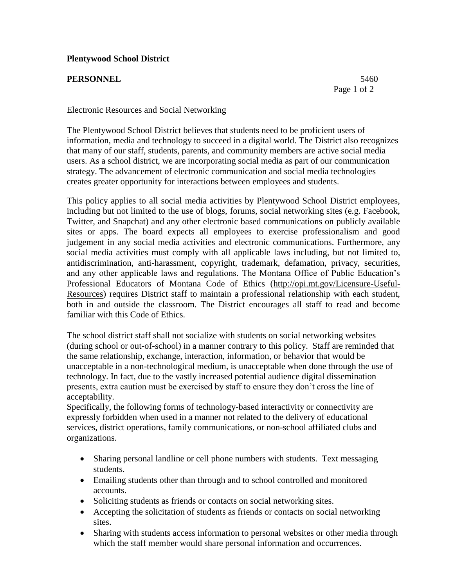# **PERSONNEL** 5460

Page 1 of 2

### Electronic Resources and Social Networking

The Plentywood School District believes that students need to be proficient users of information, media and technology to succeed in a digital world. The District also recognizes that many of our staff, students, parents, and community members are active social media users. As a school district, we are incorporating social media as part of our communication strategy. The advancement of electronic communication and social media technologies creates greater opportunity for interactions between employees and students.

This policy applies to all social media activities by Plentywood School District employees, including but not limited to the use of blogs, forums, social networking sites (e.g. Facebook, Twitter, and Snapchat) and any other electronic based communications on publicly available sites or apps. The board expects all employees to exercise professionalism and good judgement in any social media activities and electronic communications. Furthermore, any social media activities must comply with all applicable laws including, but not limited to, antidiscrimination, anti-harassment, copyright, trademark, defamation, privacy, securities, and any other applicable laws and regulations. The Montana Office of Public Education's Professional Educators of Montana Code of Ethics [\(http://opi.mt.gov/Licensure-Useful-](http://opi.mt.gov/Licensure-Useful-Resources)[Resources\)](http://opi.mt.gov/Licensure-Useful-Resources) requires District staff to maintain a professional relationship with each student, both in and outside the classroom. The District encourages all staff to read and become familiar with this Code of Ethics.

The school district staff shall not socialize with students on social networking websites (during school or out-of-school) in a manner contrary to this policy. Staff are reminded that the same relationship, exchange, interaction, information, or behavior that would be unacceptable in a non-technological medium, is unacceptable when done through the use of technology. In fact, due to the vastly increased potential audience digital dissemination presents, extra caution must be exercised by staff to ensure they don't cross the line of acceptability.

Specifically, the following forms of technology-based interactivity or connectivity are expressly forbidden when used in a manner not related to the delivery of educational services, district operations, family communications, or non-school affiliated clubs and organizations.

- Sharing personal landline or cell phone numbers with students. Text messaging students.
- Emailing students other than through and to school controlled and monitored accounts.
- Soliciting students as friends or contacts on social networking sites.
- Accepting the solicitation of students as friends or contacts on social networking sites.
- Sharing with students access information to personal websites or other media through which the staff member would share personal information and occurrences.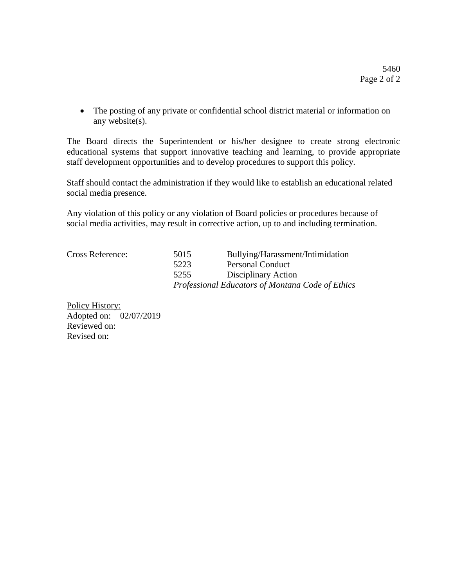• The posting of any private or confidential school district material or information on any website(s).

The Board directs the Superintendent or his/her designee to create strong electronic educational systems that support innovative teaching and learning, to provide appropriate staff development opportunities and to develop procedures to support this policy.

Staff should contact the administration if they would like to establish an educational related social media presence.

Any violation of this policy or any violation of Board policies or procedures because of social media activities, may result in corrective action, up to and including termination.

Cross Reference: 5015 Bullying/Harassment/Intimidation 5223 Personal Conduct 5255 Disciplinary Action *Professional Educators of Montana Code of Ethics*

Policy History: Adopted on: 02/07/2019 Reviewed on: Revised on: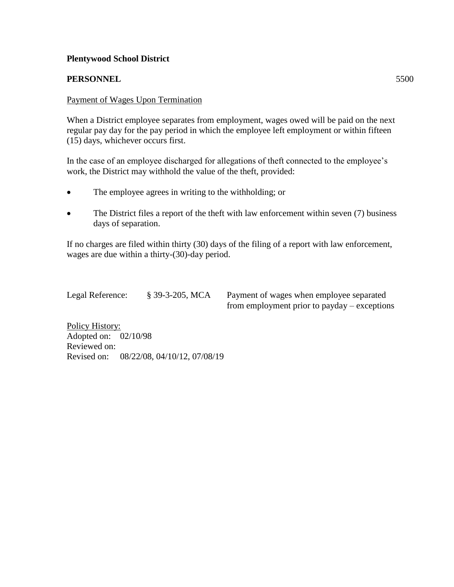## **Plentywood School District**

### **PERSONNEL** 5500

#### Payment of Wages Upon Termination

When a District employee separates from employment, wages owed will be paid on the next regular pay day for the pay period in which the employee left employment or within fifteen (15) days, whichever occurs first.

In the case of an employee discharged for allegations of theft connected to the employee's work, the District may withhold the value of the theft, provided:

- The employee agrees in writing to the withholding; or
- The District files a report of the theft with law enforcement within seven (7) business days of separation.

If no charges are filed within thirty (30) days of the filing of a report with law enforcement, wages are due within a thirty-(30)-day period.

| Legal Reference: | § 39-3-205, MCA | Payment of wages when employee separated       |
|------------------|-----------------|------------------------------------------------|
|                  |                 | from employment prior to payday $-$ exceptions |

Policy History: Adopted on: 02/10/98 Reviewed on: Revised on: 08/22/08, 04/10/12, 07/08/19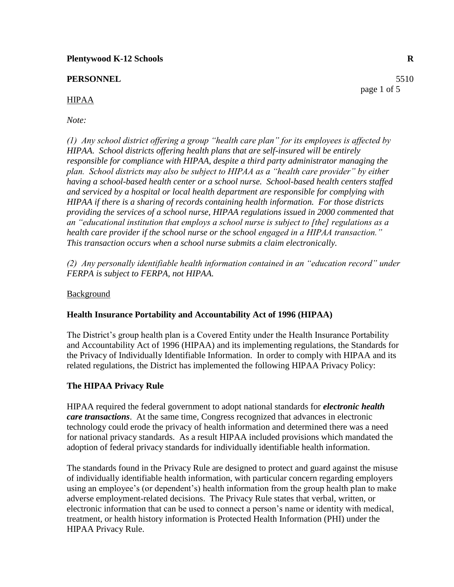## **PERSONNEL** 5510

# HIPAA

*Note:* 

*(1) Any school district offering a group "health care plan" for its employees is affected by HIPAA. School districts offering health plans that are self-insured will be entirely responsible for compliance with HIPAA, despite a third party administrator managing the plan. School districts may also be subject to HIPAA as a "health care provider" by either having a school-based health center or a school nurse. School-based health centers staffed and serviced by a hospital or local health department are responsible for complying with HIPAA if there is a sharing of records containing health information. For those districts providing the services of a school nurse, HIPAA regulations issued in 2000 commented that an "educational institution that employs a school nurse is subject to [the] regulations as a health care provider if the school nurse or the school engaged in a HIPAA transaction." This transaction occurs when a school nurse submits a claim electronically.* 

*(2) Any personally identifiable health information contained in an "education record" under FERPA is subject to FERPA, not HIPAA.*

#### Background

# **Health Insurance Portability and Accountability Act of 1996 (HIPAA)**

The District's group health plan is a Covered Entity under the Health Insurance Portability and Accountability Act of 1996 (HIPAA) and its implementing regulations, the Standards for the Privacy of Individually Identifiable Information. In order to comply with HIPAA and its related regulations, the District has implemented the following HIPAA Privacy Policy:

# **The HIPAA Privacy Rule**

HIPAA required the federal government to adopt national standards for *electronic health care transactions*. At the same time, Congress recognized that advances in electronic technology could erode the privacy of health information and determined there was a need for national privacy standards. As a result HIPAA included provisions which mandated the adoption of federal privacy standards for individually identifiable health information.

The standards found in the Privacy Rule are designed to protect and guard against the misuse of individually identifiable health information, with particular concern regarding employers using an employee's (or dependent's) health information from the group health plan to make adverse employment-related decisions. The Privacy Rule states that verbal, written, or electronic information that can be used to connect a person's name or identity with medical, treatment, or health history information is Protected Health Information (PHI) under the HIPAA Privacy Rule.

page 1 of 5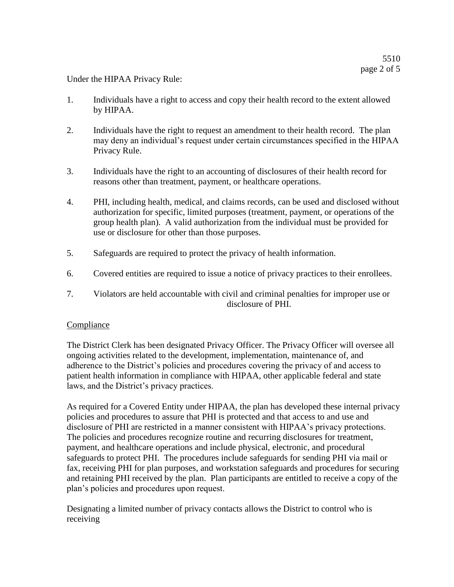#### Under the HIPAA Privacy Rule:

- 1. Individuals have a right to access and copy their health record to the extent allowed by HIPAA.
- 2. Individuals have the right to request an amendment to their health record. The plan may deny an individual's request under certain circumstances specified in the HIPAA Privacy Rule.
- 3. Individuals have the right to an accounting of disclosures of their health record for reasons other than treatment, payment, or healthcare operations.
- 4. PHI, including health, medical, and claims records, can be used and disclosed without authorization for specific, limited purposes (treatment, payment, or operations of the group health plan). A valid authorization from the individual must be provided for use or disclosure for other than those purposes.
- 5. Safeguards are required to protect the privacy of health information.
- 6. Covered entities are required to issue a notice of privacy practices to their enrollees.
- 7. Violators are held accountable with civil and criminal penalties for improper use or disclosure of PHI.

#### Compliance

The District Clerk has been designated Privacy Officer. The Privacy Officer will oversee all ongoing activities related to the development, implementation, maintenance of, and adherence to the District's policies and procedures covering the privacy of and access to patient health information in compliance with HIPAA, other applicable federal and state laws, and the District's privacy practices.

As required for a Covered Entity under HIPAA, the plan has developed these internal privacy policies and procedures to assure that PHI is protected and that access to and use and disclosure of PHI are restricted in a manner consistent with HIPAA's privacy protections. The policies and procedures recognize routine and recurring disclosures for treatment, payment, and healthcare operations and include physical, electronic, and procedural safeguards to protect PHI. The procedures include safeguards for sending PHI via mail or fax, receiving PHI for plan purposes, and workstation safeguards and procedures for securing and retaining PHI received by the plan. Plan participants are entitled to receive a copy of the plan's policies and procedures upon request.

Designating a limited number of privacy contacts allows the District to control who is receiving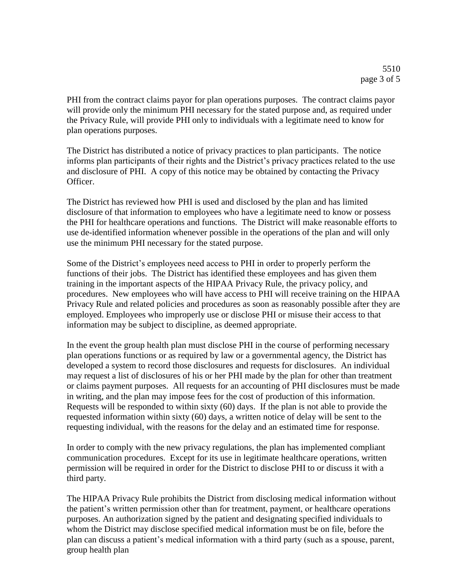PHI from the contract claims payor for plan operations purposes. The contract claims payor will provide only the minimum PHI necessary for the stated purpose and, as required under the Privacy Rule, will provide PHI only to individuals with a legitimate need to know for plan operations purposes.

The District has distributed a notice of privacy practices to plan participants. The notice informs plan participants of their rights and the District's privacy practices related to the use and disclosure of PHI. A copy of this notice may be obtained by contacting the Privacy Officer.

The District has reviewed how PHI is used and disclosed by the plan and has limited disclosure of that information to employees who have a legitimate need to know or possess the PHI for healthcare operations and functions. The District will make reasonable efforts to use de-identified information whenever possible in the operations of the plan and will only use the minimum PHI necessary for the stated purpose.

Some of the District's employees need access to PHI in order to properly perform the functions of their jobs. The District has identified these employees and has given them training in the important aspects of the HIPAA Privacy Rule, the privacy policy, and procedures. New employees who will have access to PHI will receive training on the HIPAA Privacy Rule and related policies and procedures as soon as reasonably possible after they are employed. Employees who improperly use or disclose PHI or misuse their access to that information may be subject to discipline, as deemed appropriate.

In the event the group health plan must disclose PHI in the course of performing necessary plan operations functions or as required by law or a governmental agency, the District has developed a system to record those disclosures and requests for disclosures. An individual may request a list of disclosures of his or her PHI made by the plan for other than treatment or claims payment purposes. All requests for an accounting of PHI disclosures must be made in writing, and the plan may impose fees for the cost of production of this information. Requests will be responded to within sixty (60) days. If the plan is not able to provide the requested information within sixty (60) days, a written notice of delay will be sent to the requesting individual, with the reasons for the delay and an estimated time for response.

In order to comply with the new privacy regulations, the plan has implemented compliant communication procedures. Except for its use in legitimate healthcare operations, written permission will be required in order for the District to disclose PHI to or discuss it with a third party.

The HIPAA Privacy Rule prohibits the District from disclosing medical information without the patient's written permission other than for treatment, payment, or healthcare operations purposes. An authorization signed by the patient and designating specified individuals to whom the District may disclose specified medical information must be on file, before the plan can discuss a patient's medical information with a third party (such as a spouse, parent, group health plan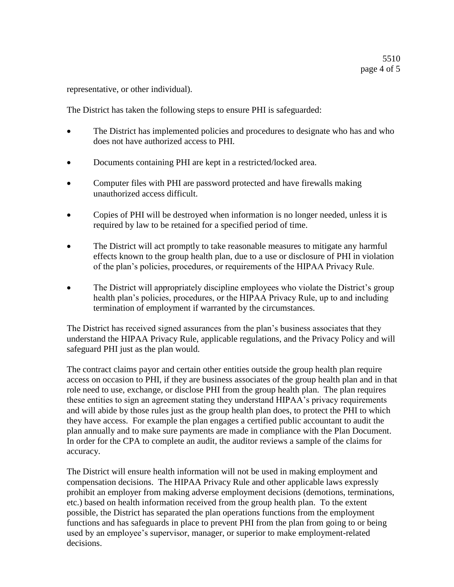representative, or other individual).

The District has taken the following steps to ensure PHI is safeguarded:

- The District has implemented policies and procedures to designate who has and who does not have authorized access to PHI.
- Documents containing PHI are kept in a restricted/locked area.
- Computer files with PHI are password protected and have firewalls making unauthorized access difficult.
- Copies of PHI will be destroyed when information is no longer needed, unless it is required by law to be retained for a specified period of time.
- The District will act promptly to take reasonable measures to mitigate any harmful effects known to the group health plan, due to a use or disclosure of PHI in violation of the plan's policies, procedures, or requirements of the HIPAA Privacy Rule.
- The District will appropriately discipline employees who violate the District's group health plan's policies, procedures, or the HIPAA Privacy Rule, up to and including termination of employment if warranted by the circumstances.

The District has received signed assurances from the plan's business associates that they understand the HIPAA Privacy Rule, applicable regulations, and the Privacy Policy and will safeguard PHI just as the plan would.

The contract claims payor and certain other entities outside the group health plan require access on occasion to PHI, if they are business associates of the group health plan and in that role need to use, exchange, or disclose PHI from the group health plan. The plan requires these entities to sign an agreement stating they understand HIPAA's privacy requirements and will abide by those rules just as the group health plan does, to protect the PHI to which they have access. For example the plan engages a certified public accountant to audit the plan annually and to make sure payments are made in compliance with the Plan Document. In order for the CPA to complete an audit, the auditor reviews a sample of the claims for accuracy.

The District will ensure health information will not be used in making employment and compensation decisions. The HIPAA Privacy Rule and other applicable laws expressly prohibit an employer from making adverse employment decisions (demotions, terminations, etc.) based on health information received from the group health plan. To the extent possible, the District has separated the plan operations functions from the employment functions and has safeguards in place to prevent PHI from the plan from going to or being used by an employee's supervisor, manager, or superior to make employment-related decisions.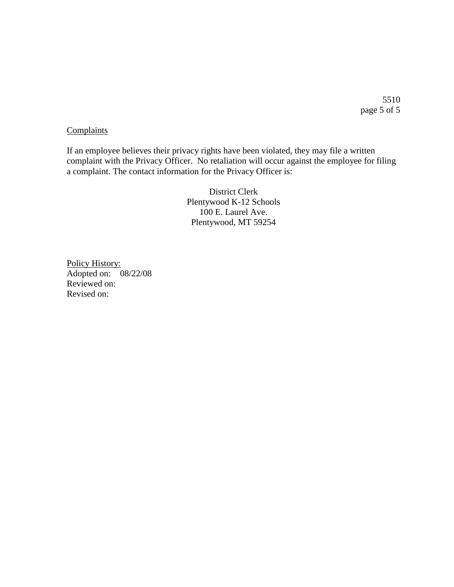5510 page 5 of 5

**Complaints** 

If an employee believes their privacy rights have been violated, they may file a written complaint with the Privacy Officer. No retaliation will occur against the employee for filing a complaint. The contact information for the Privacy Officer is:

> District Clerk Plentywood K-12 Schools 100 E. Laurel Ave. Plentywood, MT 59254

Policy History: Adopted on: 08/22/08 Reviewed on: Revised on: